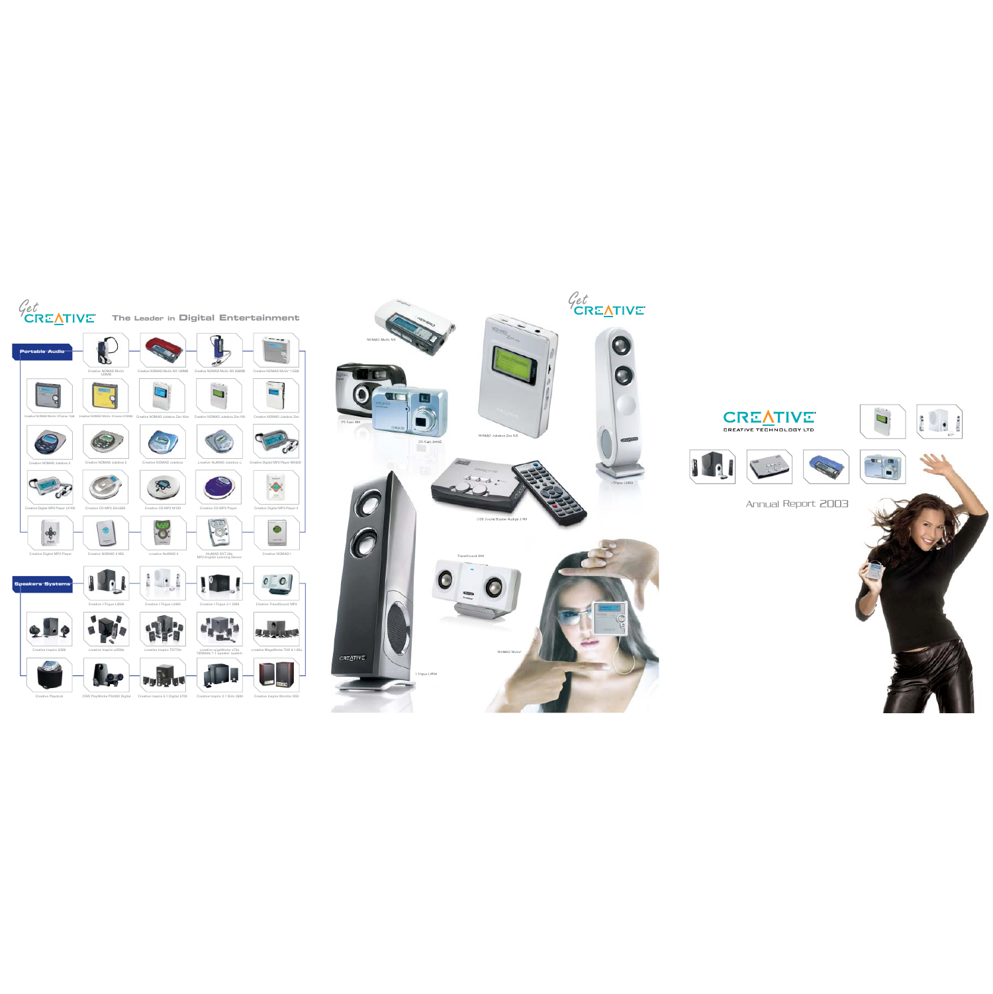





Annual Report 2003





e NOMAD MuVo 128MB

d

Creative

Creative NOMAD MuVo2 XTrainer 512MB

Creative NOMAD Jukebox 2

reative CD-MP3 Slim600

Creative Digital MP3 Player LX100



Creative Digital MP3 Player

Creative Digital MP3 Player MX200



Creative Playdock CSW PlayWorks PS2000 Digital Creative Inspire 5.1 Digital 5700 Creative Inspire 2.1 Slim 2600 Creative Inspire Monitor 85D CSW PlayWorks PS2000 Digital

Creative Inspire GD580 Creative Inspire TD7700 Creative GigaWorks S750 700Watts 7.1 Speaker System





B Creative NOMAD MuVo<sup>2</sup> XTrainer 512MB Creative NOMAD Jukebox Zen Xtra Creative NOMAD Jukebox Zen NX Creative NOMAD Jukebox Zen Creative NOMAD Jukebox Zen NX





reative CD-MP3 Playe





















 $\Box$ 







## **The Leader in Digital Entertainment**

Creative NOMAD Jukebox 33 Creative NOMAD Jukebox 2 Creative NOMAD Jukebox Creative NOMAD Jukebox C





Creative NOMAD Jukebox







Creative NOMAD Jukebox Zen Xtra

 $\rightarrow$ 



Creative NOMAD II MG

Creative CD-MP3 M100

MP3 English Learning Device Creative NOMAD I

Creative NOMAD II



 $\bullet$ 

Creative NOMAD MuVo2 XTrainer 1GB



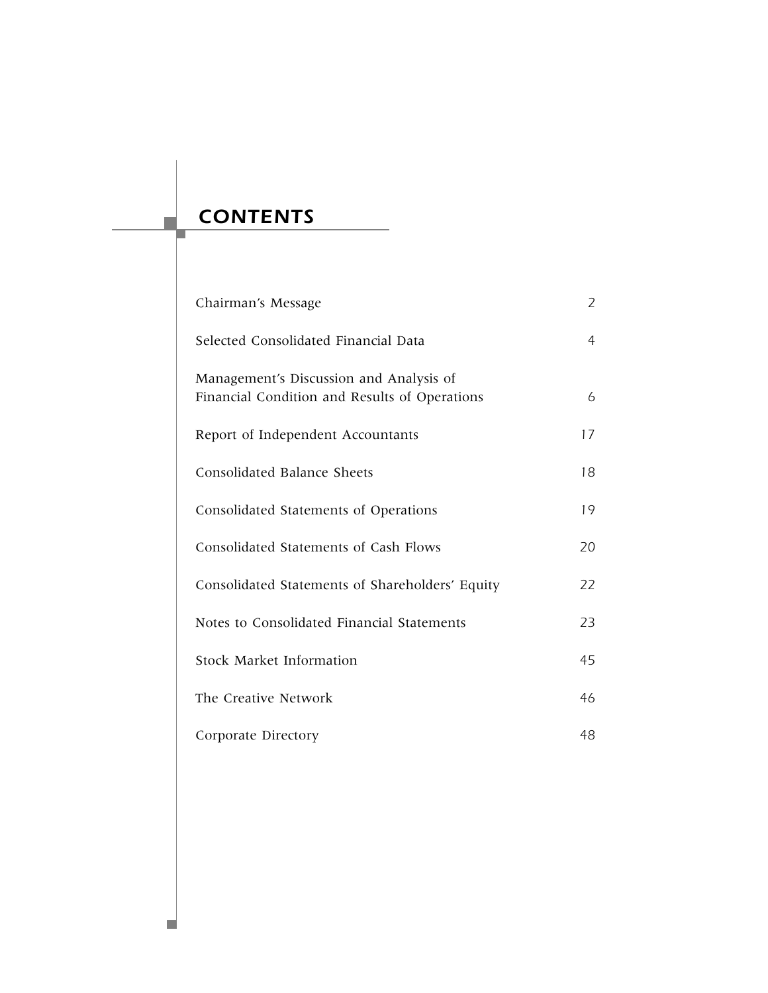# *CONTENTS*

p.

п

| Chairman's Message                                                                       | 2              |
|------------------------------------------------------------------------------------------|----------------|
| Selected Consolidated Financial Data                                                     | $\overline{4}$ |
| Management's Discussion and Analysis of<br>Financial Condition and Results of Operations | 6              |
| Report of Independent Accountants                                                        | 17             |
| Consolidated Balance Sheets                                                              | 18             |
| Consolidated Statements of Operations                                                    | 19             |
| Consolidated Statements of Cash Flows                                                    | 20             |
| Consolidated Statements of Shareholders' Equity                                          | 22             |
| Notes to Consolidated Financial Statements                                               | 23             |
| Stock Market Information                                                                 | 45             |
| The Creative Network                                                                     | 46             |
| Corporate Directory                                                                      | 48             |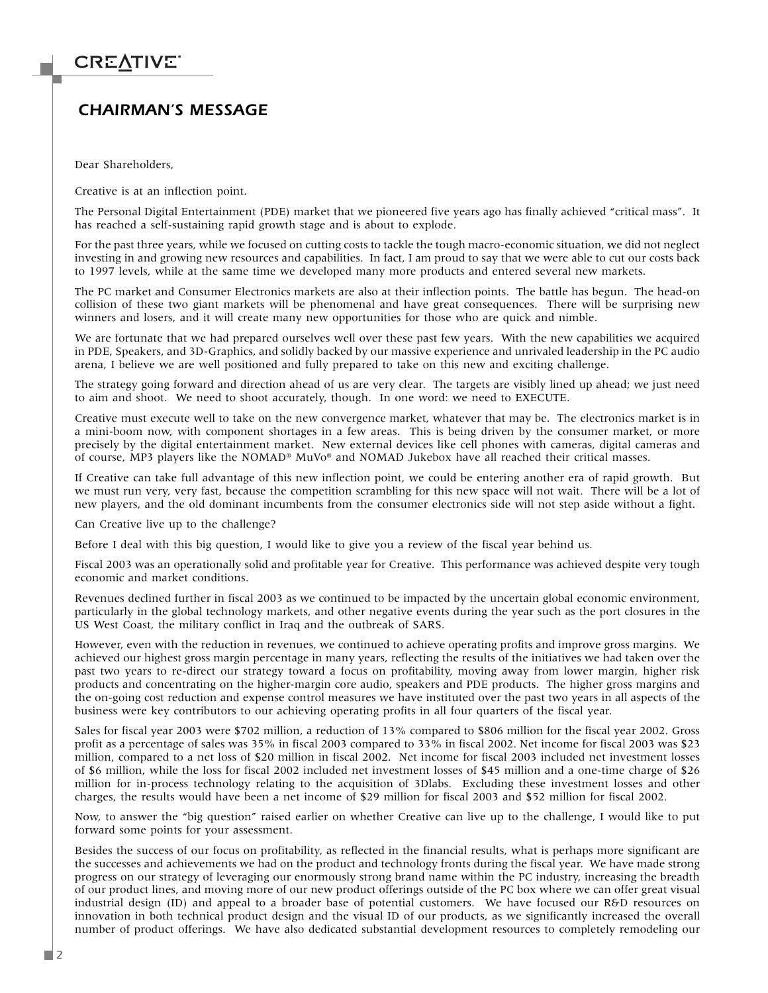### *CHAIRMAN'S MESSAGE*

Dear Shareholders,

Creative is at an inflection point.

The Personal Digital Entertainment (PDE) market that we pioneered five years ago has finally achieved "critical mass". It has reached a self-sustaining rapid growth stage and is about to explode.

For the past three years, while we focused on cutting costs to tackle the tough macro-economic situation, we did not neglect investing in and growing new resources and capabilities. In fact, I am proud to say that we were able to cut our costs back to 1997 levels, while at the same time we developed many more products and entered several new markets.

The PC market and Consumer Electronics markets are also at their inflection points. The battle has begun. The head-on collision of these two giant markets will be phenomenal and have great consequences. There will be surprising new winners and losers, and it will create many new opportunities for those who are quick and nimble.

We are fortunate that we had prepared ourselves well over these past few years. With the new capabilities we acquired in PDE, Speakers, and 3D-Graphics, and solidly backed by our massive experience and unrivaled leadership in the PC audio arena, I believe we are well positioned and fully prepared to take on this new and exciting challenge.

The strategy going forward and direction ahead of us are very clear. The targets are visibly lined up ahead; we just need to aim and shoot. We need to shoot accurately, though. In one word: we need to EXECUTE.

Creative must execute well to take on the new convergence market, whatever that may be. The electronics market is in a mini-boom now, with component shortages in a few areas. This is being driven by the consumer market, or more precisely by the digital entertainment market. New external devices like cell phones with cameras, digital cameras and of course, MP3 players like the NOMAD® MuVo® and NOMAD Jukebox have all reached their critical masses.

If Creative can take full advantage of this new inflection point, we could be entering another era of rapid growth. But we must run very, very fast, because the competition scrambling for this new space will not wait. There will be a lot of new players, and the old dominant incumbents from the consumer electronics side will not step aside without a fight.

Can Creative live up to the challenge?

Before I deal with this big question, I would like to give you a review of the fiscal year behind us.

Fiscal 2003 was an operationally solid and profitable year for Creative. This performance was achieved despite very tough economic and market conditions.

Revenues declined further in fiscal 2003 as we continued to be impacted by the uncertain global economic environment, particularly in the global technology markets, and other negative events during the year such as the port closures in the US West Coast, the military conflict in Iraq and the outbreak of SARS.

However, even with the reduction in revenues, we continued to achieve operating profits and improve gross margins. We achieved our highest gross margin percentage in many years, reflecting the results of the initiatives we had taken over the past two years to re-direct our strategy toward a focus on profitability, moving away from lower margin, higher risk products and concentrating on the higher-margin core audio, speakers and PDE products. The higher gross margins and the on-going cost reduction and expense control measures we have instituted over the past two years in all aspects of the business were key contributors to our achieving operating profits in all four quarters of the fiscal year.

Sales for fiscal year 2003 were \$702 million, a reduction of 13% compared to \$806 million for the fiscal year 2002. Gross profit as a percentage of sales was 35% in fiscal 2003 compared to 33% in fiscal 2002. Net income for fiscal 2003 was \$23 million, compared to a net loss of \$20 million in fiscal 2002. Net income for fiscal 2003 included net investment losses of \$6 million, while the loss for fiscal 2002 included net investment losses of \$45 million and a one-time charge of \$26 million for in-process technology relating to the acquisition of 3Dlabs. Excluding these investment losses and other charges, the results would have been a net income of \$29 million for fiscal 2003 and \$52 million for fiscal 2002.

Now, to answer the "big question" raised earlier on whether Creative can live up to the challenge, I would like to put forward some points for your assessment.

Besides the success of our focus on profitability, as reflected in the financial results, what is perhaps more significant are the successes and achievements we had on the product and technology fronts during the fiscal year. We have made strong progress on our strategy of leveraging our enormously strong brand name within the PC industry, increasing the breadth of our product lines, and moving more of our new product offerings outside of the PC box where we can offer great visual industrial design (ID) and appeal to a broader base of potential customers. We have focused our R&D resources on innovation in both technical product design and the visual ID of our products, as we significantly increased the overall number of product offerings. We have also dedicated substantial development resources to completely remodeling our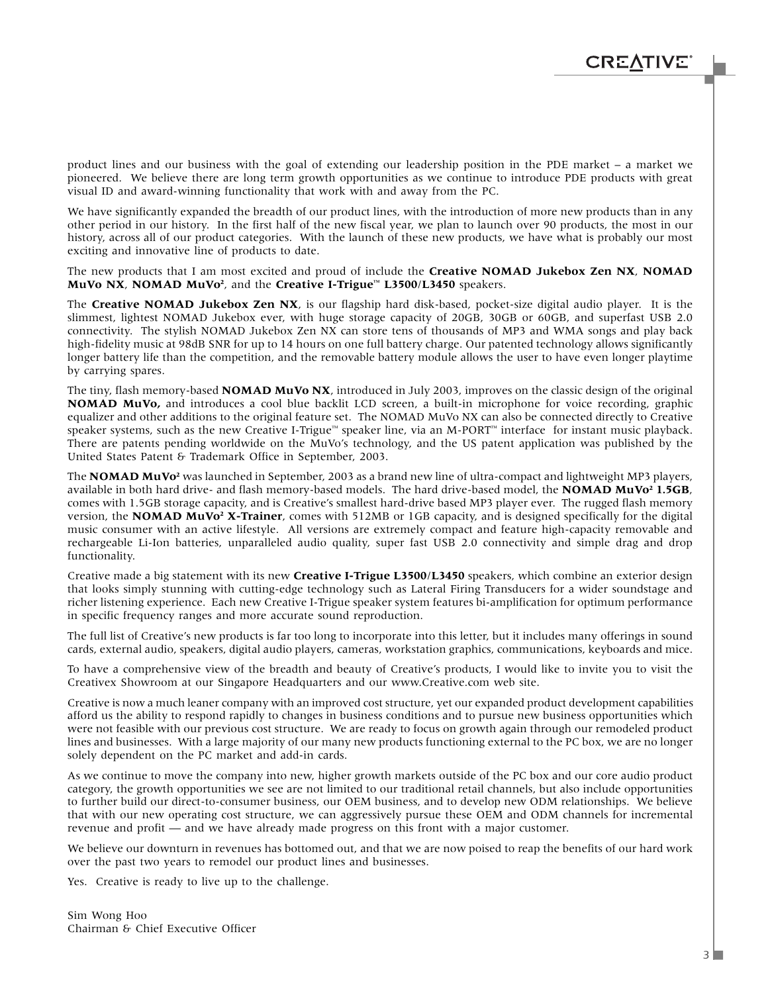product lines and our business with the goal of extending our leadership position in the PDE market – a market we pioneered. We believe there are long term growth opportunities as we continue to introduce PDE products with great visual ID and award-winning functionality that work with and away from the PC.

We have significantly expanded the breadth of our product lines, with the introduction of more new products than in any other period in our history. In the first half of the new fiscal year, we plan to launch over 90 products, the most in our history, across all of our product categories. With the launch of these new products, we have what is probably our most exciting and innovative line of products to date.

The new products that I am most excited and proud of include the **Creative NOMAD Jukebox Zen NX**, **NOMAD MuVo NX**, **NOMAD MuVo2** , and the **Creative I-Trigue™ L3500**/**L3450** speakers.

The **Creative NOMAD Jukebox Zen NX**, is our flagship hard disk-based, pocket-size digital audio player. It is the slimmest, lightest NOMAD Jukebox ever, with huge storage capacity of 20GB, 30GB or 60GB, and superfast USB 2.0 connectivity. The stylish NOMAD Jukebox Zen NX can store tens of thousands of MP3 and WMA songs and play back high-fidelity music at 98dB SNR for up to 14 hours on one full battery charge. Our patented technology allows significantly longer battery life than the competition, and the removable battery module allows the user to have even longer playtime by carrying spares.

The tiny, flash memory-based **NOMAD MuVo NX**, introduced in July 2003, improves on the classic design of the original **NOMAD MuVo,** and introduces a cool blue backlit LCD screen, a built-in microphone for voice recording, graphic equalizer and other additions to the original feature set. The NOMAD MuVo NX can also be connected directly to Creative speaker systems, such as the new Creative I-Trigue™ speaker line, via an M-PORT™ interface for instant music playback. There are patents pending worldwide on the MuVo's technology, and the US patent application was published by the United States Patent & Trademark Office in September, 2003.

The **NOMAD MuVo<sup>2</sup>** was launched in September, 2003 as a brand new line of ultra-compact and lightweight MP3 players, available in both hard drive- and flash memory-based models. The hard drive-based model, the **NOMAD MuVo2 1.5GB**, comes with 1.5GB storage capacity, and is Creative's smallest hard-drive based MP3 player ever. The rugged flash memory version, the **NOMAD MuVo2 X-Trainer**, comes with 512MB or 1GB capacity, and is designed specifically for the digital music consumer with an active lifestyle. All versions are extremely compact and feature high-capacity removable and rechargeable Li-Ion batteries, unparalleled audio quality, super fast USB 2.0 connectivity and simple drag and drop functionality.

Creative made a big statement with its new **Creative I-Trigue L3500**/**L3450** speakers, which combine an exterior design that looks simply stunning with cutting-edge technology such as Lateral Firing Transducers for a wider soundstage and richer listening experience. Each new Creative I-Trigue speaker system features bi-amplification for optimum performance in specific frequency ranges and more accurate sound reproduction.

The full list of Creative's new products is far too long to incorporate into this letter, but it includes many offerings in sound cards, external audio, speakers, digital audio players, cameras, workstation graphics, communications, keyboards and mice.

To have a comprehensive view of the breadth and beauty of Creative's products, I would like to invite you to visit the Creativex Showroom at our Singapore Headquarters and our www.Creative.com web site.

Creative is now a much leaner company with an improved cost structure, yet our expanded product development capabilities afford us the ability to respond rapidly to changes in business conditions and to pursue new business opportunities which were not feasible with our previous cost structure. We are ready to focus on growth again through our remodeled product lines and businesses. With a large majority of our many new products functioning external to the PC box, we are no longer solely dependent on the PC market and add-in cards.

As we continue to move the company into new, higher growth markets outside of the PC box and our core audio product category, the growth opportunities we see are not limited to our traditional retail channels, but also include opportunities to further build our direct-to-consumer business, our OEM business, and to develop new ODM relationships. We believe that with our new operating cost structure, we can aggressively pursue these OEM and ODM channels for incremental revenue and profit — and we have already made progress on this front with a major customer.

We believe our downturn in revenues has bottomed out, and that we are now poised to reap the benefits of our hard work over the past two years to remodel our product lines and businesses.

Yes. Creative is ready to live up to the challenge.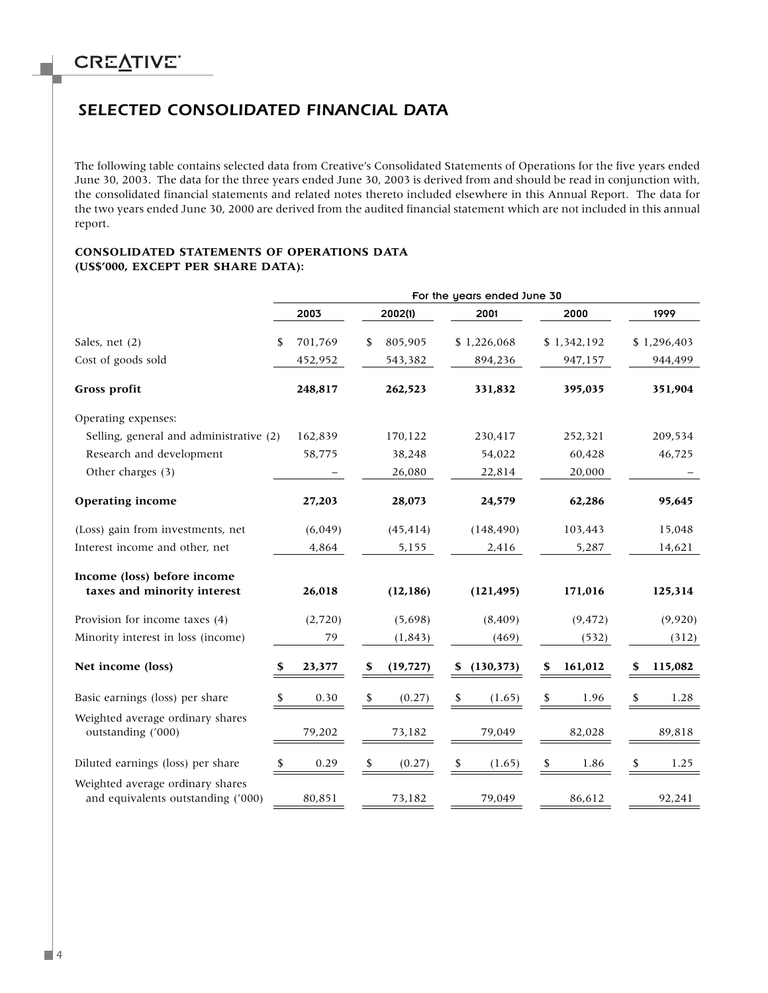### *SELECTED CONSOLIDATED FINANCIAL DATA*

The following table contains selected data from Creative's Consolidated Statements of Operations for the five years ended June 30, 2003. The data for the three years ended June 30, 2003 is derived from and should be read in conjunction with, the consolidated financial statements and related notes thereto included elsewhere in this Annual Report. The data for the two years ended June 30, 2000 are derived from the audited financial statement which are not included in this annual report.

#### **CONSOLIDATED STATEMENTS OF OPERATIONS DATA (US\$'000, EXCEPT PER SHARE DATA):**

|                                                                        | For the years ended June 30 |         |    |           |    |             |    |             |    |             |
|------------------------------------------------------------------------|-----------------------------|---------|----|-----------|----|-------------|----|-------------|----|-------------|
|                                                                        |                             | 2003    |    | 2002(1)   |    | 2001        |    | 2000        |    | 1999        |
| Sales, net (2)                                                         | \$                          | 701,769 | \$ | 805,905   |    | \$1,226,068 |    | \$1,342,192 |    | \$1,296,403 |
| Cost of goods sold                                                     |                             | 452,952 |    | 543,382   |    | 894,236     |    | 947,157     |    | 944,499     |
| Gross profit                                                           |                             | 248,817 |    | 262,523   |    | 331,832     |    | 395,035     |    | 351,904     |
| Operating expenses:                                                    |                             |         |    |           |    |             |    |             |    |             |
| Selling, general and administrative (2)                                |                             | 162,839 |    | 170,122   |    | 230,417     |    | 252,321     |    | 209,534     |
| Research and development                                               |                             | 58,775  |    | 38,248    |    | 54,022      |    | 60,428      |    | 46,725      |
| Other charges (3)                                                      |                             |         |    | 26,080    |    | 22,814      |    | 20,000      |    |             |
| <b>Operating income</b>                                                |                             | 27,203  |    | 28,073    |    | 24,579      |    | 62,286      |    | 95,645      |
| (Loss) gain from investments, net                                      |                             | (6,049) |    | (45, 414) |    | (148, 490)  |    | 103,443     |    | 15,048      |
| Interest income and other, net                                         |                             | 4,864   |    | 5,155     |    | 2,416       |    | 5,287       |    | 14,621      |
| Income (loss) before income                                            |                             |         |    |           |    |             |    |             |    |             |
| taxes and minority interest                                            |                             | 26,018  |    | (12, 186) |    | (121, 495)  |    | 171,016     |    | 125,314     |
| Provision for income taxes (4)                                         |                             | (2,720) |    | (5,698)   |    | (8, 409)    |    | (9, 472)    |    | (9,920)     |
| Minority interest in loss (income)                                     |                             | 79      |    | (1, 843)  |    | (469)       |    | (532)       |    | (312)       |
| Net income (loss)                                                      | \$.                         | 23,377  | S  | (19, 727) | S  | (130,373)   | \$ | 161,012     | S  | 115,082     |
| Basic earnings (loss) per share                                        | \$                          | 0.30    |    | (0.27)    | \$ | (1.65)      | \$ | 1.96        | \$ | 1.28        |
| Weighted average ordinary shares                                       |                             |         |    |           |    |             |    |             |    |             |
| outstanding ('000)                                                     |                             | 79,202  |    | 73,182    |    | 79,049      |    | 82,028      |    | 89,818      |
| Diluted earnings (loss) per share                                      | S                           | 0.29    | \$ | (0.27)    | \$ | (1.65)      | \$ | 1.86        | \$ | 1.25        |
| Weighted average ordinary shares<br>and equivalents outstanding ('000) |                             | 80,851  |    | 73,182    |    | 79,049      |    | 86,612      |    | 92,241      |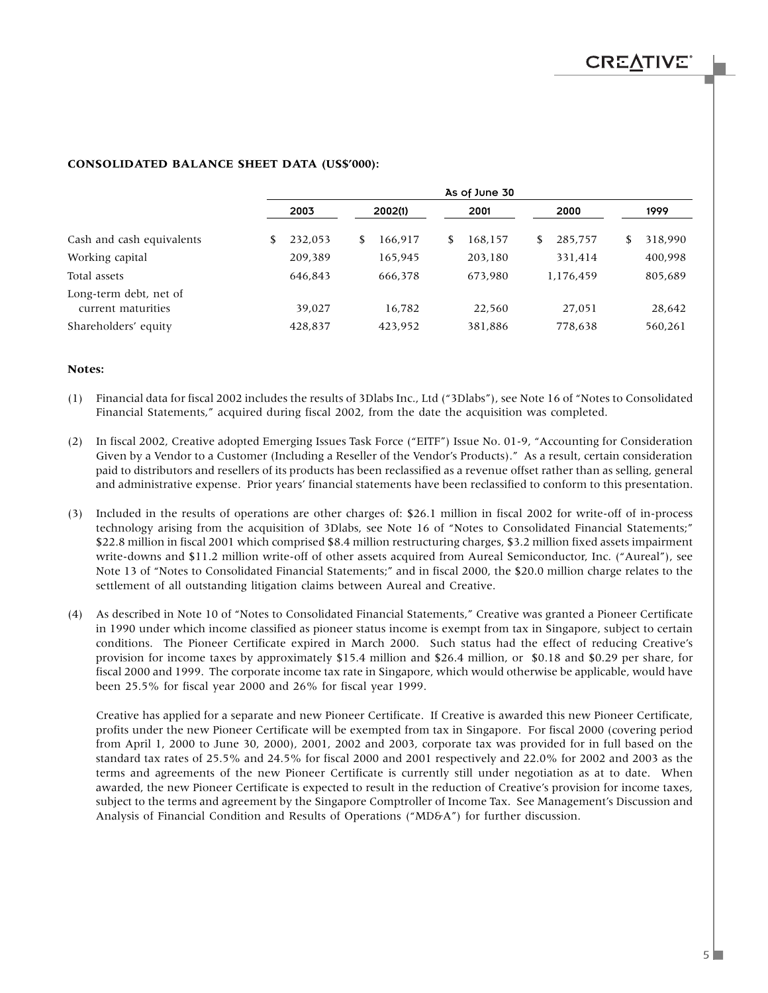|                                              | As of June 30 |         |    |         |  |         |    |           |    |         |
|----------------------------------------------|---------------|---------|----|---------|--|---------|----|-----------|----|---------|
|                                              |               | 2003    |    | 2002(1) |  | 2001    |    | 2000      |    | 1999    |
| Cash and cash equivalents                    | \$            | 232,053 | \$ | 166,917 |  | 168.157 | \$ | 285,757   | \$ | 318,990 |
| Working capital                              |               | 209,389 |    | 165,945 |  | 203,180 |    | 331,414   |    | 400,998 |
| Total assets                                 |               | 646,843 |    | 666,378 |  | 673,980 |    | 1,176,459 |    | 805,689 |
| Long-term debt, net of<br>current maturities |               | 39.027  |    | 16,782  |  | 22,560  |    | 27.051    |    | 28,642  |
| Shareholders' equity                         |               | 428,837 |    | 423,952 |  | 381,886 |    | 778,638   |    | 560,261 |

#### **CONSOLIDATED BALANCE SHEET DATA (US\$'000):**

#### **Notes:**

- (1) Financial data for fiscal 2002 includes the results of 3Dlabs Inc., Ltd ("3Dlabs"), see Note 16 of "Notes to Consolidated Financial Statements," acquired during fiscal 2002, from the date the acquisition was completed.
- (2) In fiscal 2002, Creative adopted Emerging Issues Task Force ("EITF") Issue No. 01-9, "Accounting for Consideration Given by a Vendor to a Customer (Including a Reseller of the Vendor's Products)." As a result, certain consideration paid to distributors and resellers of its products has been reclassified as a revenue offset rather than as selling, general and administrative expense. Prior years' financial statements have been reclassified to conform to this presentation.
- (3) Included in the results of operations are other charges of: \$26.1 million in fiscal 2002 for write-off of in-process technology arising from the acquisition of 3Dlabs, see Note 16 of "Notes to Consolidated Financial Statements;" \$22.8 million in fiscal 2001 which comprised \$8.4 million restructuring charges, \$3.2 million fixed assets impairment write-downs and \$11.2 million write-off of other assets acquired from Aureal Semiconductor, Inc. ("Aureal"), see Note 13 of "Notes to Consolidated Financial Statements;" and in fiscal 2000, the \$20.0 million charge relates to the settlement of all outstanding litigation claims between Aureal and Creative.
- (4) As described in Note 10 of "Notes to Consolidated Financial Statements," Creative was granted a Pioneer Certificate in 1990 under which income classified as pioneer status income is exempt from tax in Singapore, subject to certain conditions. The Pioneer Certificate expired in March 2000. Such status had the effect of reducing Creative's provision for income taxes by approximately \$15.4 million and \$26.4 million, or \$0.18 and \$0.29 per share, for fiscal 2000 and 1999. The corporate income tax rate in Singapore, which would otherwise be applicable, would have been 25.5% for fiscal year 2000 and 26% for fiscal year 1999.

Creative has applied for a separate and new Pioneer Certificate. If Creative is awarded this new Pioneer Certificate, profits under the new Pioneer Certificate will be exempted from tax in Singapore. For fiscal 2000 (covering period from April 1, 2000 to June 30, 2000), 2001, 2002 and 2003, corporate tax was provided for in full based on the standard tax rates of 25.5% and 24.5% for fiscal 2000 and 2001 respectively and 22.0% for 2002 and 2003 as the terms and agreements of the new Pioneer Certificate is currently still under negotiation as at to date. When awarded, the new Pioneer Certificate is expected to result in the reduction of Creative's provision for income taxes, subject to the terms and agreement by the Singapore Comptroller of Income Tax. See Management's Discussion and Analysis of Financial Condition and Results of Operations ("MD&A") for further discussion.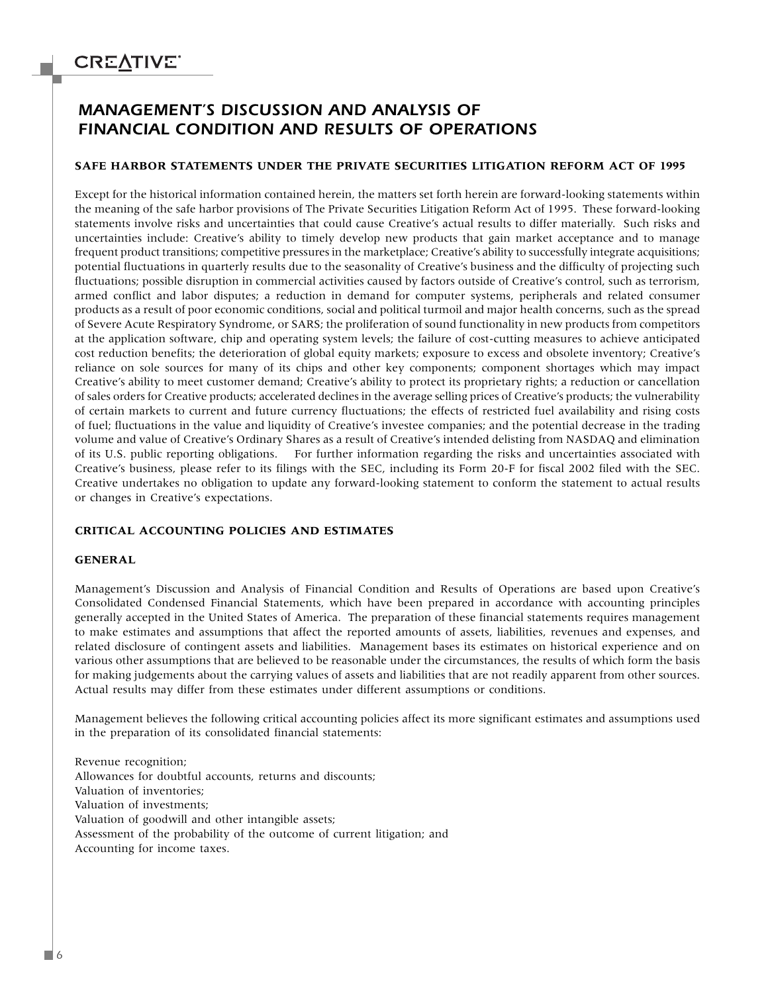### *MANAGEMENT'S DISCUSSION AND ANALYSIS OF FINANCIAL CONDITION AND RESULTS OF OPERATIONS*

#### **SAFE HARBOR STATEMENTS UNDER THE PRIVATE SECURITIES LITIGATION REFORM ACT OF 1995**

Except for the historical information contained herein, the matters set forth herein are forward-looking statements within the meaning of the safe harbor provisions of The Private Securities Litigation Reform Act of 1995. These forward-looking statements involve risks and uncertainties that could cause Creative's actual results to differ materially. Such risks and uncertainties include: Creative's ability to timely develop new products that gain market acceptance and to manage frequent product transitions; competitive pressures in the marketplace; Creative's ability to successfully integrate acquisitions; potential fluctuations in quarterly results due to the seasonality of Creative's business and the difficulty of projecting such fluctuations; possible disruption in commercial activities caused by factors outside of Creative's control, such as terrorism, armed conflict and labor disputes; a reduction in demand for computer systems, peripherals and related consumer products as a result of poor economic conditions, social and political turmoil and major health concerns, such as the spread of Severe Acute Respiratory Syndrome, or SARS; the proliferation of sound functionality in new products from competitors at the application software, chip and operating system levels; the failure of cost-cutting measures to achieve anticipated cost reduction benefits; the deterioration of global equity markets; exposure to excess and obsolete inventory; Creative's reliance on sole sources for many of its chips and other key components; component shortages which may impact Creative's ability to meet customer demand; Creative's ability to protect its proprietary rights; a reduction or cancellation of sales orders for Creative products; accelerated declines in the average selling prices of Creative's products; the vulnerability of certain markets to current and future currency fluctuations; the effects of restricted fuel availability and rising costs of fuel; fluctuations in the value and liquidity of Creative's investee companies; and the potential decrease in the trading volume and value of Creative's Ordinary Shares as a result of Creative's intended delisting from NASDAQ and elimination of its U.S. public reporting obligations. For further information regarding the risks and uncertainties associated with Creative's business, please refer to its filings with the SEC, including its Form 20-F for fiscal 2002 filed with the SEC. Creative undertakes no obligation to update any forward-looking statement to conform the statement to actual results or changes in Creative's expectations.

### **CRITICAL ACCOUNTING POLICIES AND ESTIMATES**

#### **GENERAL**

Management's Discussion and Analysis of Financial Condition and Results of Operations are based upon Creative's Consolidated Condensed Financial Statements, which have been prepared in accordance with accounting principles generally accepted in the United States of America. The preparation of these financial statements requires management to make estimates and assumptions that affect the reported amounts of assets, liabilities, revenues and expenses, and related disclosure of contingent assets and liabilities. Management bases its estimates on historical experience and on various other assumptions that are believed to be reasonable under the circumstances, the results of which form the basis for making judgements about the carrying values of assets and liabilities that are not readily apparent from other sources. Actual results may differ from these estimates under different assumptions or conditions.

Management believes the following critical accounting policies affect its more significant estimates and assumptions used in the preparation of its consolidated financial statements:

Revenue recognition; Allowances for doubtful accounts, returns and discounts; Valuation of inventories; Valuation of investments; Valuation of goodwill and other intangible assets; Assessment of the probability of the outcome of current litigation; and Accounting for income taxes.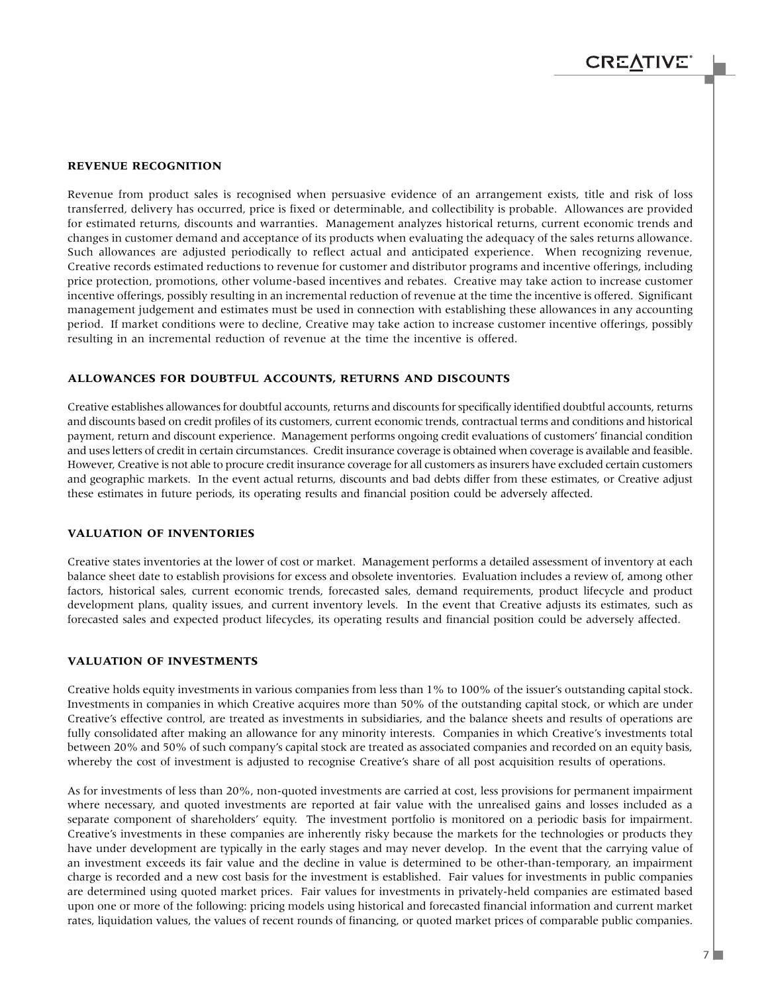#### **REVENUE RECOGNITION**

Revenue from product sales is recognised when persuasive evidence of an arrangement exists, title and risk of loss transferred, delivery has occurred, price is fixed or determinable, and collectibility is probable. Allowances are provided for estimated returns, discounts and warranties. Management analyzes historical returns, current economic trends and changes in customer demand and acceptance of its products when evaluating the adequacy of the sales returns allowance. Such allowances are adjusted periodically to reflect actual and anticipated experience. When recognizing revenue, Creative records estimated reductions to revenue for customer and distributor programs and incentive offerings, including price protection, promotions, other volume-based incentives and rebates. Creative may take action to increase customer incentive offerings, possibly resulting in an incremental reduction of revenue at the time the incentive is offered. Significant management judgement and estimates must be used in connection with establishing these allowances in any accounting period. If market conditions were to decline, Creative may take action to increase customer incentive offerings, possibly resulting in an incremental reduction of revenue at the time the incentive is offered.

#### **ALLOWANCES FOR DOUBTFUL ACCOUNTS, RETURNS AND DISCOUNTS**

Creative establishes allowances for doubtful accounts, returns and discounts for specifically identified doubtful accounts, returns and discounts based on credit profiles of its customers, current economic trends, contractual terms and conditions and historical payment, return and discount experience. Management performs ongoing credit evaluations of customers' financial condition and uses letters of credit in certain circumstances. Credit insurance coverage is obtained when coverage is available and feasible. However, Creative is not able to procure credit insurance coverage for all customers as insurers have excluded certain customers and geographic markets. In the event actual returns, discounts and bad debts differ from these estimates, or Creative adjust these estimates in future periods, its operating results and financial position could be adversely affected.

#### **VALUATION OF INVENTORIES**

Creative states inventories at the lower of cost or market. Management performs a detailed assessment of inventory at each balance sheet date to establish provisions for excess and obsolete inventories. Evaluation includes a review of, among other factors, historical sales, current economic trends, forecasted sales, demand requirements, product lifecycle and product development plans, quality issues, and current inventory levels. In the event that Creative adjusts its estimates, such as forecasted sales and expected product lifecycles, its operating results and financial position could be adversely affected.

#### **VALUATION OF INVESTMENTS**

Creative holds equity investments in various companies from less than 1% to 100% of the issuer's outstanding capital stock. Investments in companies in which Creative acquires more than 50% of the outstanding capital stock, or which are under Creative's effective control, are treated as investments in subsidiaries, and the balance sheets and results of operations are fully consolidated after making an allowance for any minority interests. Companies in which Creative's investments total between 20% and 50% of such company's capital stock are treated as associated companies and recorded on an equity basis, whereby the cost of investment is adjusted to recognise Creative's share of all post acquisition results of operations.

As for investments of less than 20%, non-quoted investments are carried at cost, less provisions for permanent impairment where necessary, and quoted investments are reported at fair value with the unrealised gains and losses included as a separate component of shareholders' equity. The investment portfolio is monitored on a periodic basis for impairment. Creative's investments in these companies are inherently risky because the markets for the technologies or products they have under development are typically in the early stages and may never develop. In the event that the carrying value of an investment exceeds its fair value and the decline in value is determined to be other-than-temporary, an impairment charge is recorded and a new cost basis for the investment is established. Fair values for investments in public companies are determined using quoted market prices. Fair values for investments in privately-held companies are estimated based upon one or more of the following: pricing models using historical and forecasted financial information and current market rates, liquidation values, the values of recent rounds of financing, or quoted market prices of comparable public companies.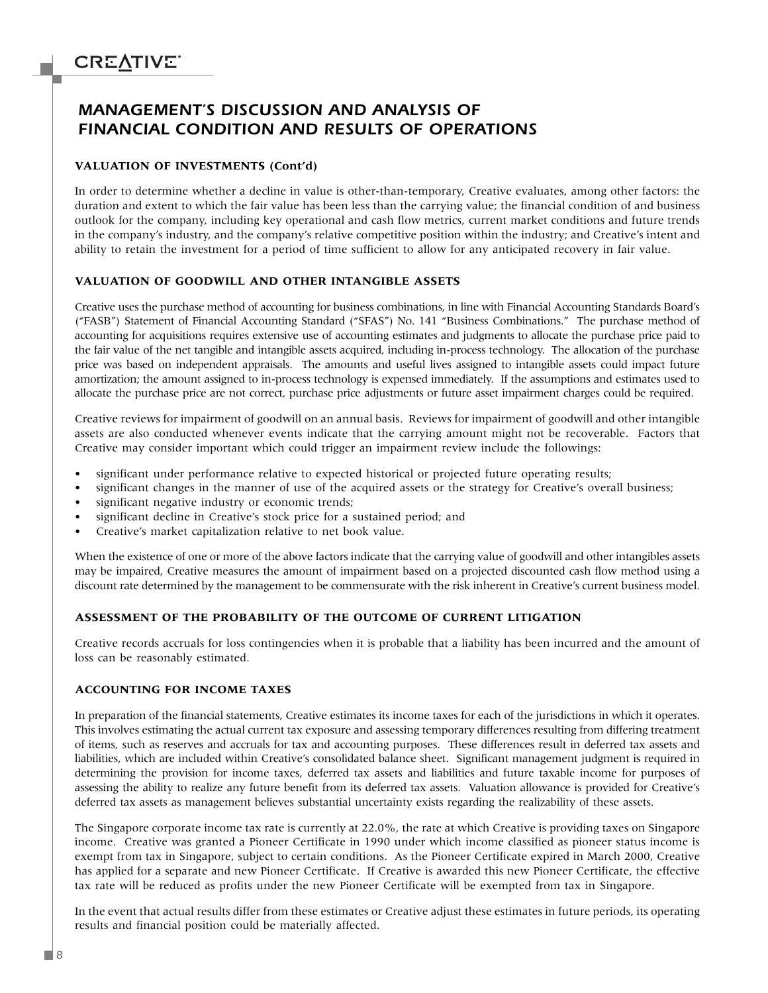### *MANAGEMENT'S DISCUSSION AND ANALYSIS OF FINANCIAL CONDITION AND RESULTS OF OPERATIONS*

#### **VALUATION OF INVESTMENTS (Cont'd)**

In order to determine whether a decline in value is other-than-temporary, Creative evaluates, among other factors: the duration and extent to which the fair value has been less than the carrying value; the financial condition of and business outlook for the company, including key operational and cash flow metrics, current market conditions and future trends in the company's industry, and the company's relative competitive position within the industry; and Creative's intent and ability to retain the investment for a period of time sufficient to allow for any anticipated recovery in fair value.

#### **VALUATION OF GOODWILL AND OTHER INTANGIBLE ASSETS**

Creative uses the purchase method of accounting for business combinations, in line with Financial Accounting Standards Board's ("FASB") Statement of Financial Accounting Standard ("SFAS") No. 141 "Business Combinations." The purchase method of accounting for acquisitions requires extensive use of accounting estimates and judgments to allocate the purchase price paid to the fair value of the net tangible and intangible assets acquired, including in-process technology. The allocation of the purchase price was based on independent appraisals. The amounts and useful lives assigned to intangible assets could impact future amortization; the amount assigned to in-process technology is expensed immediately. If the assumptions and estimates used to allocate the purchase price are not correct, purchase price adjustments or future asset impairment charges could be required.

Creative reviews for impairment of goodwill on an annual basis. Reviews for impairment of goodwill and other intangible assets are also conducted whenever events indicate that the carrying amount might not be recoverable. Factors that Creative may consider important which could trigger an impairment review include the followings:

- significant under performance relative to expected historical or projected future operating results;
- significant changes in the manner of use of the acquired assets or the strategy for Creative's overall business;
- significant negative industry or economic trends;
- significant decline in Creative's stock price for a sustained period; and
- Creative's market capitalization relative to net book value.

When the existence of one or more of the above factors indicate that the carrying value of goodwill and other intangibles assets may be impaired, Creative measures the amount of impairment based on a projected discounted cash flow method using a discount rate determined by the management to be commensurate with the risk inherent in Creative's current business model.

#### **ASSESSMENT OF THE PROBABILITY OF THE OUTCOME OF CURRENT LITIGATION**

Creative records accruals for loss contingencies when it is probable that a liability has been incurred and the amount of loss can be reasonably estimated.

#### **ACCOUNTING FOR INCOME TAXES**

In preparation of the financial statements, Creative estimates its income taxes for each of the jurisdictions in which it operates. This involves estimating the actual current tax exposure and assessing temporary differences resulting from differing treatment of items, such as reserves and accruals for tax and accounting purposes. These differences result in deferred tax assets and liabilities, which are included within Creative's consolidated balance sheet. Significant management judgment is required in determining the provision for income taxes, deferred tax assets and liabilities and future taxable income for purposes of assessing the ability to realize any future benefit from its deferred tax assets. Valuation allowance is provided for Creative's deferred tax assets as management believes substantial uncertainty exists regarding the realizability of these assets.

The Singapore corporate income tax rate is currently at 22.0%, the rate at which Creative is providing taxes on Singapore income. Creative was granted a Pioneer Certificate in 1990 under which income classified as pioneer status income is exempt from tax in Singapore, subject to certain conditions. As the Pioneer Certificate expired in March 2000, Creative has applied for a separate and new Pioneer Certificate. If Creative is awarded this new Pioneer Certificate, the effective tax rate will be reduced as profits under the new Pioneer Certificate will be exempted from tax in Singapore.

In the event that actual results differ from these estimates or Creative adjust these estimates in future periods, its operating results and financial position could be materially affected.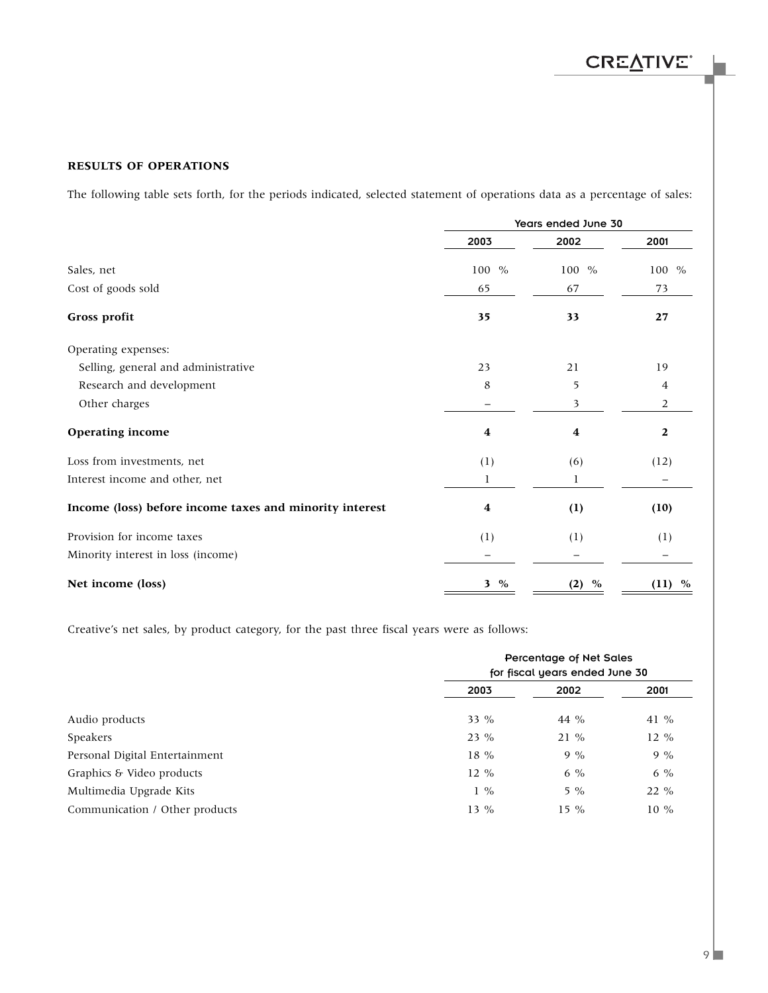### **RESULTS OF OPERATIONS**

The following table sets forth, for the periods indicated, selected statement of operations data as a percentage of sales:

|                                                         | Years ended June 30 |             |              |  |  |  |
|---------------------------------------------------------|---------------------|-------------|--------------|--|--|--|
|                                                         | 2003                | 2002        | 2001         |  |  |  |
| Sales, net                                              | 100 %               | 100 %       | 100 %        |  |  |  |
| Cost of goods sold                                      | 65                  | 67          | 73           |  |  |  |
| Gross profit                                            | 35                  | 33          | 27           |  |  |  |
| Operating expenses:                                     |                     |             |              |  |  |  |
| Selling, general and administrative                     | 23                  | 21          | 19           |  |  |  |
| Research and development                                | 8                   | 5           | 4            |  |  |  |
| Other charges                                           |                     | 3           | 2            |  |  |  |
| <b>Operating income</b>                                 | 4                   | 4           | $\mathbf{2}$ |  |  |  |
| Loss from investments, net                              | (1)                 | (6)         | (12)         |  |  |  |
| Interest income and other, net                          | 1                   | 1           |              |  |  |  |
| Income (loss) before income taxes and minority interest | 4                   | (1)         | (10)         |  |  |  |
| Provision for income taxes                              | (1)                 | (1)         | (1)          |  |  |  |
| Minority interest in loss (income)                      |                     |             |              |  |  |  |
| Net income (loss)                                       | 3 %                 | $\%$<br>(2) | $\%$<br>(11) |  |  |  |

Creative's net sales, by product category, for the past three fiscal years were as follows:

|                                | Percentage of Net Sales<br>for fiscal years ended June 30 |        |        |  |  |  |
|--------------------------------|-----------------------------------------------------------|--------|--------|--|--|--|
|                                | 2003                                                      | 2002   | 2001   |  |  |  |
| Audio products                 | $33\%$                                                    | 44 %   | 41 %   |  |  |  |
| Speakers                       | $23\%$                                                    | $21\%$ | $12\%$ |  |  |  |
| Personal Digital Entertainment | $18\%$                                                    | $9\%$  | $9\%$  |  |  |  |
| Graphics & Video products      | $12\%$                                                    | $6\%$  | $6\%$  |  |  |  |
| Multimedia Upgrade Kits        | $1\%$                                                     | $5\%$  | $22\%$ |  |  |  |
| Communication / Other products | $13\%$                                                    | $15\%$ | $10\%$ |  |  |  |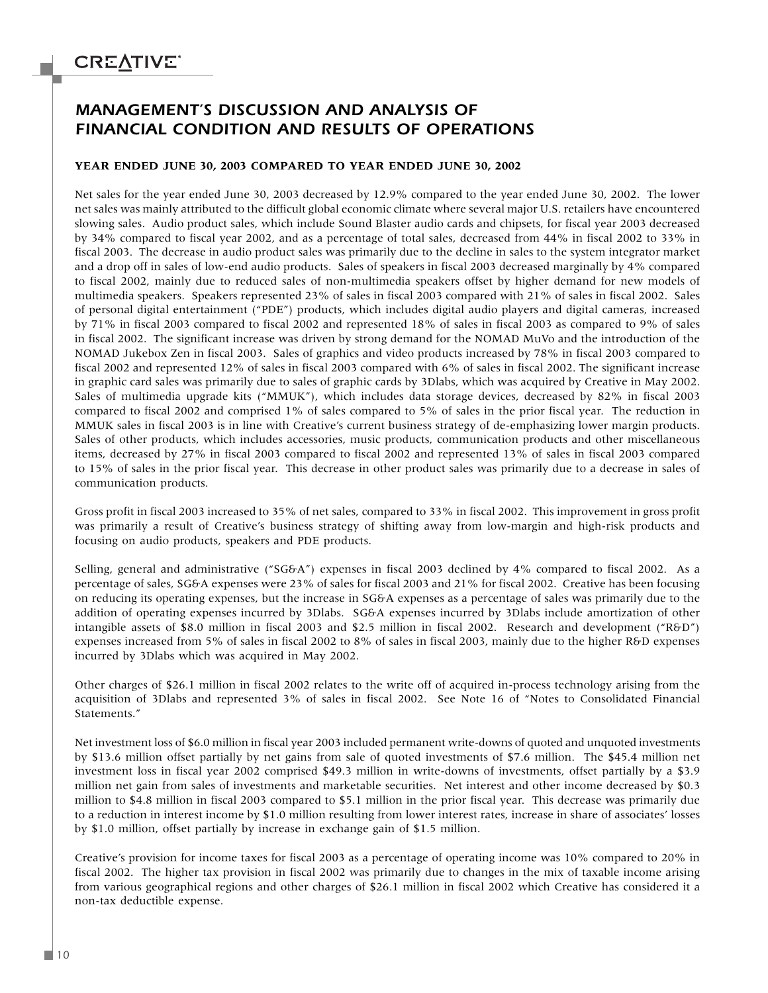### *MANAGEMENT'S DISCUSSION AND ANALYSIS OF FINANCIAL CONDITION AND RESULTS OF OPERATIONS*

### **YEAR ENDED JUNE 30, 2003 COMPARED TO YEAR ENDED JUNE 30, 2002**

Net sales for the year ended June 30, 2003 decreased by 12.9% compared to the year ended June 30, 2002. The lower net sales was mainly attributed to the difficult global economic climate where several major U.S. retailers have encountered slowing sales. Audio product sales, which include Sound Blaster audio cards and chipsets, for fiscal year 2003 decreased by 34% compared to fiscal year 2002, and as a percentage of total sales, decreased from 44% in fiscal 2002 to 33% in fiscal 2003. The decrease in audio product sales was primarily due to the decline in sales to the system integrator market and a drop off in sales of low-end audio products. Sales of speakers in fiscal 2003 decreased marginally by 4% compared to fiscal 2002, mainly due to reduced sales of non-multimedia speakers offset by higher demand for new models of multimedia speakers. Speakers represented 23% of sales in fiscal 2003 compared with 21% of sales in fiscal 2002. Sales of personal digital entertainment ("PDE") products, which includes digital audio players and digital cameras, increased by 71% in fiscal 2003 compared to fiscal 2002 and represented 18% of sales in fiscal 2003 as compared to 9% of sales in fiscal 2002. The significant increase was driven by strong demand for the NOMAD MuVo and the introduction of the NOMAD Jukebox Zen in fiscal 2003. Sales of graphics and video products increased by 78% in fiscal 2003 compared to fiscal 2002 and represented 12% of sales in fiscal 2003 compared with 6% of sales in fiscal 2002. The significant increase in graphic card sales was primarily due to sales of graphic cards by 3Dlabs, which was acquired by Creative in May 2002. Sales of multimedia upgrade kits ("MMUK"), which includes data storage devices, decreased by 82% in fiscal 2003 compared to fiscal 2002 and comprised 1% of sales compared to 5% of sales in the prior fiscal year. The reduction in MMUK sales in fiscal 2003 is in line with Creative's current business strategy of de-emphasizing lower margin products. Sales of other products, which includes accessories, music products, communication products and other miscellaneous items, decreased by 27% in fiscal 2003 compared to fiscal 2002 and represented 13% of sales in fiscal 2003 compared to 15% of sales in the prior fiscal year. This decrease in other product sales was primarily due to a decrease in sales of communication products.

Gross profit in fiscal 2003 increased to 35% of net sales, compared to 33% in fiscal 2002. This improvement in gross profit was primarily a result of Creative's business strategy of shifting away from low-margin and high-risk products and focusing on audio products, speakers and PDE products.

Selling, general and administrative ("SG&A") expenses in fiscal 2003 declined by 4% compared to fiscal 2002. As a percentage of sales, SG&A expenses were 23% of sales for fiscal 2003 and 21% for fiscal 2002. Creative has been focusing on reducing its operating expenses, but the increase in SG&A expenses as a percentage of sales was primarily due to the addition of operating expenses incurred by 3Dlabs. SG&A expenses incurred by 3Dlabs include amortization of other intangible assets of \$8.0 million in fiscal 2003 and \$2.5 million in fiscal 2002. Research and development ("R&D") expenses increased from 5% of sales in fiscal 2002 to 8% of sales in fiscal 2003, mainly due to the higher R&D expenses incurred by 3Dlabs which was acquired in May 2002.

Other charges of \$26.1 million in fiscal 2002 relates to the write off of acquired in-process technology arising from the acquisition of 3Dlabs and represented 3% of sales in fiscal 2002. See Note 16 of "Notes to Consolidated Financial Statements."

Net investment loss of \$6.0 million in fiscal year 2003 included permanent write-downs of quoted and unquoted investments by \$13.6 million offset partially by net gains from sale of quoted investments of \$7.6 million. The \$45.4 million net investment loss in fiscal year 2002 comprised \$49.3 million in write-downs of investments, offset partially by a \$3.9 million net gain from sales of investments and marketable securities. Net interest and other income decreased by \$0.3 million to \$4.8 million in fiscal 2003 compared to \$5.1 million in the prior fiscal year. This decrease was primarily due to a reduction in interest income by \$1.0 million resulting from lower interest rates, increase in share of associates' losses by \$1.0 million, offset partially by increase in exchange gain of \$1.5 million.

Creative's provision for income taxes for fiscal 2003 as a percentage of operating income was 10% compared to 20% in fiscal 2002. The higher tax provision in fiscal 2002 was primarily due to changes in the mix of taxable income arising from various geographical regions and other charges of \$26.1 million in fiscal 2002 which Creative has considered it a non-tax deductible expense.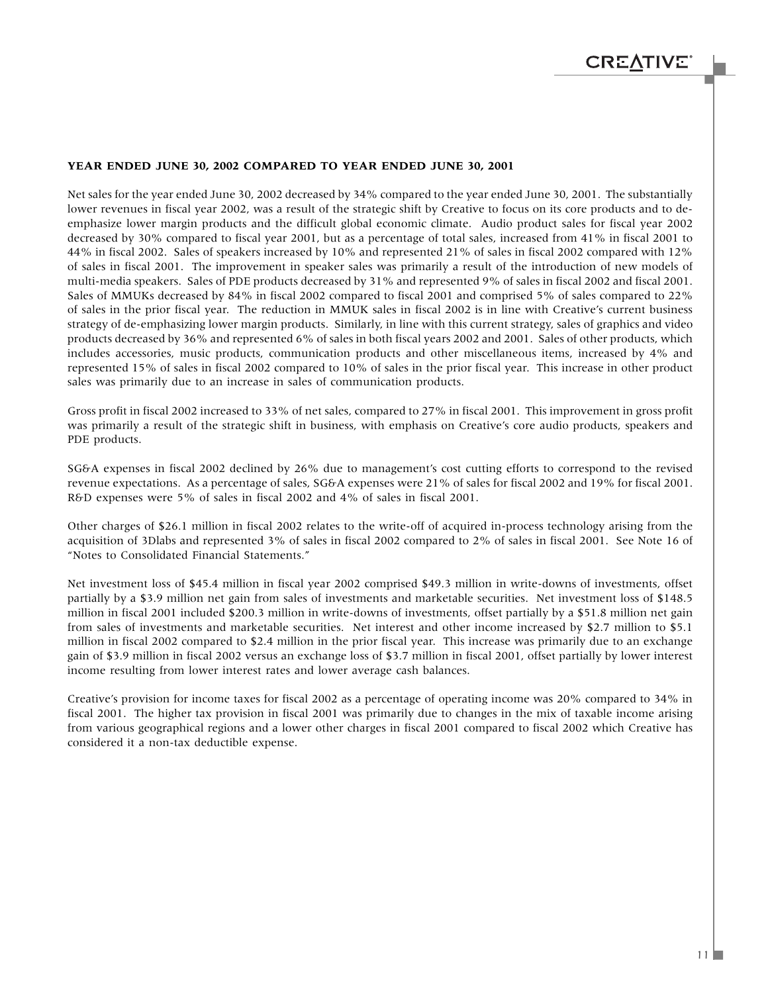#### **YEAR ENDED JUNE 30, 2002 COMPARED TO YEAR ENDED JUNE 30, 2001**

Net sales for the year ended June 30, 2002 decreased by 34% compared to the year ended June 30, 2001. The substantially lower revenues in fiscal year 2002, was a result of the strategic shift by Creative to focus on its core products and to deemphasize lower margin products and the difficult global economic climate. Audio product sales for fiscal year 2002 decreased by 30% compared to fiscal year 2001, but as a percentage of total sales, increased from 41% in fiscal 2001 to 44% in fiscal 2002. Sales of speakers increased by 10% and represented 21% of sales in fiscal 2002 compared with 12% of sales in fiscal 2001. The improvement in speaker sales was primarily a result of the introduction of new models of multi-media speakers. Sales of PDE products decreased by 31% and represented 9% of sales in fiscal 2002 and fiscal 2001. Sales of MMUKs decreased by 84% in fiscal 2002 compared to fiscal 2001 and comprised 5% of sales compared to 22% of sales in the prior fiscal year. The reduction in MMUK sales in fiscal 2002 is in line with Creative's current business strategy of de-emphasizing lower margin products. Similarly, in line with this current strategy, sales of graphics and video products decreased by 36% and represented 6% of sales in both fiscal years 2002 and 2001. Sales of other products, which includes accessories, music products, communication products and other miscellaneous items, increased by 4% and represented 15% of sales in fiscal 2002 compared to 10% of sales in the prior fiscal year. This increase in other product sales was primarily due to an increase in sales of communication products.

Gross profit in fiscal 2002 increased to 33% of net sales, compared to 27% in fiscal 2001. This improvement in gross profit was primarily a result of the strategic shift in business, with emphasis on Creative's core audio products, speakers and PDE products.

SG&A expenses in fiscal 2002 declined by 26% due to management's cost cutting efforts to correspond to the revised revenue expectations. As a percentage of sales, SG&A expenses were 21% of sales for fiscal 2002 and 19% for fiscal 2001. R&D expenses were 5% of sales in fiscal 2002 and 4% of sales in fiscal 2001.

Other charges of \$26.1 million in fiscal 2002 relates to the write-off of acquired in-process technology arising from the acquisition of 3Dlabs and represented 3% of sales in fiscal 2002 compared to 2% of sales in fiscal 2001. See Note 16 of "Notes to Consolidated Financial Statements."

Net investment loss of \$45.4 million in fiscal year 2002 comprised \$49.3 million in write-downs of investments, offset partially by a \$3.9 million net gain from sales of investments and marketable securities. Net investment loss of \$148.5 million in fiscal 2001 included \$200.3 million in write-downs of investments, offset partially by a \$51.8 million net gain from sales of investments and marketable securities. Net interest and other income increased by \$2.7 million to \$5.1 million in fiscal 2002 compared to \$2.4 million in the prior fiscal year. This increase was primarily due to an exchange gain of \$3.9 million in fiscal 2002 versus an exchange loss of \$3.7 million in fiscal 2001, offset partially by lower interest income resulting from lower interest rates and lower average cash balances.

Creative's provision for income taxes for fiscal 2002 as a percentage of operating income was 20% compared to 34% in fiscal 2001. The higher tax provision in fiscal 2001 was primarily due to changes in the mix of taxable income arising from various geographical regions and a lower other charges in fiscal 2001 compared to fiscal 2002 which Creative has considered it a non-tax deductible expense.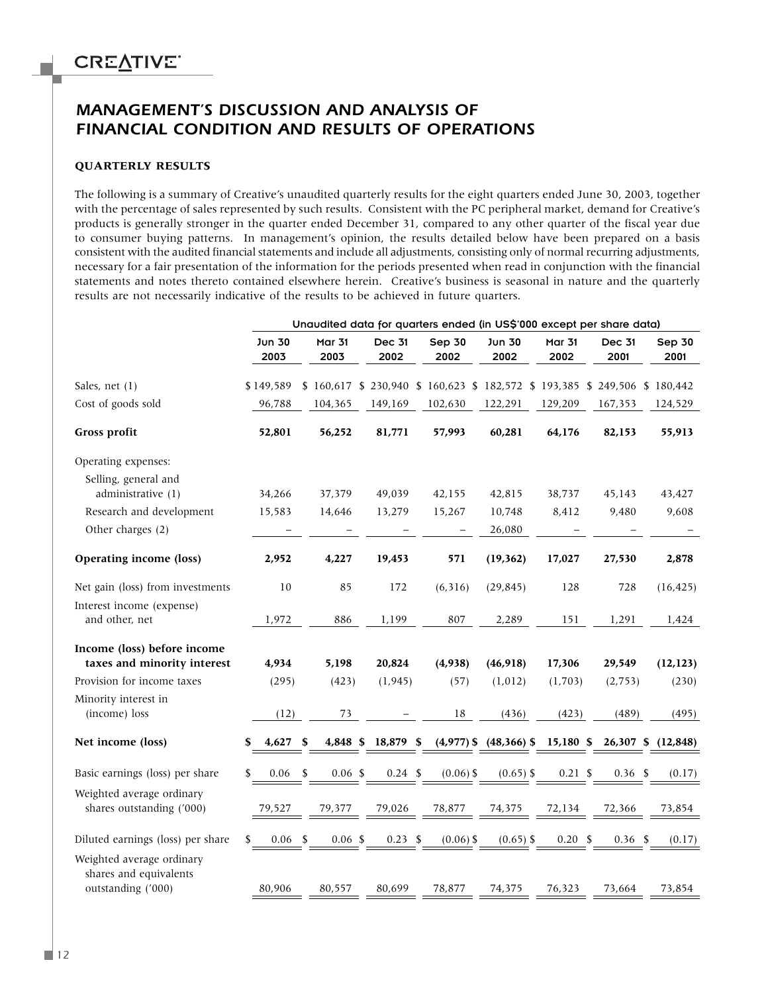### *MANAGEMENT'S DISCUSSION AND ANALYSIS OF FINANCIAL CONDITION AND RESULTS OF OPERATIONS*

#### **QUARTERLY RESULTS**

The following is a summary of Creative's unaudited quarterly results for the eight quarters ended June 30, 2003, together with the percentage of sales represented by such results. Consistent with the PC peripheral market, demand for Creative's products is generally stronger in the quarter ended December 31, compared to any other quarter of the fiscal year due to consumer buying patterns. In management's opinion, the results detailed below have been prepared on a basis consistent with the audited financial statements and include all adjustments, consisting only of normal recurring adjustments, necessary for a fair presentation of the information for the periods presented when read in conjunction with the financial statements and notes thereto contained elsewhere herein. Creative's business is seasonal in nature and the quarterly results are not necessarily indicative of the results to be achieved in future quarters.

|                                                                           | Unaudited data for quarters ended (in US\$'000 except per share data) |                                                             |                       |                |                                      |                       |                       |                       |
|---------------------------------------------------------------------------|-----------------------------------------------------------------------|-------------------------------------------------------------|-----------------------|----------------|--------------------------------------|-----------------------|-----------------------|-----------------------|
|                                                                           | Jun 30<br>2003                                                        | <b>Mar 31</b><br>2003                                       | <b>Dec 31</b><br>2002 | Sep 30<br>2002 | Jun 30<br>2002                       | <b>Mar 31</b><br>2002 | <b>Dec 31</b><br>2001 | <b>Sep 30</b><br>2001 |
| Sales, net (1)                                                            | \$149,589                                                             | \$160,617 \$230,940 \$160,623 \$182,572 \$193,385 \$249,506 |                       |                |                                      |                       |                       | \$180,442             |
| Cost of goods sold                                                        | 96,788                                                                | 104,365                                                     | 149,169               | 102,630        | 122,291                              | 129,209               | 167,353               | 124,529               |
| Gross profit                                                              | 52,801                                                                | 56,252                                                      | 81,771                | 57,993         | 60,281                               | 64,176                | 82,153                | 55,913                |
| Operating expenses:                                                       |                                                                       |                                                             |                       |                |                                      |                       |                       |                       |
| Selling, general and<br>administrative (1)                                | 34,266                                                                | 37,379                                                      | 49,039                | 42,155         | 42,815                               | 38,737                | 45,143                | 43,427                |
| Research and development                                                  | 15,583                                                                | 14,646                                                      | 13,279                | 15,267         | 10,748                               | 8,412                 | 9,480                 | 9,608                 |
| Other charges (2)                                                         |                                                                       |                                                             |                       |                | 26,080                               |                       |                       |                       |
| Operating income (loss)                                                   | 2,952                                                                 | 4,227                                                       | 19,453                | 571            | (19, 362)                            | 17,027                | 27,530                | 2,878                 |
| Net gain (loss) from investments                                          | 10                                                                    | 85                                                          | 172                   | (6, 316)       | (29, 845)                            | 128                   | 728                   | (16, 425)             |
| Interest income (expense)                                                 |                                                                       |                                                             |                       |                |                                      |                       |                       |                       |
| and other, net                                                            | 1,972                                                                 | 886                                                         | 1,199                 | 807            | 2,289                                | 151                   | 1,291                 | 1,424                 |
| Income (loss) before income<br>taxes and minority interest                | 4,934                                                                 | 5,198                                                       | 20,824                | (4,938)        | (46,918)                             | 17,306                | 29,549                | (12, 123)             |
| Provision for income taxes                                                | (295)                                                                 | (423)                                                       | (1, 945)              | (57)           | (1,012)                              | (1,703)               | (2, 753)              | (230)                 |
| Minority interest in<br>(income) loss                                     | (12)                                                                  | 73                                                          |                       | 18             | (436)                                | (423)                 | (489)                 | (495)                 |
| Net income (loss)                                                         | 4,627<br>S                                                            | 4,848 \$<br>\$                                              | 18,879 \$             |                | $(4.977)$ \$ $(48.366)$ \$ 15.180 \$ |                       |                       | 26,307 \$ (12,848)    |
| Basic earnings (loss) per share                                           | 0.06<br>\$                                                            | \$<br>$0.06 \text{ }$ \$                                    | $0.24 \text{ } $$     | $(0.06)$ \$    | $(0.65)$ \$                          | $0.21 \text{ }$ \$    | $0.36$ \$             | (0.17)                |
| Weighted average ordinary<br>shares outstanding ('000)                    | 79,527                                                                | 79,377                                                      | 79,026                | 78,877         | 74,375                               | 72,134                | 72,366                | 73,854                |
| Diluted earnings (loss) per share                                         | 0.06<br>\$                                                            | 0.06~\$<br>-S                                               | $0.23$ \$             | $(0.06)$ \$    | $(0.65)$ \$                          | 0.20<br>\$            | 0.36 <sup>5</sup>     | (0.17)                |
| Weighted average ordinary<br>shares and equivalents<br>outstanding ('000) | 80,906                                                                | 80,557                                                      | 80,699                | 78,877         | 74,375                               | 76,323                | 73,664                | 73,854                |
|                                                                           |                                                                       |                                                             |                       |                |                                      |                       |                       |                       |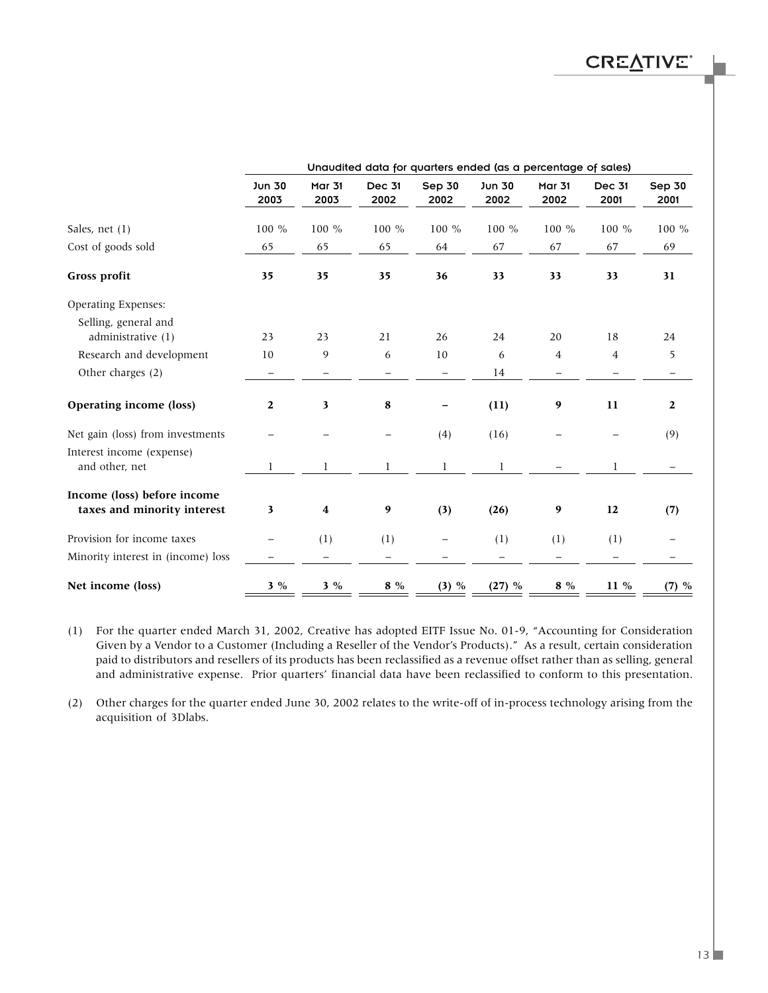|                                                            | Unaudited data for quarters ended (as a percentage of sales) |                       |                       |                |                |                       |                       |                          |  |  |
|------------------------------------------------------------|--------------------------------------------------------------|-----------------------|-----------------------|----------------|----------------|-----------------------|-----------------------|--------------------------|--|--|
|                                                            | Jun 30<br>2003                                               | <b>Mar 31</b><br>2003 | <b>Dec 31</b><br>2002 | Sep 30<br>2002 | Jun 30<br>2002 | <b>Mar 31</b><br>2002 | <b>Dec 31</b><br>2001 | Sep 30<br>2001           |  |  |
| Sales, net $(1)$                                           | 100 %                                                        | 100 %                 | 100 %                 | 100 %          | 100 %          | 100 %                 | 100 %                 | 100 %                    |  |  |
| Cost of goods sold                                         | 65                                                           | 65                    | 65                    | 64             | 67             | 67                    | 67                    | 69                       |  |  |
| Gross profit                                               | 35                                                           | 35                    | 35                    | 36             | 33             | 33                    | 33                    | 31                       |  |  |
| Operating Expenses:                                        |                                                              |                       |                       |                |                |                       |                       |                          |  |  |
| Selling, general and<br>administrative $(1)$               | 23                                                           | 23                    | 21                    | 26             | 24             | 20                    | 18                    | 24                       |  |  |
| Research and development                                   | 10                                                           | 9                     | 6                     | 10             | 6              | 4                     | $\overline{4}$        | 5                        |  |  |
| Other charges (2)                                          | —                                                            |                       |                       |                | 14             |                       |                       | $\overline{\phantom{m}}$ |  |  |
| Operating income (loss)                                    | 2                                                            | $\mathbf{3}$          | 8                     |                | (11)           | 9                     | 11                    | $\mathbf{2}$             |  |  |
| Net gain (loss) from investments                           |                                                              |                       |                       | (4)            | (16)           |                       |                       | (9)                      |  |  |
| Interest income (expense)<br>and other, net                |                                                              | 1                     | 1                     | 1              | 1              |                       | 1                     |                          |  |  |
| Income (loss) before income<br>taxes and minority interest | 3                                                            | 4                     | 9                     | (3)            | (26)           | 9                     | 12                    | (7)                      |  |  |
| Provision for income taxes                                 |                                                              | (1)                   | (1)                   |                | (1)            | (1)                   | (1)                   |                          |  |  |
| Minority interest in (income) loss                         |                                                              |                       |                       |                |                |                       |                       |                          |  |  |
| Net income (loss)                                          | $3\%$                                                        | $3\%$                 | $8\%$                 | (3) %          | (27) %         | 8 %                   | 11 %                  | (7) %                    |  |  |

(1) For the quarter ended March 31, 2002, Creative has adopted EITF Issue No. 01-9, "Accounting for Consideration Given by a Vendor to a Customer (Including a Reseller of the Vendor's Products)." As a result, certain consideration paid to distributors and resellers of its products has been reclassified as a revenue offset rather than as selling, general and administrative expense. Prior quarters' financial data have been reclassified to conform to this presentation.

(2) Other charges for the quarter ended June 30, 2002 relates to the write-off of in-process technology arising from the acquisition of 3Dlabs.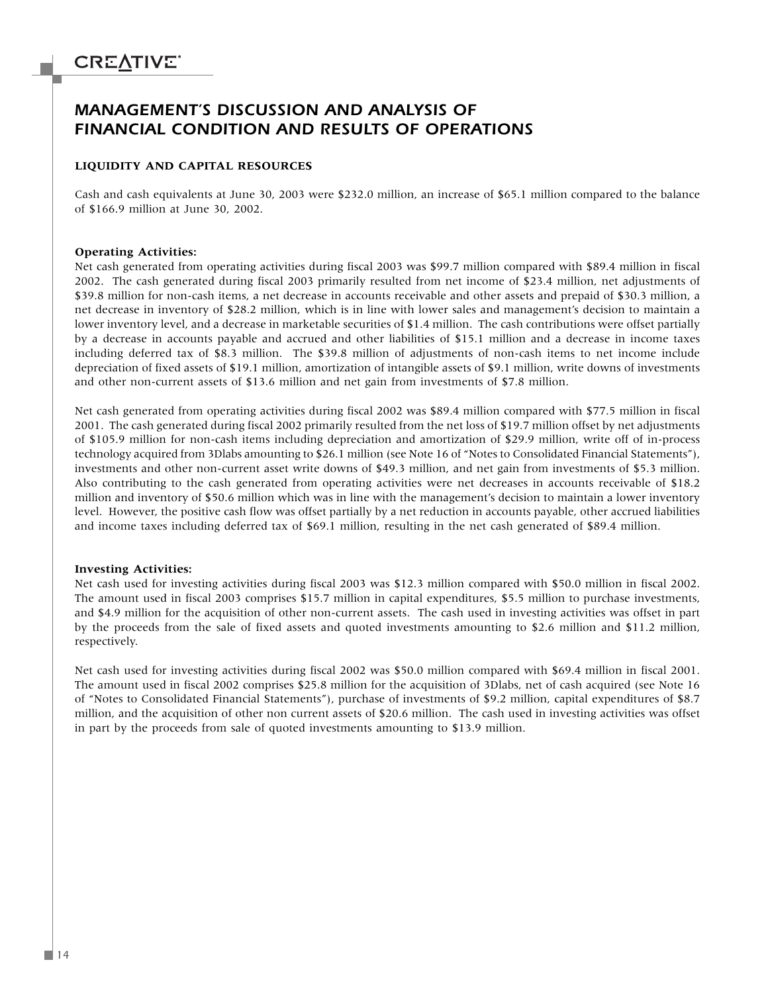### *MANAGEMENT'S DISCUSSION AND ANALYSIS OF FINANCIAL CONDITION AND RESULTS OF OPERATIONS*

#### **LIQUIDITY AND CAPITAL RESOURCES**

Cash and cash equivalents at June 30, 2003 were \$232.0 million, an increase of \$65.1 million compared to the balance of \$166.9 million at June 30, 2002.

#### **Operating Activities:**

Net cash generated from operating activities during fiscal 2003 was \$99.7 million compared with \$89.4 million in fiscal 2002. The cash generated during fiscal 2003 primarily resulted from net income of \$23.4 million, net adjustments of \$39.8 million for non-cash items, a net decrease in accounts receivable and other assets and prepaid of \$30.3 million, a net decrease in inventory of \$28.2 million, which is in line with lower sales and management's decision to maintain a lower inventory level, and a decrease in marketable securities of \$1.4 million. The cash contributions were offset partially by a decrease in accounts payable and accrued and other liabilities of \$15.1 million and a decrease in income taxes including deferred tax of \$8.3 million. The \$39.8 million of adjustments of non-cash items to net income include depreciation of fixed assets of \$19.1 million, amortization of intangible assets of \$9.1 million, write downs of investments and other non-current assets of \$13.6 million and net gain from investments of \$7.8 million.

Net cash generated from operating activities during fiscal 2002 was \$89.4 million compared with \$77.5 million in fiscal 2001. The cash generated during fiscal 2002 primarily resulted from the net loss of \$19.7 million offset by net adjustments of \$105.9 million for non-cash items including depreciation and amortization of \$29.9 million, write off of in-process technology acquired from 3Dlabs amounting to \$26.1 million (see Note 16 of "Notes to Consolidated Financial Statements"), investments and other non-current asset write downs of \$49.3 million, and net gain from investments of \$5.3 million. Also contributing to the cash generated from operating activities were net decreases in accounts receivable of \$18.2 million and inventory of \$50.6 million which was in line with the management's decision to maintain a lower inventory level. However, the positive cash flow was offset partially by a net reduction in accounts payable, other accrued liabilities and income taxes including deferred tax of \$69.1 million, resulting in the net cash generated of \$89.4 million.

#### **Investing Activities:**

Net cash used for investing activities during fiscal 2003 was \$12.3 million compared with \$50.0 million in fiscal 2002. The amount used in fiscal 2003 comprises \$15.7 million in capital expenditures, \$5.5 million to purchase investments, and \$4.9 million for the acquisition of other non-current assets. The cash used in investing activities was offset in part by the proceeds from the sale of fixed assets and quoted investments amounting to \$2.6 million and \$11.2 million, respectively.

Net cash used for investing activities during fiscal 2002 was \$50.0 million compared with \$69.4 million in fiscal 2001. The amount used in fiscal 2002 comprises \$25.8 million for the acquisition of 3Dlabs, net of cash acquired (see Note 16 of "Notes to Consolidated Financial Statements"), purchase of investments of \$9.2 million, capital expenditures of \$8.7 million, and the acquisition of other non current assets of \$20.6 million. The cash used in investing activities was offset in part by the proceeds from sale of quoted investments amounting to \$13.9 million.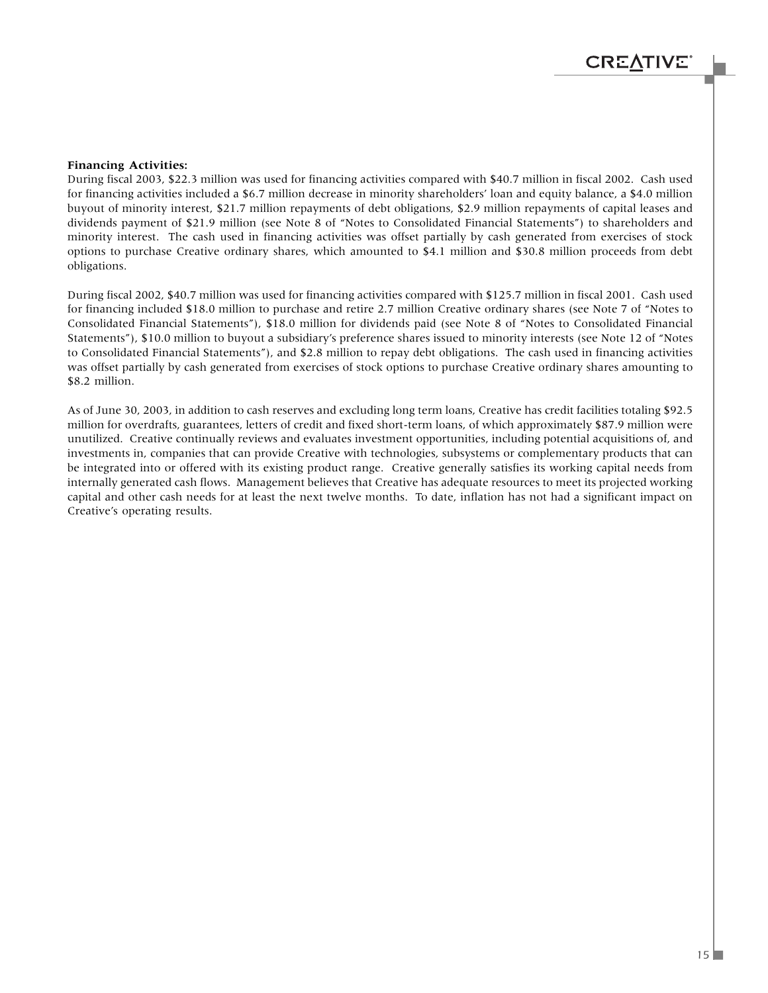#### **Financing Activities:**

During fiscal 2003, \$22.3 million was used for financing activities compared with \$40.7 million in fiscal 2002. Cash used for financing activities included a \$6.7 million decrease in minority shareholders' loan and equity balance, a \$4.0 million buyout of minority interest, \$21.7 million repayments of debt obligations, \$2.9 million repayments of capital leases and dividends payment of \$21.9 million (see Note 8 of "Notes to Consolidated Financial Statements") to shareholders and minority interest. The cash used in financing activities was offset partially by cash generated from exercises of stock options to purchase Creative ordinary shares, which amounted to \$4.1 million and \$30.8 million proceeds from debt obligations.

During fiscal 2002, \$40.7 million was used for financing activities compared with \$125.7 million in fiscal 2001. Cash used for financing included \$18.0 million to purchase and retire 2.7 million Creative ordinary shares (see Note 7 of "Notes to Consolidated Financial Statements"), \$18.0 million for dividends paid (see Note 8 of "Notes to Consolidated Financial Statements"), \$10.0 million to buyout a subsidiary's preference shares issued to minority interests (see Note 12 of "Notes to Consolidated Financial Statements"), and \$2.8 million to repay debt obligations. The cash used in financing activities was offset partially by cash generated from exercises of stock options to purchase Creative ordinary shares amounting to \$8.2 million.

As of June 30, 2003, in addition to cash reserves and excluding long term loans, Creative has credit facilities totaling \$92.5 million for overdrafts, guarantees, letters of credit and fixed short-term loans, of which approximately \$87.9 million were unutilized. Creative continually reviews and evaluates investment opportunities, including potential acquisitions of, and investments in, companies that can provide Creative with technologies, subsystems or complementary products that can be integrated into or offered with its existing product range. Creative generally satisfies its working capital needs from internally generated cash flows. Management believes that Creative has adequate resources to meet its projected working capital and other cash needs for at least the next twelve months. To date, inflation has not had a significant impact on Creative's operating results.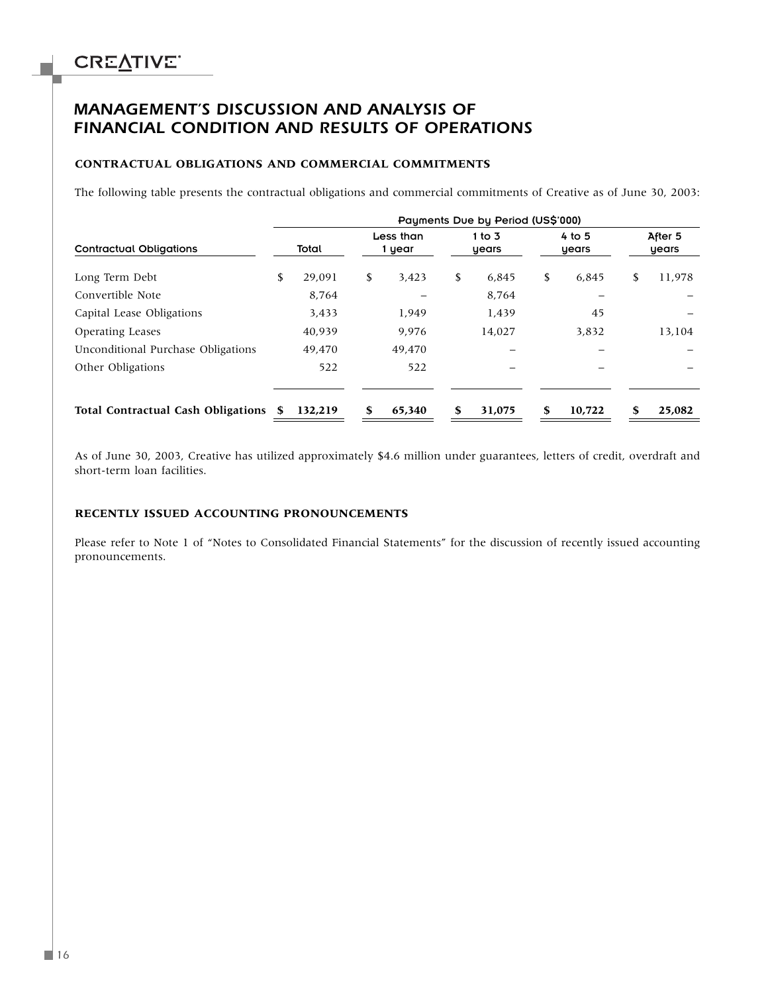### *MANAGEMENT'S DISCUSSION AND ANALYSIS OF FINANCIAL CONDITION AND RESULTS OF OPERATIONS*

#### **CONTRACTUAL OBLIGATIONS AND COMMERCIAL COMMITMENTS**

The following table presents the contractual obligations and commercial commitments of Creative as of June 30, 2003:

|                                           | Payments Due by Period (US\$'000) |         |    |                     |    |                   |    |                   |    |                  |
|-------------------------------------------|-----------------------------------|---------|----|---------------------|----|-------------------|----|-------------------|----|------------------|
| <b>Contractual Obligations</b>            |                                   | Total   |    | Less than<br>1 year |    | 1 to $3$<br>years |    | 4 to $5$<br>years |    | After 5<br>years |
| Long Term Debt                            | \$                                | 29.091  | \$ | 3,423               | \$ | 6,845             | \$ | 6.845             | S. | 11,978           |
| Convertible Note                          |                                   | 8,764   |    |                     |    | 8,764             |    |                   |    |                  |
| Capital Lease Obligations                 |                                   | 3,433   |    | 1,949               |    | 1,439             |    | 45                |    |                  |
| <b>Operating Leases</b>                   |                                   | 40,939  |    | 9.976               |    | 14,027            |    | 3.832             |    | 13,104           |
| Unconditional Purchase Obligations        |                                   | 49.470  |    | 49.470              |    |                   |    |                   |    |                  |
| Other Obligations                         |                                   | 522     |    | 522                 |    |                   |    |                   |    |                  |
| <b>Total Contractual Cash Obligations</b> |                                   | 132,219 |    | 65,340              |    | 31,075            | \$ | 10,722            |    | 25,082           |

As of June 30, 2003, Creative has utilized approximately \$4.6 million under guarantees, letters of credit, overdraft and short-term loan facilities.

#### **RECENTLY ISSUED ACCOUNTING PRONOUNCEMENTS**

Please refer to Note 1 of "Notes to Consolidated Financial Statements" for the discussion of recently issued accounting pronouncements.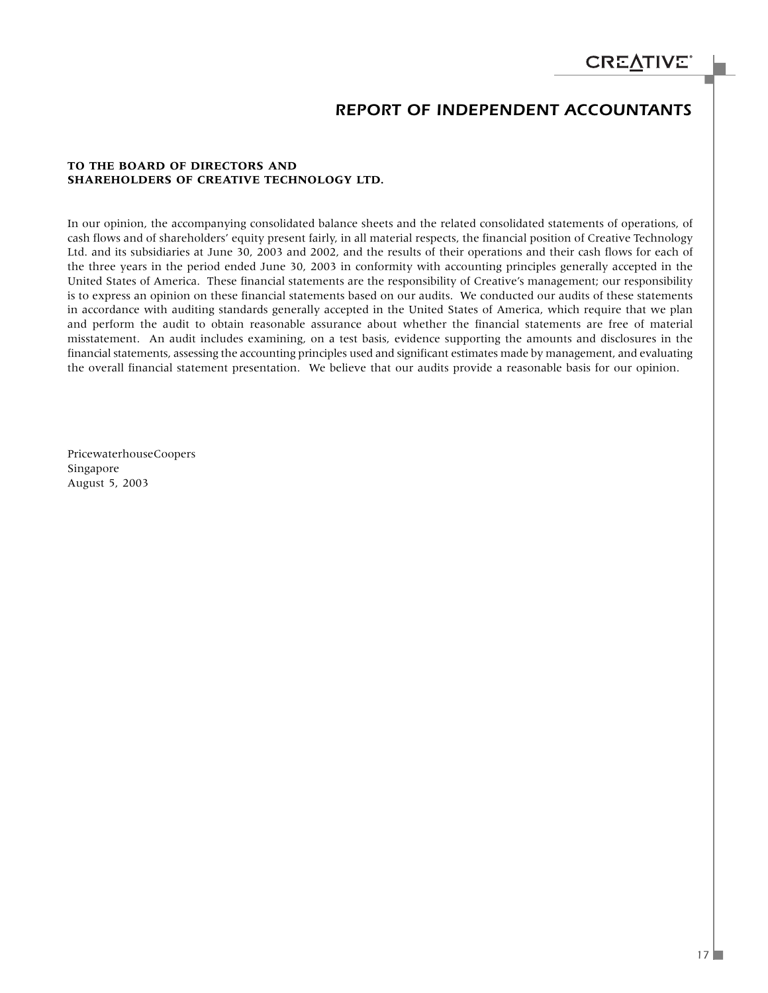### *REPORT OF INDEPENDENT ACCOUNTANTS*

#### **TO THE BOARD OF DIRECTORS AND SHAREHOLDERS OF CREATIVE TECHNOLOGY LTD.**

In our opinion, the accompanying consolidated balance sheets and the related consolidated statements of operations, of cash flows and of shareholders' equity present fairly, in all material respects, the financial position of Creative Technology Ltd. and its subsidiaries at June 30, 2003 and 2002, and the results of their operations and their cash flows for each of the three years in the period ended June 30, 2003 in conformity with accounting principles generally accepted in the United States of America. These financial statements are the responsibility of Creative's management; our responsibility is to express an opinion on these financial statements based on our audits. We conducted our audits of these statements in accordance with auditing standards generally accepted in the United States of America, which require that we plan and perform the audit to obtain reasonable assurance about whether the financial statements are free of material misstatement. An audit includes examining, on a test basis, evidence supporting the amounts and disclosures in the financial statements, assessing the accounting principles used and significant estimates made by management, and evaluating the overall financial statement presentation. We believe that our audits provide a reasonable basis for our opinion.

PricewaterhouseCoopers Singapore August 5, 2003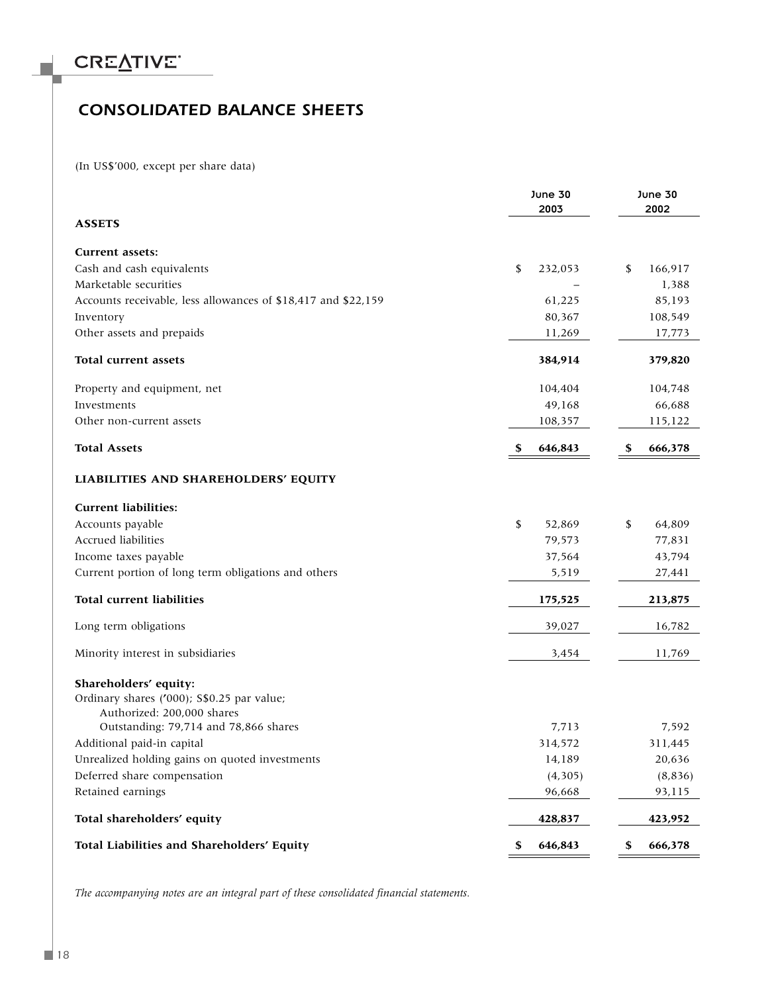### *CONSOLIDATED BALANCE SHEETS*

(In US\$'000, except per share data)

|                                                               | <b>June 30</b><br>2003 | <b>June 30</b><br>2002 |
|---------------------------------------------------------------|------------------------|------------------------|
| <b>ASSETS</b>                                                 |                        |                        |
| <b>Current assets:</b>                                        |                        |                        |
| Cash and cash equivalents                                     | \$<br>232,053          | \$<br>166,917          |
| Marketable securities                                         |                        | 1,388                  |
| Accounts receivable, less allowances of \$18,417 and \$22,159 | 61,225                 | 85,193                 |
| Inventory                                                     | 80,367                 | 108,549                |
| Other assets and prepaids                                     | 11,269                 | 17,773                 |
| Total current assets                                          | 384,914                | 379,820                |
| Property and equipment, net                                   | 104,404                | 104,748                |
| Investments                                                   | 49,168                 | 66,688                 |
| Other non-current assets                                      | 108,357                | 115,122                |
| <b>Total Assets</b>                                           | \$<br>646,843          | \$<br>666,378          |
| LIABILITIES AND SHAREHOLDERS' EQUITY                          |                        |                        |
| <b>Current liabilities:</b>                                   |                        |                        |
| Accounts payable                                              | \$<br>52,869           | \$<br>64,809           |
| Accrued liabilities                                           | 79,573                 | 77,831                 |
| Income taxes payable                                          | 37,564                 | 43,794                 |
| Current portion of long term obligations and others           | 5,519                  | 27,441                 |
| <b>Total current liabilities</b>                              | 175,525                | 213,875                |
| Long term obligations                                         | 39,027                 | 16,782                 |
| Minority interest in subsidiaries                             | 3,454                  | 11,769                 |
| Shareholders' equity:                                         |                        |                        |
| Ordinary shares ('000); S\$0.25 par value;                    |                        |                        |
| Authorized: 200,000 shares                                    |                        |                        |
| Outstanding: 79,714 and 78,866 shares                         | 7,713                  | 7,592                  |
| Additional paid-in capital                                    | 314,572                | 311,445                |
| Unrealized holding gains on quoted investments                | 14,189                 | 20,636                 |
| Deferred share compensation                                   | (4, 305)               | (8,836)                |
| Retained earnings                                             | 96,668                 | 93,115                 |
| Total shareholders' equity                                    | 428,837                | 423,952                |
| Total Liabilities and Shareholders' Equity                    | 646,843<br>\$          | \$<br>666,378          |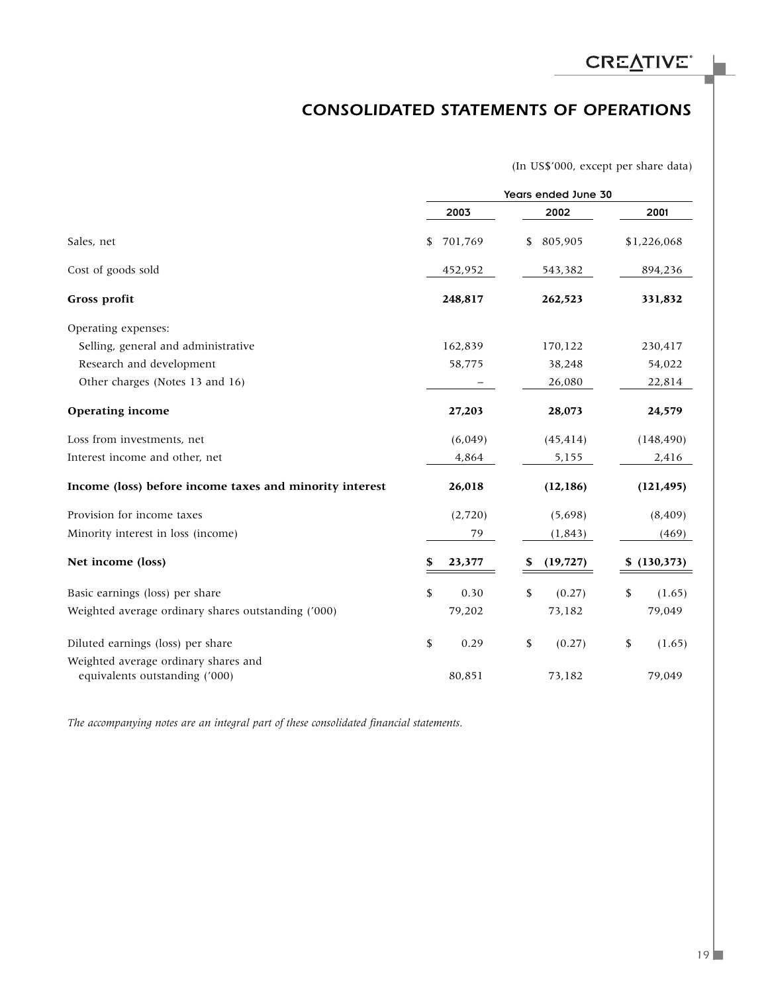### *CONSOLIDATED STATEMENTS OF OPERATIONS*

(In US\$'000, except per share data)

|                                                                        | Years ended June 30 |         |    |           |    |             |
|------------------------------------------------------------------------|---------------------|---------|----|-----------|----|-------------|
|                                                                        |                     | 2003    |    | 2002      |    | 2001        |
| Sales, net                                                             | \$                  | 701,769 | \$ | 805,905   |    | \$1,226,068 |
| Cost of goods sold                                                     |                     | 452,952 |    | 543,382   |    | 894,236     |
| Gross profit                                                           |                     | 248,817 |    | 262,523   |    | 331,832     |
| Operating expenses:                                                    |                     |         |    |           |    |             |
| Selling, general and administrative                                    |                     | 162,839 |    | 170,122   |    | 230,417     |
| Research and development                                               |                     | 58,775  |    | 38,248    |    | 54,022      |
| Other charges (Notes 13 and 16)                                        |                     |         |    | 26,080    |    | 22,814      |
| <b>Operating income</b>                                                |                     | 27,203  |    | 28,073    |    | 24,579      |
| Loss from investments, net                                             |                     | (6,049) |    | (45, 414) |    | (148, 490)  |
| Interest income and other, net                                         |                     | 4,864   |    | 5,155     |    | 2,416       |
| Income (loss) before income taxes and minority interest                |                     | 26,018  |    | (12, 186) |    | (121, 495)  |
| Provision for income taxes                                             |                     | (2,720) |    | (5,698)   |    | (8, 409)    |
| Minority interest in loss (income)                                     |                     | 79      |    | (1, 843)  |    | (469)       |
| Net income (loss)                                                      | \$                  | 23,377  | S  | (19, 727) | \$ | (130, 373)  |
| Basic earnings (loss) per share                                        | \$                  | 0.30    | \$ | (0.27)    | \$ | (1.65)      |
| Weighted average ordinary shares outstanding ('000)                    |                     | 79,202  |    | 73,182    |    | 79,049      |
| Diluted earnings (loss) per share                                      | \$                  | 0.29    | \$ | (0.27)    | \$ | (1.65)      |
| Weighted average ordinary shares and<br>equivalents outstanding ('000) |                     | 80,851  |    | 73,182    |    | 79,049      |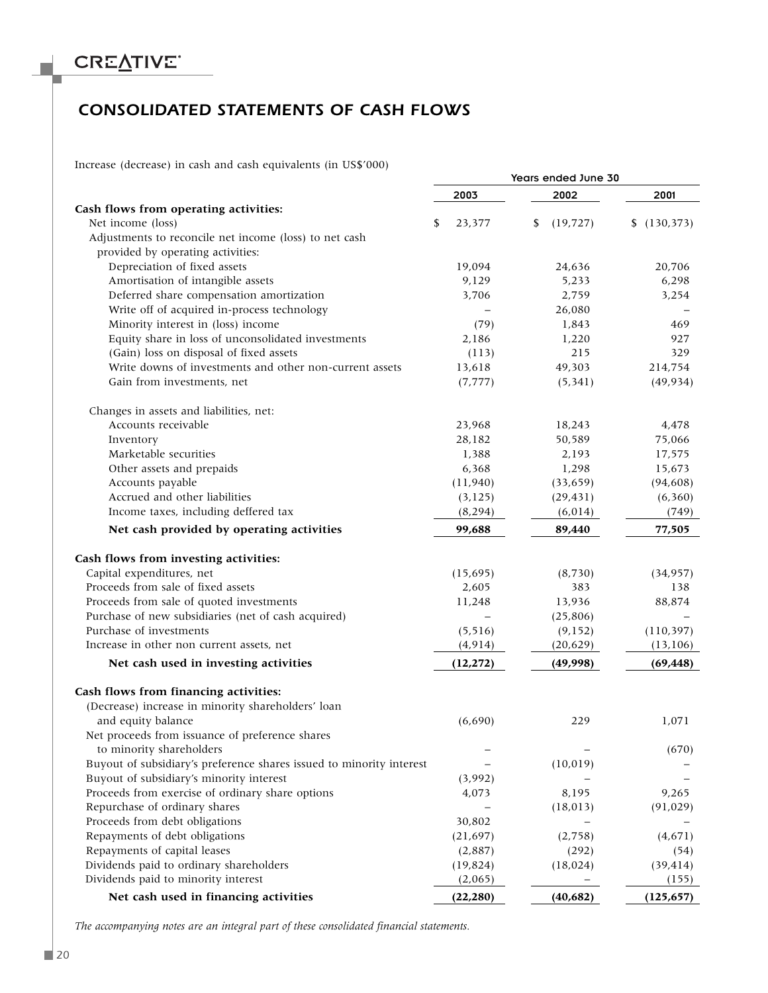### *CONSOLIDATED STATEMENTS OF CASH FLOWS*

Increase (decrease) in cash and cash equivalents (in US\$'000)

|                                                                      |              | Years ended June 30 |                  |  |  |
|----------------------------------------------------------------------|--------------|---------------------|------------------|--|--|
|                                                                      | 2003         | 2002                | 2001             |  |  |
| Cash flows from operating activities:                                |              |                     |                  |  |  |
| Net income (loss)                                                    | \$<br>23,377 | \$<br>(19, 727)     | (130, 373)<br>\$ |  |  |
| Adjustments to reconcile net income (loss) to net cash               |              |                     |                  |  |  |
| provided by operating activities:                                    |              |                     |                  |  |  |
| Depreciation of fixed assets                                         | 19,094       | 24,636              | 20,706           |  |  |
| Amortisation of intangible assets                                    | 9,129        | 5,233               | 6,298            |  |  |
| Deferred share compensation amortization                             | 3,706        | 2,759               | 3,254            |  |  |
| Write off of acquired in-process technology                          |              | 26,080              |                  |  |  |
| Minority interest in (loss) income                                   | (79)         | 1,843               | 469              |  |  |
| Equity share in loss of unconsolidated investments                   | 2,186        | 1,220               | 927              |  |  |
| (Gain) loss on disposal of fixed assets                              | (113)        | 215                 | 329              |  |  |
| Write downs of investments and other non-current assets              | 13,618       | 49,303              | 214,754          |  |  |
| Gain from investments, net                                           | (7, 777)     | (5, 341)            | (49, 934)        |  |  |
| Changes in assets and liabilities, net:                              |              |                     |                  |  |  |
| Accounts receivable                                                  | 23,968       | 18,243              | 4,478            |  |  |
| Inventory                                                            | 28,182       | 50,589              | 75,066           |  |  |
| Marketable securities                                                | 1,388        | 2,193               | 17,575           |  |  |
| Other assets and prepaids                                            | 6,368        | 1,298               | 15,673           |  |  |
| Accounts payable                                                     | (11, 940)    | (33, 659)           | (94, 608)        |  |  |
| Accrued and other liabilities                                        | (3, 125)     | (29, 431)           | (6, 360)         |  |  |
| Income taxes, including deffered tax                                 | (8, 294)     | (6,014)             | (749)            |  |  |
| Net cash provided by operating activities                            | 99,688       | 89,440              | 77,505           |  |  |
| Cash flows from investing activities:                                |              |                     |                  |  |  |
| Capital expenditures, net                                            | (15, 695)    | (8, 730)            | (34, 957)        |  |  |
| Proceeds from sale of fixed assets                                   | 2,605        | 383                 | 138              |  |  |
| Proceeds from sale of quoted investments                             | 11,248       | 13,936              | 88,874           |  |  |
| Purchase of new subsidiaries (net of cash acquired)                  |              | (25, 806)           |                  |  |  |
| Purchase of investments                                              | (5, 516)     | (9, 152)            | (110, 397)       |  |  |
| Increase in other non current assets, net                            | (4, 914)     | (20, 629)           | (13, 106)        |  |  |
| Net cash used in investing activities                                | (12, 272)    | (49,998)            | (69, 448)        |  |  |
| Cash flows from financing activities:                                |              |                     |                  |  |  |
| (Decrease) increase in minority shareholders' loan                   |              |                     |                  |  |  |
| and equity balance                                                   | (6,690)      | 229                 | 1,071            |  |  |
| Net proceeds from issuance of preference shares                      |              |                     |                  |  |  |
| to minority shareholders                                             |              |                     | (670)            |  |  |
| Buyout of subsidiary's preference shares issued to minority interest |              | (10, 019)           |                  |  |  |
| Buyout of subsidiary's minority interest                             | (3,992)      |                     |                  |  |  |
| Proceeds from exercise of ordinary share options                     | 4,073        | 8,195               | 9,265            |  |  |
| Repurchase of ordinary shares                                        |              | (18, 013)           | (91, 029)        |  |  |
| Proceeds from debt obligations                                       | 30,802       |                     |                  |  |  |
| Repayments of debt obligations                                       | (21, 697)    | (2,758)             | (4,671)          |  |  |
| Repayments of capital leases                                         | (2,887)      | (292)               | (54)             |  |  |
| Dividends paid to ordinary shareholders                              | (19, 824)    | (18, 024)           | (39, 414)        |  |  |
| Dividends paid to minority interest                                  | (2,065)      |                     | (155)            |  |  |
| Net cash used in financing activities                                | (22, 280)    | (40, 682)           | (125, 657)       |  |  |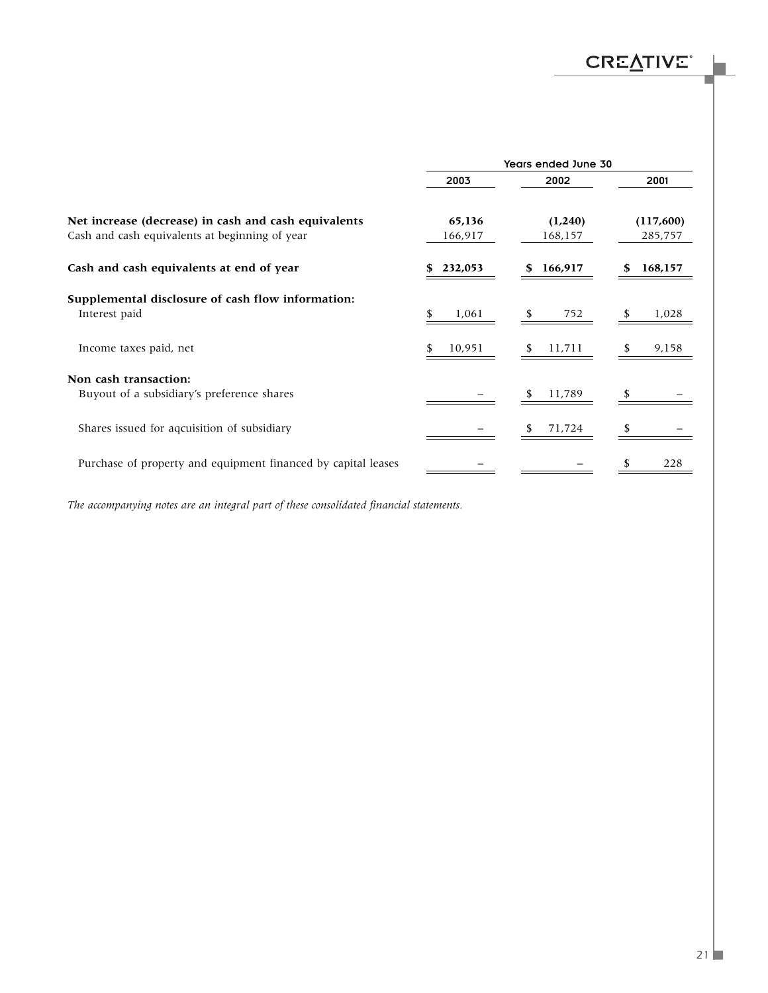|                                                               | Years ended June 30 |         |           |  |  |
|---------------------------------------------------------------|---------------------|---------|-----------|--|--|
|                                                               | 2003                | 2002    | 2001      |  |  |
| Net increase (decrease) in cash and cash equivalents          | 65,136              | (1,240) | (117,600) |  |  |
| Cash and cash equivalents at beginning of year                | 166,917             | 168,157 | 285,757   |  |  |
| Cash and cash equivalents at end of year                      | 232,053             | 166,917 | 168,157   |  |  |
| Supplemental disclosure of cash flow information:             |                     |         |           |  |  |
| Interest paid                                                 | 1,061               | 752     | 1,028     |  |  |
| Income taxes paid, net                                        | 10,951              | 11,711  | 9,158     |  |  |
| Non cash transaction:                                         |                     |         |           |  |  |
| Buyout of a subsidiary's preference shares                    |                     | 11,789  |           |  |  |
| Shares issued for aqcuisition of subsidiary                   |                     | 71,724  |           |  |  |
| Purchase of property and equipment financed by capital leases |                     |         | 228       |  |  |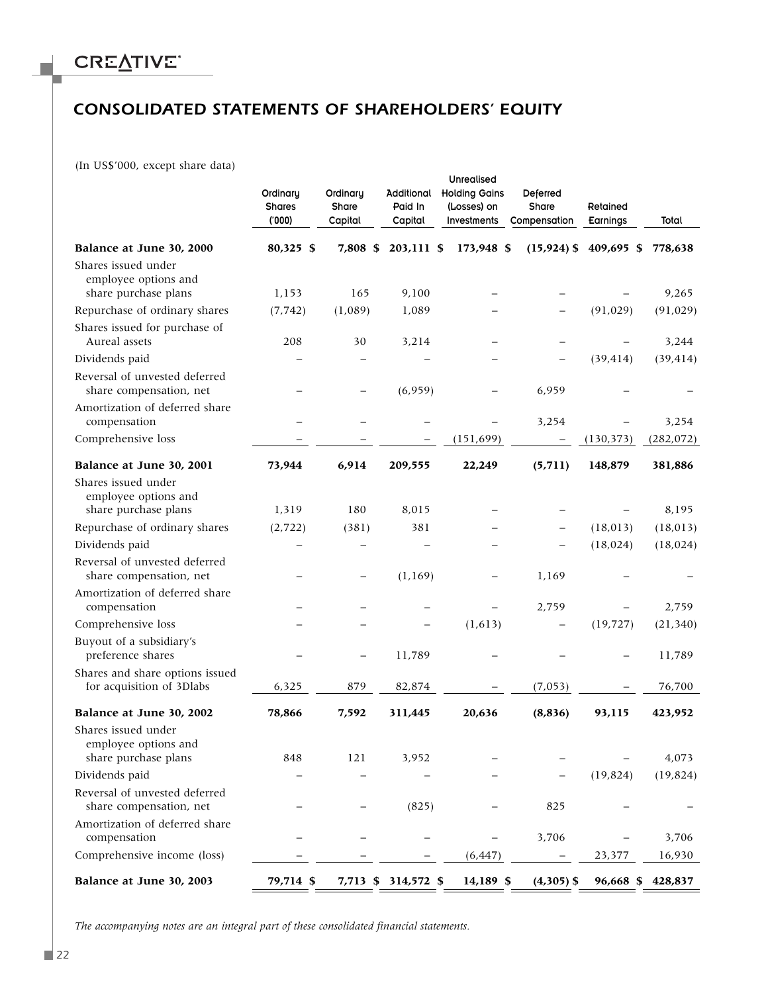### *CONSOLIDATED STATEMENTS OF SHAREHOLDERS' EQUITY*

(In US\$'000, except share data)

|                                                                     | Ordinary<br><b>Shares</b><br>(000) | Ordinary<br>Share<br>Capital | Additional<br>Paid In<br>Capital | Unrealised<br><b>Holding Gains</b><br>(Losses) on<br><b>Investments</b> | Deferred<br>Share<br>Compensation | Retained<br>Earnings | Total              |
|---------------------------------------------------------------------|------------------------------------|------------------------------|----------------------------------|-------------------------------------------------------------------------|-----------------------------------|----------------------|--------------------|
| Balance at June 30, 2000                                            | 80,325 \$                          | 7,808 \$                     | 203,111 \$                       | 173,948 \$                                                              | $(15, 924)$ \$                    | 409,695 \$           | 778,638            |
| Shares issued under<br>employee options and<br>share purchase plans | 1,153                              | 165                          | 9,100                            |                                                                         |                                   |                      | 9,265              |
| Repurchase of ordinary shares                                       | (7, 742)                           | (1,089)                      | 1,089                            |                                                                         |                                   | (91, 029)            | (91, 029)          |
| Shares issued for purchase of<br>Aureal assets                      | 208                                | 30                           | 3,214                            |                                                                         |                                   |                      | 3,244              |
| Dividends paid                                                      |                                    |                              |                                  |                                                                         |                                   | (39, 414)            | (39, 414)          |
| Reversal of unvested deferred<br>share compensation, net            |                                    |                              | (6,959)                          |                                                                         | 6,959                             |                      |                    |
| Amortization of deferred share<br>compensation                      |                                    |                              |                                  |                                                                         | 3,254                             |                      | 3,254              |
| Comprehensive loss                                                  |                                    |                              |                                  | (151, 699)                                                              | $\qquad \qquad -$                 | (130, 373)           | (282, 072)         |
| Balance at June 30, 2001                                            | 73,944                             | 6,914                        | 209,555                          | 22,249                                                                  | (5, 711)                          | 148,879              | 381,886            |
| Shares issued under<br>employee options and                         |                                    |                              |                                  |                                                                         |                                   |                      |                    |
| share purchase plans<br>Repurchase of ordinary shares               | 1,319<br>(2, 722)                  | 180<br>(381)                 | 8,015<br>381                     |                                                                         |                                   | (18, 013)            | 8,195<br>(18, 013) |
| Dividends paid                                                      |                                    |                              |                                  |                                                                         |                                   | (18, 024)            | (18, 024)          |
| Reversal of unvested deferred<br>share compensation, net            |                                    |                              | (1, 169)                         |                                                                         | 1,169                             |                      |                    |
| Amortization of deferred share<br>compensation                      |                                    |                              |                                  |                                                                         | 2,759                             |                      | 2,759              |
| Comprehensive loss                                                  |                                    |                              |                                  | (1,613)                                                                 |                                   | (19, 727)            | (21, 340)          |
| Buyout of a subsidiary's<br>preference shares                       |                                    |                              | 11,789                           |                                                                         |                                   |                      | 11,789             |
| Shares and share options issued<br>for acquisition of 3Dlabs        | 6,325                              | 879                          | 82,874                           |                                                                         | (7,053)                           |                      | 76,700             |
| Balance at June 30, 2002                                            | 78,866                             | 7,592                        | 311,445                          | 20,636                                                                  | (8,836)                           | 93,115               | 423,952            |
| Shares issued under<br>employee options and                         |                                    |                              |                                  |                                                                         |                                   |                      |                    |
| share purchase plans                                                | 848                                | 121                          | 3,952                            |                                                                         |                                   |                      | 4,073              |
| Dividends paid<br>Reversal of unvested deferred                     |                                    |                              |                                  |                                                                         |                                   | (19, 824)            | (19, 824)          |
| share compensation, net                                             |                                    |                              | (825)                            |                                                                         | 825                               |                      |                    |
| Amortization of deferred share<br>compensation                      |                                    |                              |                                  |                                                                         | 3,706                             |                      | 3,706              |
| Comprehensive income (loss)                                         |                                    |                              |                                  | (6, 447)                                                                |                                   | 23,377               | 16,930             |
| Balance at June 30, 2003                                            | 79,714 \$                          |                              | 7,713 \$ 314,572 \$              | 14,189 \$                                                               | $(4,305)$ \$                      | 96,668 \$            | 428,837            |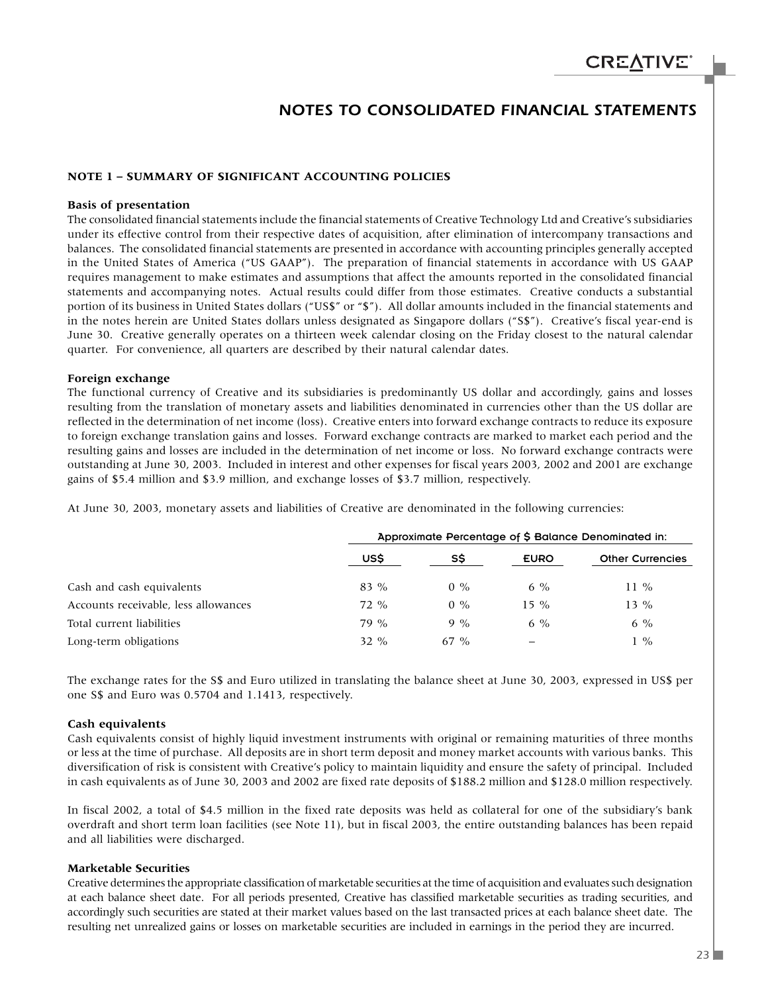### *NOTES TO CONSOLIDATED FINANCIAL STATEMENTS*

#### **NOTE 1 – SUMMARY OF SIGNIFICANT ACCOUNTING POLICIES**

#### **Basis of presentation**

The consolidated financial statements include the financial statements of Creative Technology Ltd and Creative's subsidiaries under its effective control from their respective dates of acquisition, after elimination of intercompany transactions and balances. The consolidated financial statements are presented in accordance with accounting principles generally accepted in the United States of America ("US GAAP"). The preparation of financial statements in accordance with US GAAP requires management to make estimates and assumptions that affect the amounts reported in the consolidated financial statements and accompanying notes. Actual results could differ from those estimates. Creative conducts a substantial portion of its business in United States dollars ("US\$" or "\$"). All dollar amounts included in the financial statements and in the notes herein are United States dollars unless designated as Singapore dollars ("S\$"). Creative's fiscal year-end is June 30. Creative generally operates on a thirteen week calendar closing on the Friday closest to the natural calendar quarter. For convenience, all quarters are described by their natural calendar dates.

#### **Foreign exchange**

The functional currency of Creative and its subsidiaries is predominantly US dollar and accordingly, gains and losses resulting from the translation of monetary assets and liabilities denominated in currencies other than the US dollar are reflected in the determination of net income (loss). Creative enters into forward exchange contracts to reduce its exposure to foreign exchange translation gains and losses. Forward exchange contracts are marked to market each period and the resulting gains and losses are included in the determination of net income or loss. No forward exchange contracts were outstanding at June 30, 2003. Included in interest and other expenses for fiscal years 2003, 2002 and 2001 are exchange gains of \$5.4 million and \$3.9 million, and exchange losses of \$3.7 million, respectively.

At June 30, 2003, monetary assets and liabilities of Creative are denominated in the following currencies:

|                                      | Approximate Percentage of \$ Balance Denominated in: |        |             |                         |  |
|--------------------------------------|------------------------------------------------------|--------|-------------|-------------------------|--|
|                                      | USS                                                  | SS     | <b>EURO</b> | <b>Other Currencies</b> |  |
| Cash and cash equivalents            | 83 %                                                 | $0\%$  | 6 %         | $11\%$                  |  |
| Accounts receivable, less allowances | $72\%$                                               | $0\%$  | $15\%$      | $13\%$                  |  |
| Total current liabilities            | 79 %                                                 | $9\%$  | 6 $\%$      | $6\%$                   |  |
| Long-term obligations                | 32 %                                                 | $67\%$ | —           | $\frac{6}{6}$           |  |

The exchange rates for the S\$ and Euro utilized in translating the balance sheet at June 30, 2003, expressed in US\$ per one S\$ and Euro was 0.5704 and 1.1413, respectively.

#### **Cash equivalents**

Cash equivalents consist of highly liquid investment instruments with original or remaining maturities of three months or less at the time of purchase. All deposits are in short term deposit and money market accounts with various banks. This diversification of risk is consistent with Creative's policy to maintain liquidity and ensure the safety of principal. Included in cash equivalents as of June 30, 2003 and 2002 are fixed rate deposits of \$188.2 million and \$128.0 million respectively.

In fiscal 2002, a total of \$4.5 million in the fixed rate deposits was held as collateral for one of the subsidiary's bank overdraft and short term loan facilities (see Note 11), but in fiscal 2003, the entire outstanding balances has been repaid and all liabilities were discharged.

#### **Marketable Securities**

Creative determines the appropriate classification of marketable securities at the time of acquisition and evaluates such designation at each balance sheet date. For all periods presented, Creative has classified marketable securities as trading securities, and accordingly such securities are stated at their market values based on the last transacted prices at each balance sheet date. The resulting net unrealized gains or losses on marketable securities are included in earnings in the period they are incurred.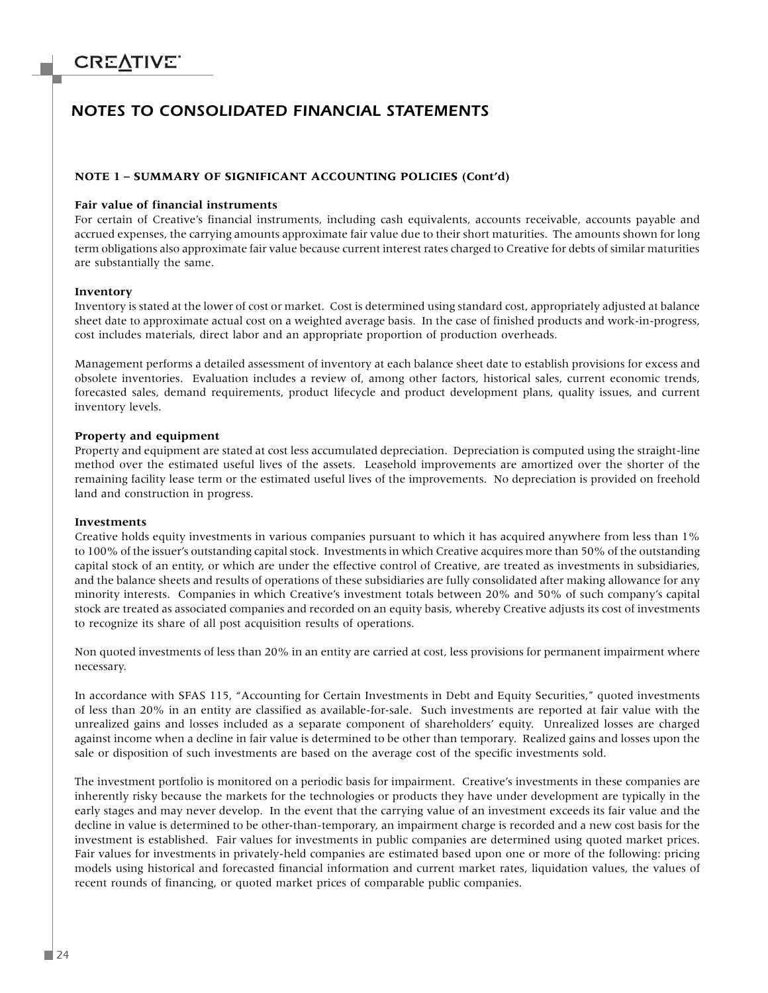### *NOTES TO CONSOLIDATED FINANCIAL STATEMENTS*

#### **NOTE 1 – SUMMARY OF SIGNIFICANT ACCOUNTING POLICIES (Cont'd)**

#### **Fair value of financial instruments**

For certain of Creative's financial instruments, including cash equivalents, accounts receivable, accounts payable and accrued expenses, the carrying amounts approximate fair value due to their short maturities. The amounts shown for long term obligations also approximate fair value because current interest rates charged to Creative for debts of similar maturities are substantially the same.

#### **Inventory**

Inventory is stated at the lower of cost or market. Cost is determined using standard cost, appropriately adjusted at balance sheet date to approximate actual cost on a weighted average basis. In the case of finished products and work-in-progress, cost includes materials, direct labor and an appropriate proportion of production overheads.

Management performs a detailed assessment of inventory at each balance sheet date to establish provisions for excess and obsolete inventories. Evaluation includes a review of, among other factors, historical sales, current economic trends, forecasted sales, demand requirements, product lifecycle and product development plans, quality issues, and current inventory levels.

#### **Property and equipment**

Property and equipment are stated at cost less accumulated depreciation. Depreciation is computed using the straight-line method over the estimated useful lives of the assets. Leasehold improvements are amortized over the shorter of the remaining facility lease term or the estimated useful lives of the improvements. No depreciation is provided on freehold land and construction in progress.

#### **Investments**

Creative holds equity investments in various companies pursuant to which it has acquired anywhere from less than 1% to 100% of the issuer's outstanding capital stock. Investments in which Creative acquires more than 50% of the outstanding capital stock of an entity, or which are under the effective control of Creative, are treated as investments in subsidiaries, and the balance sheets and results of operations of these subsidiaries are fully consolidated after making allowance for any minority interests. Companies in which Creative's investment totals between 20% and 50% of such company's capital stock are treated as associated companies and recorded on an equity basis, whereby Creative adjusts its cost of investments to recognize its share of all post acquisition results of operations.

Non quoted investments of less than 20% in an entity are carried at cost, less provisions for permanent impairment where necessary.

In accordance with SFAS 115, "Accounting for Certain Investments in Debt and Equity Securities," quoted investments of less than 20% in an entity are classified as available-for-sale. Such investments are reported at fair value with the unrealized gains and losses included as a separate component of shareholders' equity. Unrealized losses are charged against income when a decline in fair value is determined to be other than temporary. Realized gains and losses upon the sale or disposition of such investments are based on the average cost of the specific investments sold.

The investment portfolio is monitored on a periodic basis for impairment. Creative's investments in these companies are inherently risky because the markets for the technologies or products they have under development are typically in the early stages and may never develop. In the event that the carrying value of an investment exceeds its fair value and the decline in value is determined to be other-than-temporary, an impairment charge is recorded and a new cost basis for the investment is established. Fair values for investments in public companies are determined using quoted market prices. Fair values for investments in privately-held companies are estimated based upon one or more of the following: pricing models using historical and forecasted financial information and current market rates, liquidation values, the values of recent rounds of financing, or quoted market prices of comparable public companies.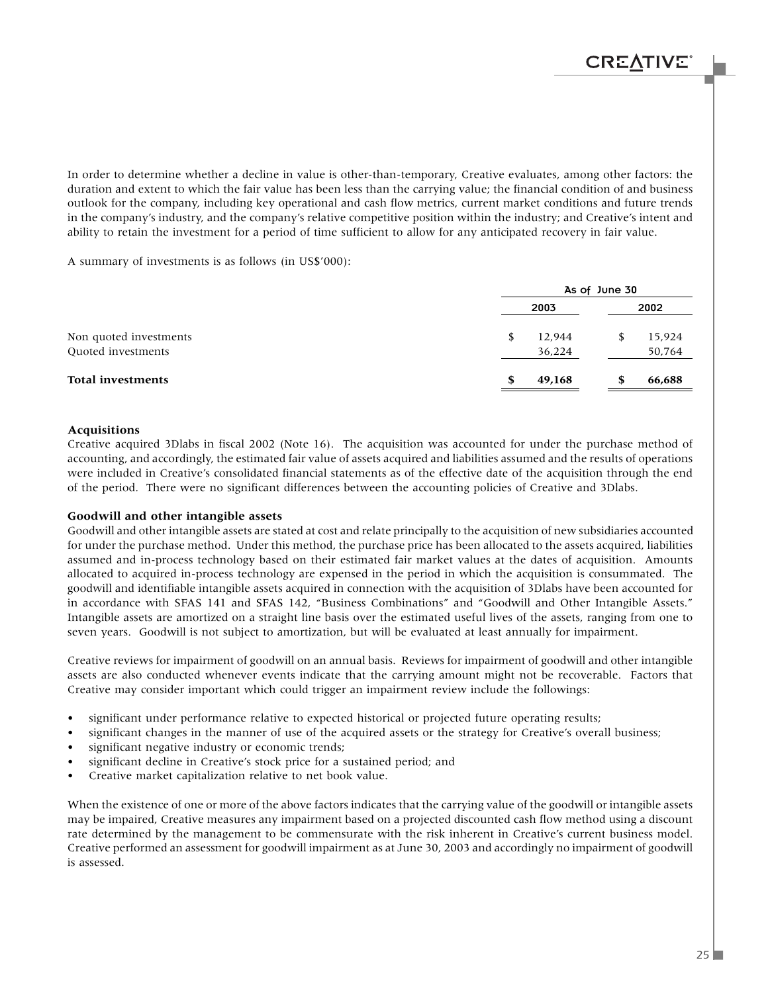In order to determine whether a decline in value is other-than-temporary, Creative evaluates, among other factors: the duration and extent to which the fair value has been less than the carrying value; the financial condition of and business outlook for the company, including key operational and cash flow metrics, current market conditions and future trends in the company's industry, and the company's relative competitive position within the industry; and Creative's intent and ability to retain the investment for a period of time sufficient to allow for any anticipated recovery in fair value.

A summary of investments is as follows (in US\$'000):

|                          | As of June 30 |        |   |        |  |
|--------------------------|---------------|--------|---|--------|--|
|                          |               | 2003   |   | 2002   |  |
| Non quoted investments   | S             | 12,944 | S | 15,924 |  |
| Quoted investments       |               | 36,224 |   | 50,764 |  |
| <b>Total investments</b> |               | 49,168 | S | 66,688 |  |

#### **Acquisitions**

Creative acquired 3Dlabs in fiscal 2002 (Note 16). The acquisition was accounted for under the purchase method of accounting, and accordingly, the estimated fair value of assets acquired and liabilities assumed and the results of operations were included in Creative's consolidated financial statements as of the effective date of the acquisition through the end of the period. There were no significant differences between the accounting policies of Creative and 3Dlabs.

#### **Goodwill and other intangible assets**

Goodwill and other intangible assets are stated at cost and relate principally to the acquisition of new subsidiaries accounted for under the purchase method. Under this method, the purchase price has been allocated to the assets acquired, liabilities assumed and in-process technology based on their estimated fair market values at the dates of acquisition. Amounts allocated to acquired in-process technology are expensed in the period in which the acquisition is consummated. The goodwill and identifiable intangible assets acquired in connection with the acquisition of 3Dlabs have been accounted for in accordance with SFAS 141 and SFAS 142, "Business Combinations" and "Goodwill and Other Intangible Assets." Intangible assets are amortized on a straight line basis over the estimated useful lives of the assets, ranging from one to seven years. Goodwill is not subject to amortization, but will be evaluated at least annually for impairment.

Creative reviews for impairment of goodwill on an annual basis. Reviews for impairment of goodwill and other intangible assets are also conducted whenever events indicate that the carrying amount might not be recoverable. Factors that Creative may consider important which could trigger an impairment review include the followings:

- significant under performance relative to expected historical or projected future operating results;
- significant changes in the manner of use of the acquired assets or the strategy for Creative's overall business;
- significant negative industry or economic trends;
- significant decline in Creative's stock price for a sustained period; and
- Creative market capitalization relative to net book value.

When the existence of one or more of the above factors indicates that the carrying value of the goodwill or intangible assets may be impaired, Creative measures any impairment based on a projected discounted cash flow method using a discount rate determined by the management to be commensurate with the risk inherent in Creative's current business model. Creative performed an assessment for goodwill impairment as at June 30, 2003 and accordingly no impairment of goodwill is assessed.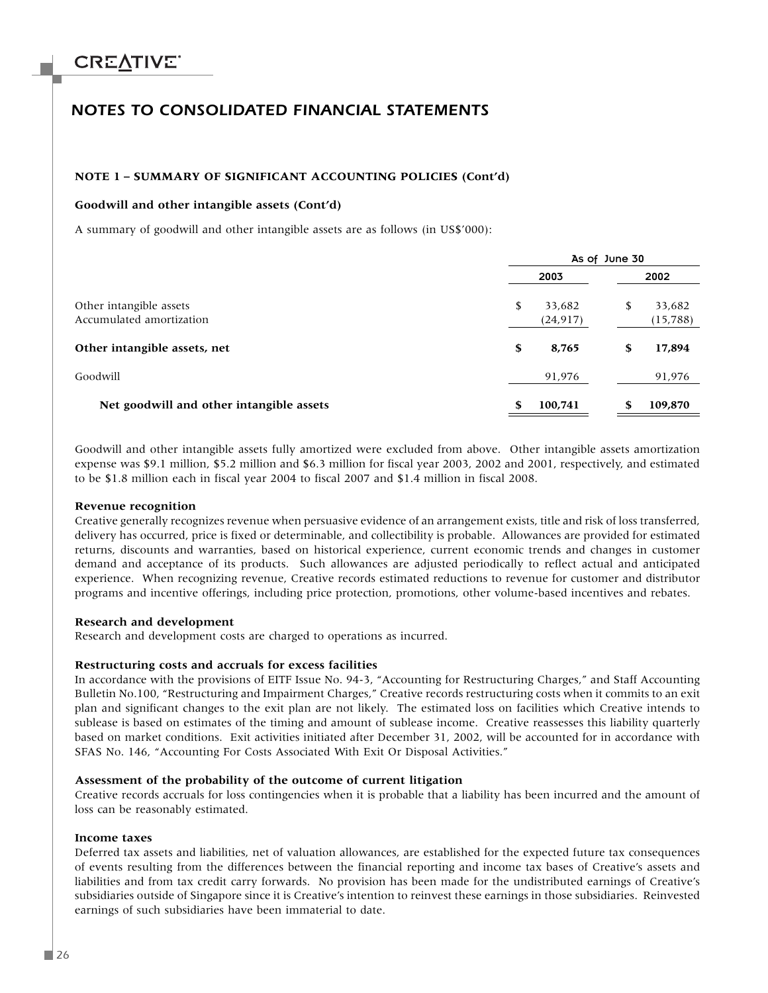### *NOTES TO CONSOLIDATED FINANCIAL STATEMENTS*

#### **NOTE 1 – SUMMARY OF SIGNIFICANT ACCOUNTING POLICIES (Cont'd)**

#### **Goodwill and other intangible assets (Cont'd)**

A summary of goodwill and other intangible assets are as follows (in US\$'000):

|                                                     | As of June 30 |                     |    |                     |
|-----------------------------------------------------|---------------|---------------------|----|---------------------|
|                                                     |               | 2003                |    | 2002                |
| Other intangible assets<br>Accumulated amortization | S             | 33,682<br>(24, 917) | S  | 33,682<br>(15, 788) |
| Other intangible assets, net                        | S             | 8,765               | \$ | 17,894              |
| Goodwill                                            |               | 91,976              |    | 91,976              |
| Net goodwill and other intangible assets            |               | 100,741             | \$ | 109,870             |

Goodwill and other intangible assets fully amortized were excluded from above. Other intangible assets amortization expense was \$9.1 million, \$5.2 million and \$6.3 million for fiscal year 2003, 2002 and 2001, respectively, and estimated to be \$1.8 million each in fiscal year 2004 to fiscal 2007 and \$1.4 million in fiscal 2008.

#### **Revenue recognition**

Creative generally recognizes revenue when persuasive evidence of an arrangement exists, title and risk of loss transferred, delivery has occurred, price is fixed or determinable, and collectibility is probable. Allowances are provided for estimated returns, discounts and warranties, based on historical experience, current economic trends and changes in customer demand and acceptance of its products. Such allowances are adjusted periodically to reflect actual and anticipated experience. When recognizing revenue, Creative records estimated reductions to revenue for customer and distributor programs and incentive offerings, including price protection, promotions, other volume-based incentives and rebates.

#### **Research and development**

Research and development costs are charged to operations as incurred.

#### **Restructuring costs and accruals for excess facilities**

In accordance with the provisions of EITF Issue No. 94-3, "Accounting for Restructuring Charges," and Staff Accounting Bulletin No.100, "Restructuring and Impairment Charges," Creative records restructuring costs when it commits to an exit plan and significant changes to the exit plan are not likely. The estimated loss on facilities which Creative intends to sublease is based on estimates of the timing and amount of sublease income. Creative reassesses this liability quarterly based on market conditions. Exit activities initiated after December 31, 2002, will be accounted for in accordance with SFAS No. 146, "Accounting For Costs Associated With Exit Or Disposal Activities."

#### **Assessment of the probability of the outcome of current litigation**

Creative records accruals for loss contingencies when it is probable that a liability has been incurred and the amount of loss can be reasonably estimated.

#### **Income taxes**

Deferred tax assets and liabilities, net of valuation allowances, are established for the expected future tax consequences of events resulting from the differences between the financial reporting and income tax bases of Creative's assets and liabilities and from tax credit carry forwards. No provision has been made for the undistributed earnings of Creative's subsidiaries outside of Singapore since it is Creative's intention to reinvest these earnings in those subsidiaries. Reinvested earnings of such subsidiaries have been immaterial to date.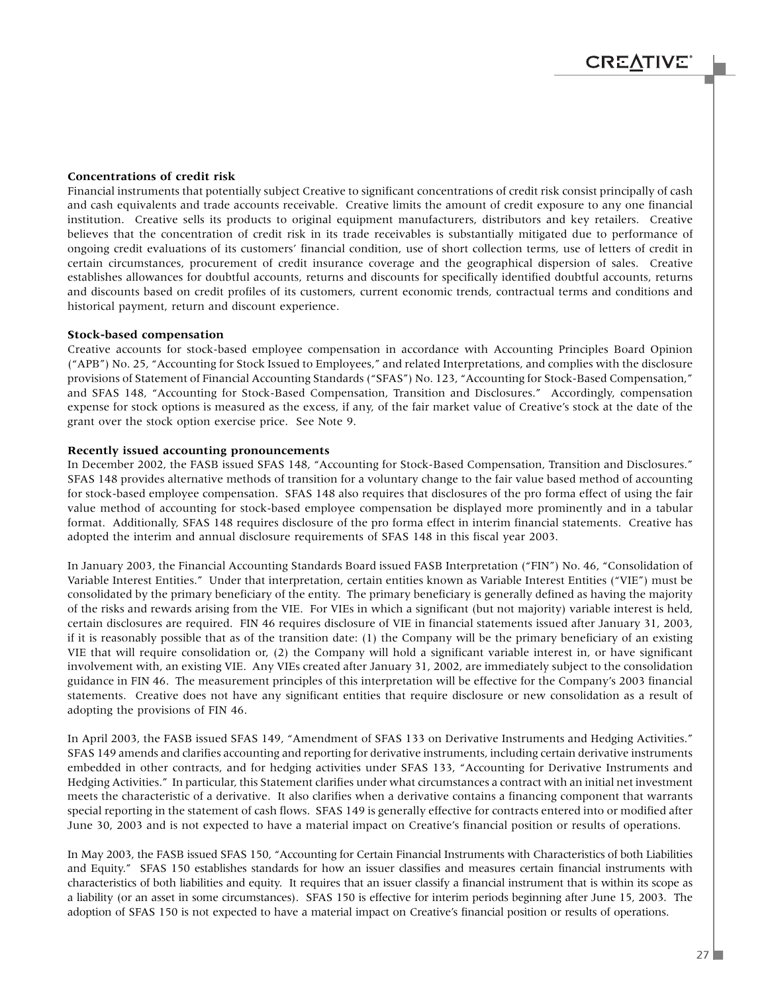#### **Concentrations of credit risk**

Financial instruments that potentially subject Creative to significant concentrations of credit risk consist principally of cash and cash equivalents and trade accounts receivable. Creative limits the amount of credit exposure to any one financial institution. Creative sells its products to original equipment manufacturers, distributors and key retailers. Creative believes that the concentration of credit risk in its trade receivables is substantially mitigated due to performance of ongoing credit evaluations of its customers' financial condition, use of short collection terms, use of letters of credit in certain circumstances, procurement of credit insurance coverage and the geographical dispersion of sales. Creative establishes allowances for doubtful accounts, returns and discounts for specifically identified doubtful accounts, returns and discounts based on credit profiles of its customers, current economic trends, contractual terms and conditions and historical payment, return and discount experience.

#### **Stock-based compensation**

Creative accounts for stock-based employee compensation in accordance with Accounting Principles Board Opinion ("APB") No. 25, "Accounting for Stock Issued to Employees," and related Interpretations, and complies with the disclosure provisions of Statement of Financial Accounting Standards ("SFAS") No. 123, "Accounting for Stock-Based Compensation," and SFAS 148, "Accounting for Stock-Based Compensation, Transition and Disclosures." Accordingly, compensation expense for stock options is measured as the excess, if any, of the fair market value of Creative's stock at the date of the grant over the stock option exercise price. See Note 9.

#### **Recently issued accounting pronouncements**

In December 2002, the FASB issued SFAS 148, "Accounting for Stock-Based Compensation, Transition and Disclosures." SFAS 148 provides alternative methods of transition for a voluntary change to the fair value based method of accounting for stock-based employee compensation. SFAS 148 also requires that disclosures of the pro forma effect of using the fair value method of accounting for stock-based employee compensation be displayed more prominently and in a tabular format. Additionally, SFAS 148 requires disclosure of the pro forma effect in interim financial statements. Creative has adopted the interim and annual disclosure requirements of SFAS 148 in this fiscal year 2003.

In January 2003, the Financial Accounting Standards Board issued FASB Interpretation ("FIN") No. 46, "Consolidation of Variable Interest Entities." Under that interpretation, certain entities known as Variable Interest Entities ("VIE") must be consolidated by the primary beneficiary of the entity. The primary beneficiary is generally defined as having the majority of the risks and rewards arising from the VIE. For VIEs in which a significant (but not majority) variable interest is held, certain disclosures are required. FIN 46 requires disclosure of VIE in financial statements issued after January 31, 2003, if it is reasonably possible that as of the transition date: (1) the Company will be the primary beneficiary of an existing VIE that will require consolidation or, (2) the Company will hold a significant variable interest in, or have significant involvement with, an existing VIE. Any VIEs created after January 31, 2002, are immediately subject to the consolidation guidance in FIN 46. The measurement principles of this interpretation will be effective for the Company's 2003 financial statements. Creative does not have any significant entities that require disclosure or new consolidation as a result of adopting the provisions of FIN 46.

In April 2003, the FASB issued SFAS 149, "Amendment of SFAS 133 on Derivative Instruments and Hedging Activities." SFAS 149 amends and clarifies accounting and reporting for derivative instruments, including certain derivative instruments embedded in other contracts, and for hedging activities under SFAS 133, "Accounting for Derivative Instruments and Hedging Activities." In particular, this Statement clarifies under what circumstances a contract with an initial net investment meets the characteristic of a derivative. It also clarifies when a derivative contains a financing component that warrants special reporting in the statement of cash flows. SFAS 149 is generally effective for contracts entered into or modified after June 30, 2003 and is not expected to have a material impact on Creative's financial position or results of operations.

In May 2003, the FASB issued SFAS 150, "Accounting for Certain Financial Instruments with Characteristics of both Liabilities and Equity." SFAS 150 establishes standards for how an issuer classifies and measures certain financial instruments with characteristics of both liabilities and equity. It requires that an issuer classify a financial instrument that is within its scope as a liability (or an asset in some circumstances). SFAS 150 is effective for interim periods beginning after June 15, 2003. The adoption of SFAS 150 is not expected to have a material impact on Creative's financial position or results of operations.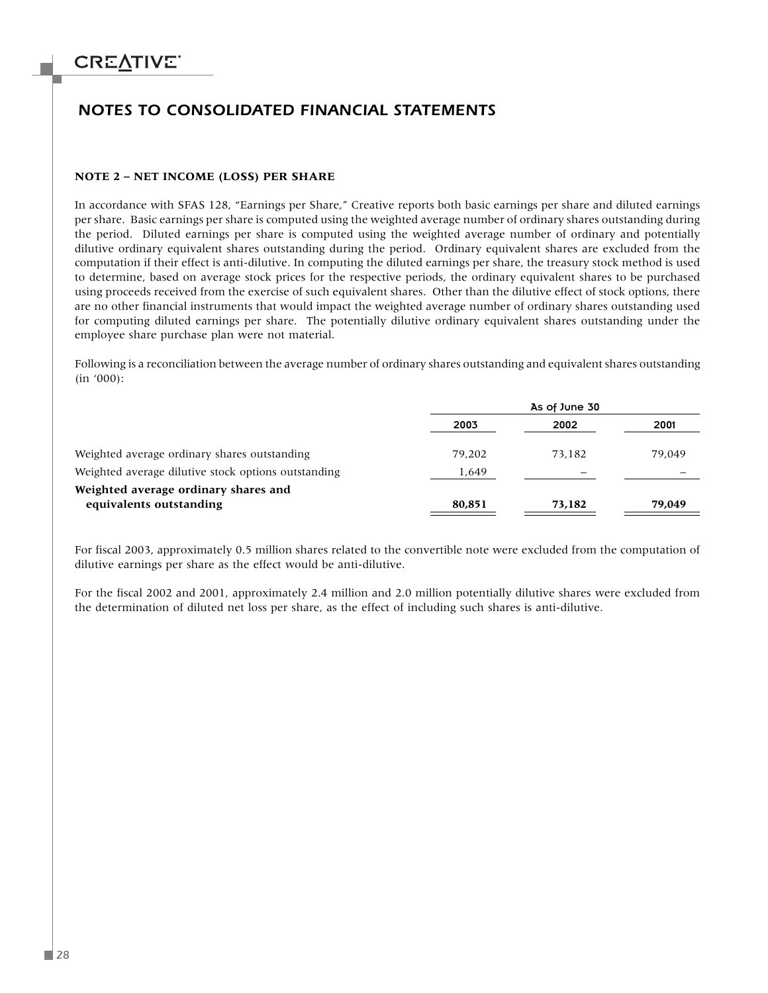### *NOTES TO CONSOLIDATED FINANCIAL STATEMENTS*

#### **NOTE 2 – NET INCOME (LOSS) PER SHARE**

In accordance with SFAS 128, "Earnings per Share," Creative reports both basic earnings per share and diluted earnings per share. Basic earnings per share is computed using the weighted average number of ordinary shares outstanding during the period. Diluted earnings per share is computed using the weighted average number of ordinary and potentially dilutive ordinary equivalent shares outstanding during the period. Ordinary equivalent shares are excluded from the computation if their effect is anti-dilutive. In computing the diluted earnings per share, the treasury stock method is used to determine, based on average stock prices for the respective periods, the ordinary equivalent shares to be purchased using proceeds received from the exercise of such equivalent shares. Other than the dilutive effect of stock options, there are no other financial instruments that would impact the weighted average number of ordinary shares outstanding used for computing diluted earnings per share. The potentially dilutive ordinary equivalent shares outstanding under the employee share purchase plan were not material.

Following is a reconciliation between the average number of ordinary shares outstanding and equivalent shares outstanding (in '000):

|                                                     | As of June 30 |        |        |
|-----------------------------------------------------|---------------|--------|--------|
|                                                     | 2003          | 2002   | 2001   |
| Weighted average ordinary shares outstanding        | 79.202        | 73.182 | 79.049 |
| Weighted average dilutive stock options outstanding | 1,649         |        |        |
| Weighted average ordinary shares and                |               |        |        |
| equivalents outstanding                             | 80,851        | 73,182 | 79,049 |

For fiscal 2003, approximately 0.5 million shares related to the convertible note were excluded from the computation of dilutive earnings per share as the effect would be anti-dilutive.

For the fiscal 2002 and 2001, approximately 2.4 million and 2.0 million potentially dilutive shares were excluded from the determination of diluted net loss per share, as the effect of including such shares is anti-dilutive.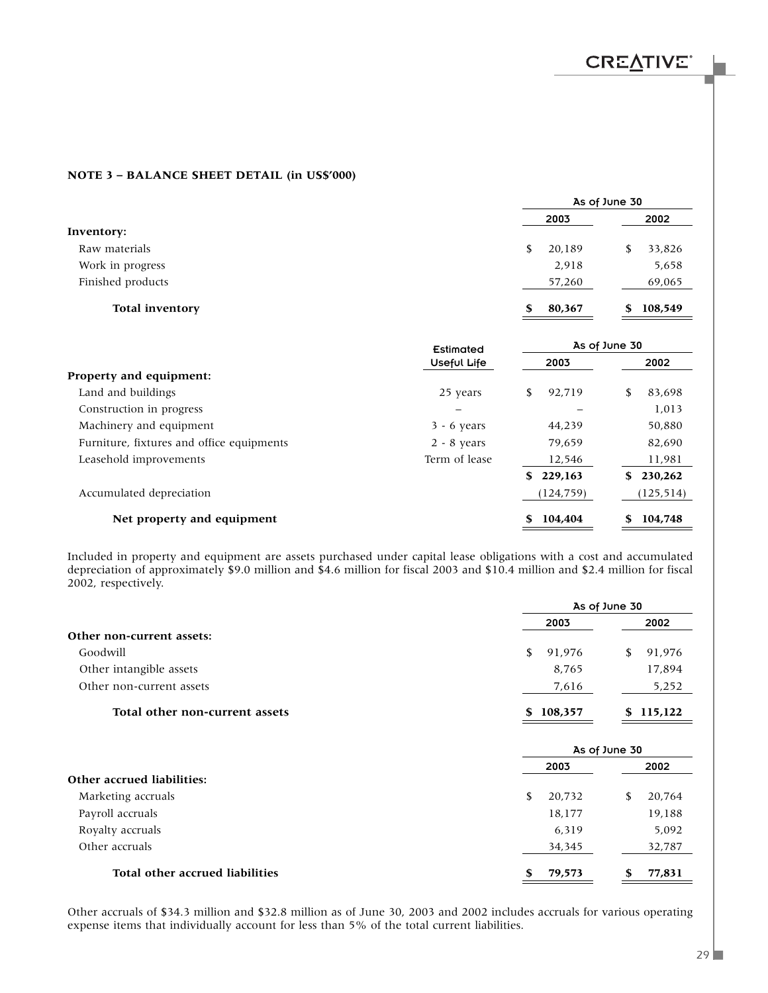### **NOTE 3 – BALANCE SHEET DETAIL (in US\$'000)**

|                        |              | As of June 30 |
|------------------------|--------------|---------------|
|                        | 2003         | 2002          |
| Inventory:             |              |               |
| Raw materials          | 20,189<br>S  | 33,826        |
| Work in progress       | 2,918        | 5,658         |
| Finished products      | 57,260       | 69,065        |
| <b>Total inventory</b> | 80,367<br>\$ | 108,549<br>S  |

|                                           | Estimated     |                | As of June 30 |
|-------------------------------------------|---------------|----------------|---------------|
|                                           | Useful Life   | 2003           | 2002          |
| Property and equipment:                   |               |                |               |
| Land and buildings                        | 25 years      | 92.719<br>S.   | 83.698<br>S   |
| Construction in progress                  |               |                | 1,013         |
| Machinery and equipment                   | $3 - 6$ years | 44.239         | 50.880        |
| Furniture, fixtures and office equipments | $2 - 8$ years | 79.659         | 82.690        |
| Leasehold improvements                    | Term of lease | 12,546         | 11,981        |
|                                           |               | 229,163<br>SS. | 230,262<br>S. |
| Accumulated depreciation                  |               | (124, 759)     | (125, 514)    |
| Net property and equipment                |               | 104,404<br>S   | 104,748<br>S  |

Included in property and equipment are assets purchased under capital lease obligations with a cost and accumulated depreciation of approximately \$9.0 million and \$4.6 million for fiscal 2003 and \$10.4 million and \$2.4 million for fiscal 2002, respectively.

|                                 | As of June 30 |               |  |
|---------------------------------|---------------|---------------|--|
|                                 | 2003          | 2002          |  |
| Other non-current assets:       |               |               |  |
| Goodwill                        | \$<br>91,976  | \$<br>91,976  |  |
| Other intangible assets         | 8,765         | 17,894        |  |
| Other non-current assets        | 7,616         | 5,252         |  |
| Total other non-current assets  | 108,357<br>S  | 115,122<br>S. |  |
|                                 |               | As of June 30 |  |
|                                 | 2003          | 2002          |  |
| Other accrued liabilities:      |               |               |  |
| Marketing accruals              | \$<br>20,732  | \$<br>20,764  |  |
| Payroll accruals                | 18,177        | 19,188        |  |
| Royalty accruals                | 6,319         | 5,092         |  |
| Other accruals                  | 34,345        | 32,787        |  |
| Total other accrued liabilities | \$<br>79,573  | \$<br>77,831  |  |

Other accruals of \$34.3 million and \$32.8 million as of June 30, 2003 and 2002 includes accruals for various operating expense items that individually account for less than 5% of the total current liabilities.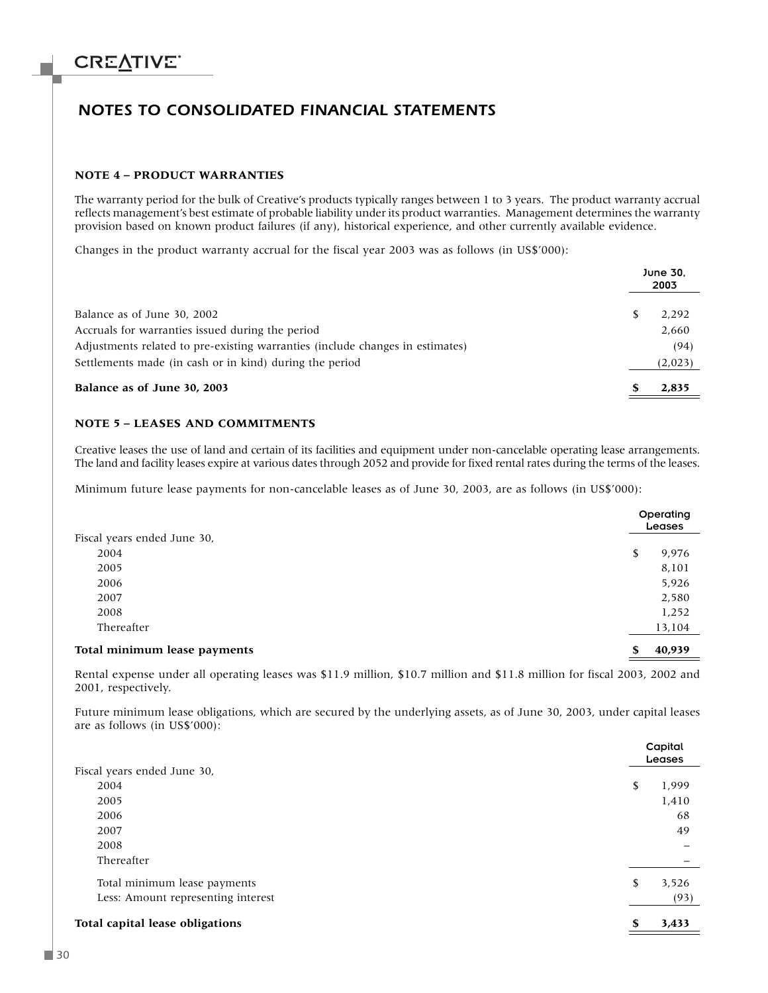### *NOTES TO CONSOLIDATED FINANCIAL STATEMENTS*

#### **NOTE 4 – PRODUCT WARRANTIES**

The warranty period for the bulk of Creative's products typically ranges between 1 to 3 years. The product warranty accrual reflects management's best estimate of probable liability under its product warranties. Management determines the warranty provision based on known product failures (if any), historical experience, and other currently available evidence.

Changes in the product warranty accrual for the fiscal year 2003 was as follows (in US\$'000):

|                                                                               | June 30.<br>2003 |         |
|-------------------------------------------------------------------------------|------------------|---------|
| Balance as of June 30, 2002                                                   |                  | 2.292   |
| Accruals for warranties issued during the period                              |                  | 2,660   |
| Adjustments related to pre-existing warranties (include changes in estimates) |                  | (94)    |
| Settlements made (in cash or in kind) during the period                       |                  | (2,023) |
| Balance as of June 30, 2003                                                   |                  | 2.835   |

#### **NOTE 5 – LEASES AND COMMITMENTS**

Creative leases the use of land and certain of its facilities and equipment under non-cancelable operating lease arrangements. The land and facility leases expire at various dates through 2052 and provide for fixed rental rates during the terms of the leases.

Minimum future lease payments for non-cancelable leases as of June 30, 2003, are as follows (in US\$'000):

|                              | Operating<br>Leases |
|------------------------------|---------------------|
| Fiscal years ended June 30,  |                     |
| 2004                         | \$<br>9,976         |
| 2005                         | 8,101               |
| 2006                         | 5,926               |
| 2007                         | 2,580               |
| 2008                         | 1,252               |
| Thereafter                   | 13,104              |
| Total minimum lease payments | \$<br>40,939        |

Rental expense under all operating leases was \$11.9 million, \$10.7 million and \$11.8 million for fiscal 2003, 2002 and 2001, respectively.

Future minimum lease obligations, which are secured by the underlying assets, as of June 30, 2003, under capital leases are as follows (in US\$'000):

|                                    |    | Capital<br>Leases |
|------------------------------------|----|-------------------|
| Fiscal years ended June 30,        |    |                   |
| 2004                               | \$ | 1,999             |
| 2005                               |    | 1,410             |
| 2006                               |    | 68                |
| 2007                               |    | 49                |
| 2008                               |    |                   |
| Thereafter                         |    |                   |
| Total minimum lease payments       | \$ | 3,526             |
| Less: Amount representing interest |    | (93)              |
| Total capital lease obligations    | S  | 3,433             |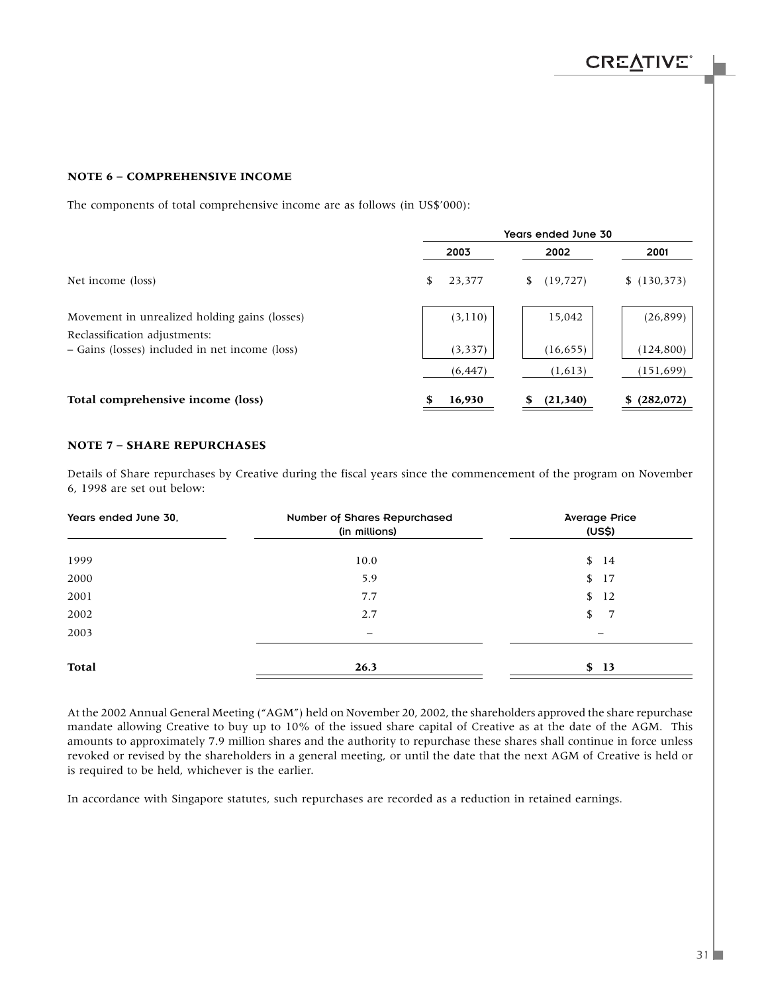### **NOTE 6 – COMPREHENSIVE INCOME**

The components of total comprehensive income are as follows (in US\$'000):

|                                                                                | Years ended June 30 |                 |                 |  |
|--------------------------------------------------------------------------------|---------------------|-----------------|-----------------|--|
|                                                                                | 2003                | 2002            | 2001            |  |
| Net income (loss)                                                              | 23,377<br>S         | (19, 727)<br>S. | (130, 373)      |  |
| Movement in unrealized holding gains (losses)<br>Reclassification adjustments: | (3, 110)            | 15,042          | (26, 899)       |  |
| - Gains (losses) included in net income (loss)                                 | (3, 337)            | (16, 655)       | (124, 800)      |  |
|                                                                                | (6, 447)            | (1,613)         | (151, 699)      |  |
| Total comprehensive income (loss)                                              | 16,930              | (21,340)        | (282,072)<br>S. |  |

#### **NOTE 7 – SHARE REPURCHASES**

Details of Share repurchases by Creative during the fiscal years since the commencement of the program on November 6, 1998 are set out below:

| Years ended June 30, | Number of Shares Repurchased<br>(in millions) | <b>Average Price</b><br>(US\$) |
|----------------------|-----------------------------------------------|--------------------------------|
| 1999                 | 10.0                                          | \$14                           |
| 2000                 | 5.9                                           | \$17                           |
| 2001                 | 7.7                                           | \$<br>12                       |
| 2002                 | 2.7                                           | 7<br>\$                        |
| 2003                 | $\overline{\phantom{0}}$                      | —                              |
| <b>Total</b>         | 26.3                                          | \$13                           |

At the 2002 Annual General Meeting ("AGM") held on November 20, 2002, the shareholders approved the share repurchase mandate allowing Creative to buy up to 10% of the issued share capital of Creative as at the date of the AGM. This amounts to approximately 7.9 million shares and the authority to repurchase these shares shall continue in force unless revoked or revised by the shareholders in a general meeting, or until the date that the next AGM of Creative is held or is required to be held, whichever is the earlier.

In accordance with Singapore statutes, such repurchases are recorded as a reduction in retained earnings.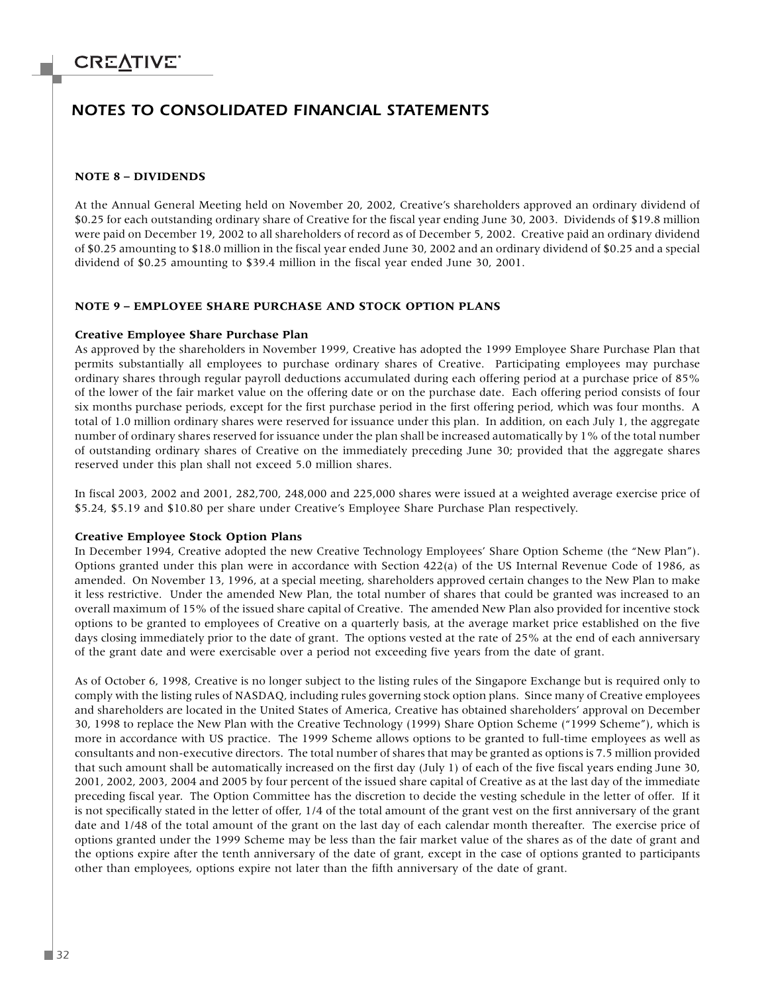### *NOTES TO CONSOLIDATED FINANCIAL STATEMENTS*

#### **NOTE 8 – DIVIDENDS**

At the Annual General Meeting held on November 20, 2002, Creative's shareholders approved an ordinary dividend of \$0.25 for each outstanding ordinary share of Creative for the fiscal year ending June 30, 2003. Dividends of \$19.8 million were paid on December 19, 2002 to all shareholders of record as of December 5, 2002. Creative paid an ordinary dividend of \$0.25 amounting to \$18.0 million in the fiscal year ended June 30, 2002 and an ordinary dividend of \$0.25 and a special dividend of \$0.25 amounting to \$39.4 million in the fiscal year ended June 30, 2001.

#### **NOTE 9 – EMPLOYEE SHARE PURCHASE AND STOCK OPTION PLANS**

#### **Creative Employee Share Purchase Plan**

As approved by the shareholders in November 1999, Creative has adopted the 1999 Employee Share Purchase Plan that permits substantially all employees to purchase ordinary shares of Creative. Participating employees may purchase ordinary shares through regular payroll deductions accumulated during each offering period at a purchase price of 85% of the lower of the fair market value on the offering date or on the purchase date. Each offering period consists of four six months purchase periods, except for the first purchase period in the first offering period, which was four months. A total of 1.0 million ordinary shares were reserved for issuance under this plan. In addition, on each July 1, the aggregate number of ordinary shares reserved for issuance under the plan shall be increased automatically by 1% of the total number of outstanding ordinary shares of Creative on the immediately preceding June 30; provided that the aggregate shares reserved under this plan shall not exceed 5.0 million shares.

In fiscal 2003, 2002 and 2001, 282,700, 248,000 and 225,000 shares were issued at a weighted average exercise price of \$5.24, \$5.19 and \$10.80 per share under Creative's Employee Share Purchase Plan respectively.

#### **Creative Employee Stock Option Plans**

In December 1994, Creative adopted the new Creative Technology Employees' Share Option Scheme (the "New Plan"). Options granted under this plan were in accordance with Section 422(a) of the US Internal Revenue Code of 1986, as amended. On November 13, 1996, at a special meeting, shareholders approved certain changes to the New Plan to make it less restrictive. Under the amended New Plan, the total number of shares that could be granted was increased to an overall maximum of 15% of the issued share capital of Creative. The amended New Plan also provided for incentive stock options to be granted to employees of Creative on a quarterly basis, at the average market price established on the five days closing immediately prior to the date of grant. The options vested at the rate of 25% at the end of each anniversary of the grant date and were exercisable over a period not exceeding five years from the date of grant.

As of October 6, 1998, Creative is no longer subject to the listing rules of the Singapore Exchange but is required only to comply with the listing rules of NASDAQ, including rules governing stock option plans. Since many of Creative employees and shareholders are located in the United States of America, Creative has obtained shareholders' approval on December 30, 1998 to replace the New Plan with the Creative Technology (1999) Share Option Scheme ("1999 Scheme"), which is more in accordance with US practice. The 1999 Scheme allows options to be granted to full-time employees as well as consultants and non-executive directors. The total number of shares that may be granted as options is 7.5 million provided that such amount shall be automatically increased on the first day (July 1) of each of the five fiscal years ending June 30, 2001, 2002, 2003, 2004 and 2005 by four percent of the issued share capital of Creative as at the last day of the immediate preceding fiscal year. The Option Committee has the discretion to decide the vesting schedule in the letter of offer. If it is not specifically stated in the letter of offer, 1/4 of the total amount of the grant vest on the first anniversary of the grant date and 1/48 of the total amount of the grant on the last day of each calendar month thereafter. The exercise price of options granted under the 1999 Scheme may be less than the fair market value of the shares as of the date of grant and the options expire after the tenth anniversary of the date of grant, except in the case of options granted to participants other than employees, options expire not later than the fifth anniversary of the date of grant.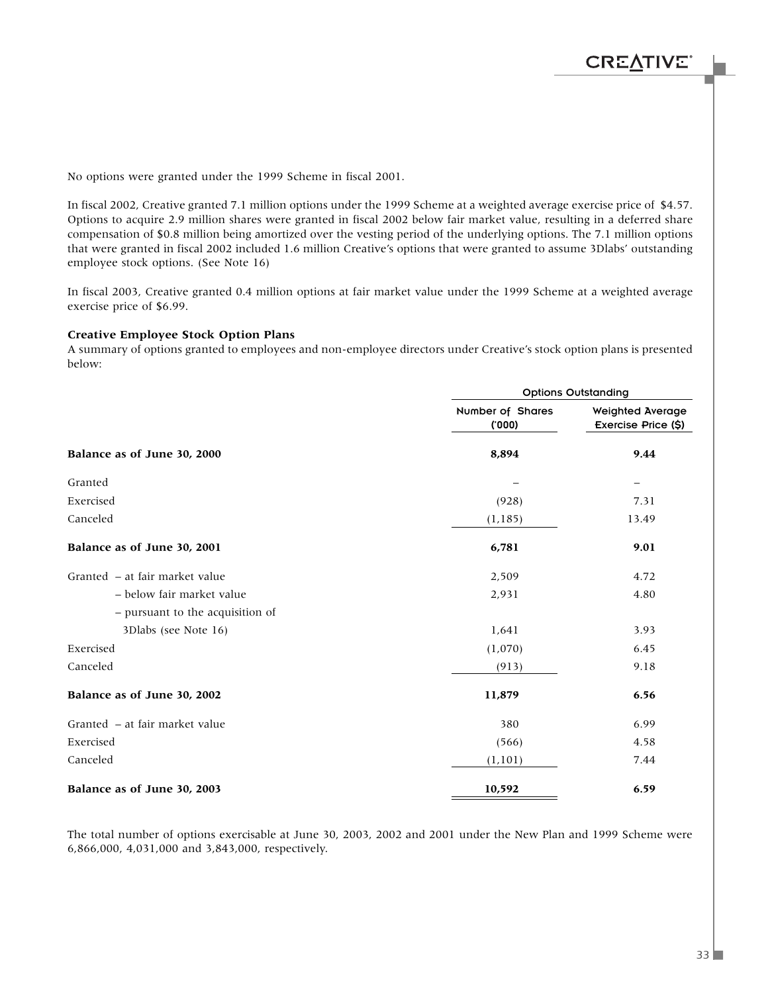No options were granted under the 1999 Scheme in fiscal 2001.

In fiscal 2002, Creative granted 7.1 million options under the 1999 Scheme at a weighted average exercise price of \$4.57. Options to acquire 2.9 million shares were granted in fiscal 2002 below fair market value, resulting in a deferred share compensation of \$0.8 million being amortized over the vesting period of the underlying options. The 7.1 million options that were granted in fiscal 2002 included 1.6 million Creative's options that were granted to assume 3Dlabs' outstanding employee stock options. (See Note 16)

In fiscal 2003, Creative granted 0.4 million options at fair market value under the 1999 Scheme at a weighted average exercise price of \$6.99.

#### **Creative Employee Stock Option Plans**

A summary of options granted to employees and non-employee directors under Creative's stock option plans is presented below:

|                                  |                           | <b>Options Outstanding</b>              |  |  |  |  |
|----------------------------------|---------------------------|-----------------------------------------|--|--|--|--|
|                                  | Number of Shares<br>(000) | Weighted Average<br>Exercise Price (\$) |  |  |  |  |
| Balance as of June 30, 2000      | 8,894                     | 9.44                                    |  |  |  |  |
| Granted                          |                           |                                         |  |  |  |  |
| Exercised                        | (928)                     | 7.31                                    |  |  |  |  |
| Canceled                         | (1, 185)                  | 13.49                                   |  |  |  |  |
| Balance as of June 30, 2001      | 6,781                     | 9.01                                    |  |  |  |  |
| Granted - at fair market value   | 2,509                     | 4.72                                    |  |  |  |  |
| - below fair market value        | 2,931                     | 4.80                                    |  |  |  |  |
| - pursuant to the acquisition of |                           |                                         |  |  |  |  |
| 3Dlabs (see Note 16)             | 1,641                     | 3.93                                    |  |  |  |  |
| Exercised                        | (1,070)                   | 6.45                                    |  |  |  |  |
| Canceled                         | (913)                     | 9.18                                    |  |  |  |  |
| Balance as of June 30, 2002      | 11,879                    | 6.56                                    |  |  |  |  |
| Granted – at fair market value   | 380                       | 6.99                                    |  |  |  |  |
| Exercised                        | (566)                     | 4.58                                    |  |  |  |  |
| Canceled                         | (1, 101)                  | 7.44                                    |  |  |  |  |
| Balance as of June 30, 2003      | 10,592                    | 6.59                                    |  |  |  |  |

The total number of options exercisable at June 30, 2003, 2002 and 2001 under the New Plan and 1999 Scheme were 6,866,000, 4,031,000 and 3,843,000, respectively.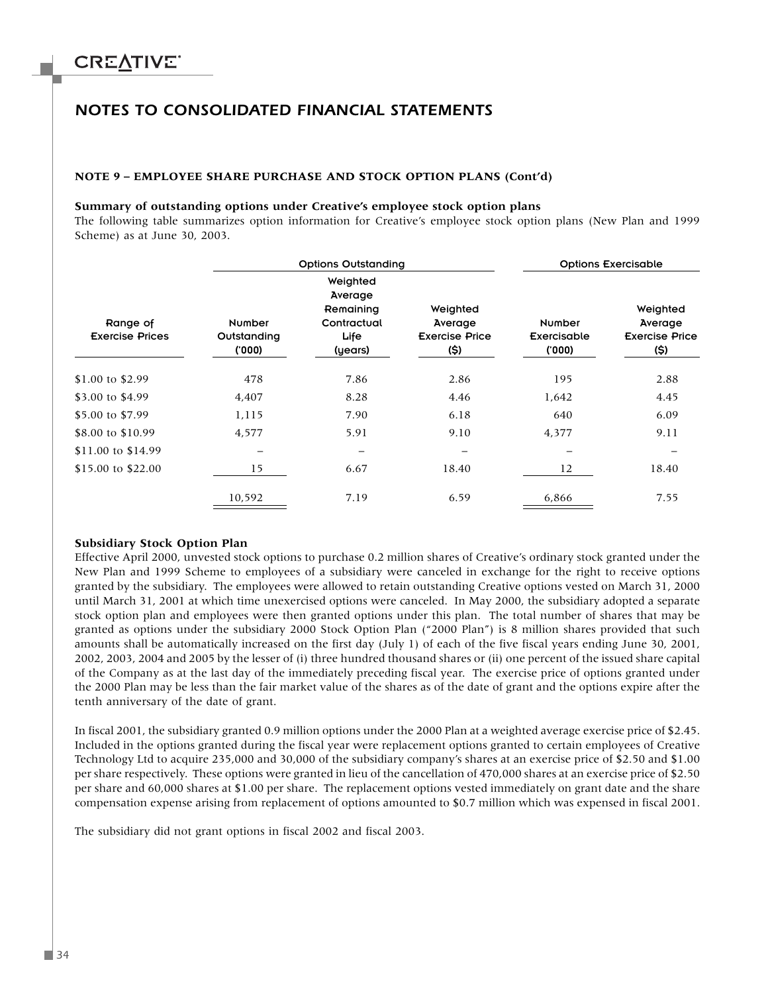### *NOTES TO CONSOLIDATED FINANCIAL STATEMENTS*

#### **NOTE 9 – EMPLOYEE SHARE PURCHASE AND STOCK OPTION PLANS (Cont'd)**

#### **Summary of outstanding options under Creative's employee stock option plans**

The following table summarizes option information for Creative's employee stock option plans (New Plan and 1999 Scheme) as at June 30, 2003.

|                                    |                                        | <b>Options Outstanding</b><br><b>Options Exercisable</b>           |                                                      |                                 |                                                      |  |
|------------------------------------|----------------------------------------|--------------------------------------------------------------------|------------------------------------------------------|---------------------------------|------------------------------------------------------|--|
| Range of<br><b>Exercise Prices</b> | <b>Number</b><br>Outstanding<br>('000) | Weighted<br>Average<br>Remaining<br>Contractual<br>Life<br>(years) | Weighted<br>Average<br><b>Exercise Price</b><br>(\$) | Number<br>Exercisable<br>('000) | Weighted<br>Average<br><b>Exercise Price</b><br>(\$) |  |
| \$1.00 to \$2.99                   | 478                                    | 7.86                                                               | 2.86                                                 | 195                             | 2.88                                                 |  |
| \$3.00 to \$4.99                   | 4,407                                  | 8.28                                                               | 4.46                                                 | 1,642                           | 4.45                                                 |  |
| \$5.00 to \$7.99                   | 1,115                                  | 7.90                                                               | 6.18                                                 | 640                             | 6.09                                                 |  |
| \$8.00 to \$10.99                  | 4,577                                  | 5.91                                                               | 9.10                                                 | 4,377                           | 9.11                                                 |  |
| \$11.00 to \$14.99                 | -                                      | —                                                                  |                                                      |                                 |                                                      |  |
| \$15.00 to \$22.00                 | 15                                     | 6.67                                                               | 18.40                                                | 12                              | 18.40                                                |  |
|                                    | 10,592                                 | 7.19                                                               | 6.59                                                 | 6,866                           | 7.55                                                 |  |

#### **Subsidiary Stock Option Plan**

Effective April 2000, unvested stock options to purchase 0.2 million shares of Creative's ordinary stock granted under the New Plan and 1999 Scheme to employees of a subsidiary were canceled in exchange for the right to receive options granted by the subsidiary. The employees were allowed to retain outstanding Creative options vested on March 31, 2000 until March 31, 2001 at which time unexercised options were canceled. In May 2000, the subsidiary adopted a separate stock option plan and employees were then granted options under this plan. The total number of shares that may be granted as options under the subsidiary 2000 Stock Option Plan ("2000 Plan") is 8 million shares provided that such amounts shall be automatically increased on the first day (July 1) of each of the five fiscal years ending June 30, 2001, 2002, 2003, 2004 and 2005 by the lesser of (i) three hundred thousand shares or (ii) one percent of the issued share capital of the Company as at the last day of the immediately preceding fiscal year. The exercise price of options granted under the 2000 Plan may be less than the fair market value of the shares as of the date of grant and the options expire after the tenth anniversary of the date of grant.

In fiscal 2001, the subsidiary granted 0.9 million options under the 2000 Plan at a weighted average exercise price of \$2.45. Included in the options granted during the fiscal year were replacement options granted to certain employees of Creative Technology Ltd to acquire 235,000 and 30,000 of the subsidiary company's shares at an exercise price of \$2.50 and \$1.00 per share respectively. These options were granted in lieu of the cancellation of 470,000 shares at an exercise price of \$2.50 per share and 60,000 shares at \$1.00 per share. The replacement options vested immediately on grant date and the share compensation expense arising from replacement of options amounted to \$0.7 million which was expensed in fiscal 2001.

The subsidiary did not grant options in fiscal 2002 and fiscal 2003.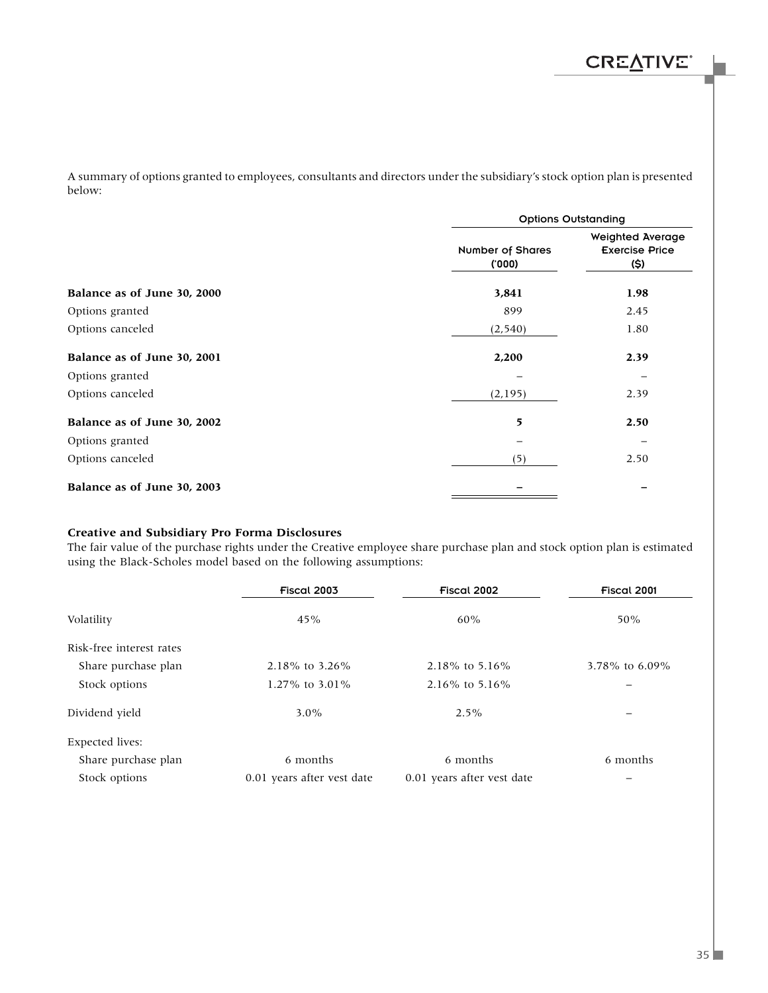A summary of options granted to employees, consultants and directors under the subsidiary's stock option plan is presented below:

|                             | <b>Options Outstanding</b>       |                                                          |
|-----------------------------|----------------------------------|----------------------------------------------------------|
|                             | <b>Number of Shares</b><br>(000) | <b>Weighted Average</b><br><b>Exercise Price</b><br>(\$) |
| Balance as of June 30, 2000 | 3,841                            | 1.98                                                     |
| Options granted             | 899                              | 2.45                                                     |
| Options canceled            | (2, 540)                         | 1.80                                                     |
| Balance as of June 30, 2001 | 2,200                            | 2.39                                                     |
| Options granted             |                                  |                                                          |
| Options canceled            | (2, 195)                         | 2.39                                                     |
| Balance as of June 30, 2002 | 5                                | 2.50                                                     |
| Options granted             |                                  |                                                          |
| Options canceled            | (5)                              | 2.50                                                     |
| Balance as of June 30, 2003 |                                  |                                                          |

#### **Creative and Subsidiary Pro Forma Disclosures**

The fair value of the purchase rights under the Creative employee share purchase plan and stock option plan is estimated using the Black-Scholes model based on the following assumptions:

|                          | Fiscal 2003<br>Fiscal 2002 |                            | Fiscal 2001      |
|--------------------------|----------------------------|----------------------------|------------------|
| Volatility               | 45%                        | 60%                        | 50%              |
| Risk-free interest rates |                            |                            |                  |
| Share purchase plan      | 2.18% to 3.26%             | 2.18% to 5.16%             | 3.78\% to 6.09\% |
| Stock options            | 1.27% to $3.01\%$          | 2.16% to 5.16%             |                  |
| Dividend yield           | $3.0\%$                    | $2.5\%$                    |                  |
| <b>Expected lives:</b>   |                            |                            |                  |
| Share purchase plan      | 6 months                   | 6 months                   | 6 months         |
| Stock options            | 0.01 years after vest date | 0.01 years after vest date |                  |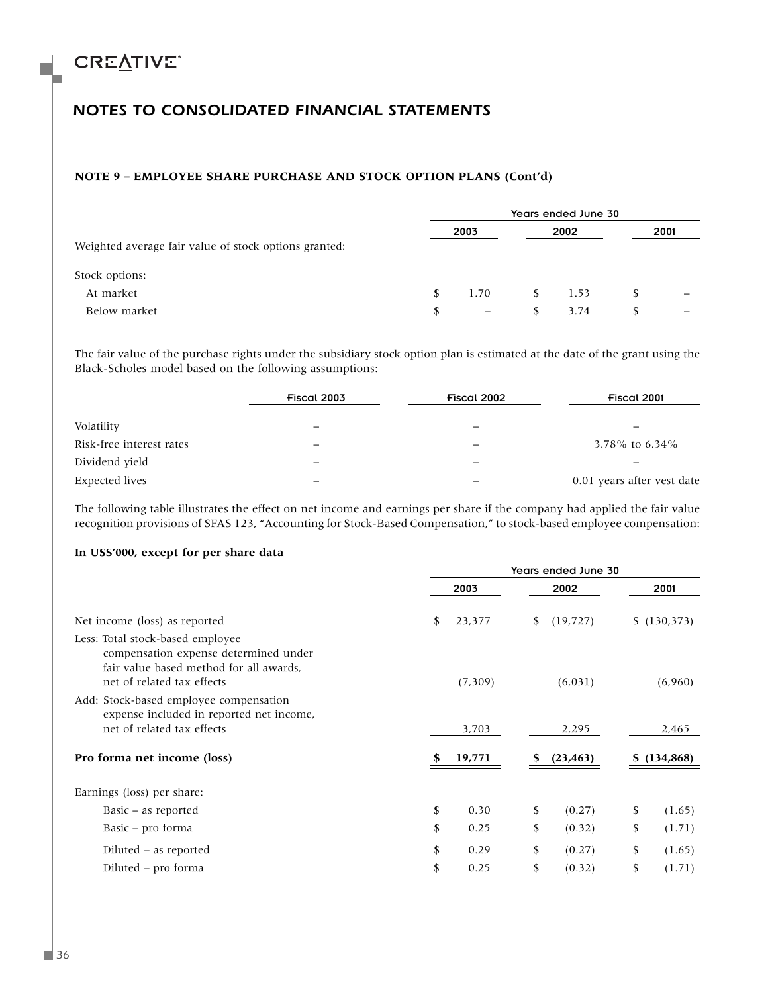### *NOTES TO CONSOLIDATED FINANCIAL STATEMENTS*

#### **NOTE 9 – EMPLOYEE SHARE PURCHASE AND STOCK OPTION PLANS (Cont'd)**

|                                                       | Years ended June 30 |                          |    |      |   |      |
|-------------------------------------------------------|---------------------|--------------------------|----|------|---|------|
| Weighted average fair value of stock options granted: |                     | 2003                     |    | 2002 |   | 2001 |
| Stock options:                                        |                     |                          |    |      |   |      |
| At market                                             | S.                  | 1.70                     | S. | 1.53 | S |      |
| Below market                                          | \$                  | $\overline{\phantom{m}}$ | S. | 3.74 | S |      |

The fair value of the purchase rights under the subsidiary stock option plan is estimated at the date of the grant using the Black-Scholes model based on the following assumptions:

|                          | Fiscal 2003 | Fiscal 2002 | Fiscal 2001                |  |  |
|--------------------------|-------------|-------------|----------------------------|--|--|
|                          |             |             |                            |  |  |
| Volatility               |             |             |                            |  |  |
| Risk-free interest rates |             |             | 3.78% to 6.34%             |  |  |
| Dividend yield           |             |             |                            |  |  |
| Expected lives           |             |             | 0.01 years after vest date |  |  |

The following table illustrates the effect on net income and earnings per share if the company had applied the fair value recognition provisions of SFAS 123, "Accounting for Stock-Based Compensation," to stock-based employee compensation:

#### **In US\$'000, except for per share data**

|                                                                                                                                                    | Years ended June 30 |          |    |           |    |            |
|----------------------------------------------------------------------------------------------------------------------------------------------------|---------------------|----------|----|-----------|----|------------|
|                                                                                                                                                    |                     | 2003     |    | 2002      |    | 2001       |
| Net income (loss) as reported                                                                                                                      | \$                  | 23,377   | \$ | (19, 727) |    | (130, 373) |
| Less: Total stock-based employee<br>compensation expense determined under<br>fair value based method for all awards,<br>net of related tax effects |                     | (7, 309) |    | (6,031)   |    | (6,960)    |
| Add: Stock-based employee compensation<br>expense included in reported net income,<br>net of related tax effects                                   |                     | 3,703    |    | 2,295     |    | 2,465      |
| Pro forma net income (loss)                                                                                                                        | S                   | 19,771   | S  | (23, 463) | S. | (134, 868) |
| Earnings (loss) per share:                                                                                                                         |                     |          |    |           |    |            |
| Basic – as reported                                                                                                                                | \$                  | 0.30     | \$ | (0.27)    | \$ | (1.65)     |
| Basic – pro forma                                                                                                                                  | \$                  | 0.25     | \$ | (0.32)    | \$ | (1.71)     |
| Diluted - as reported                                                                                                                              | \$                  | 0.29     | \$ | (0.27)    | \$ | (1.65)     |
| Diluted – pro forma                                                                                                                                | \$                  | 0.25     | \$ | (0.32)    | \$ | (1.71)     |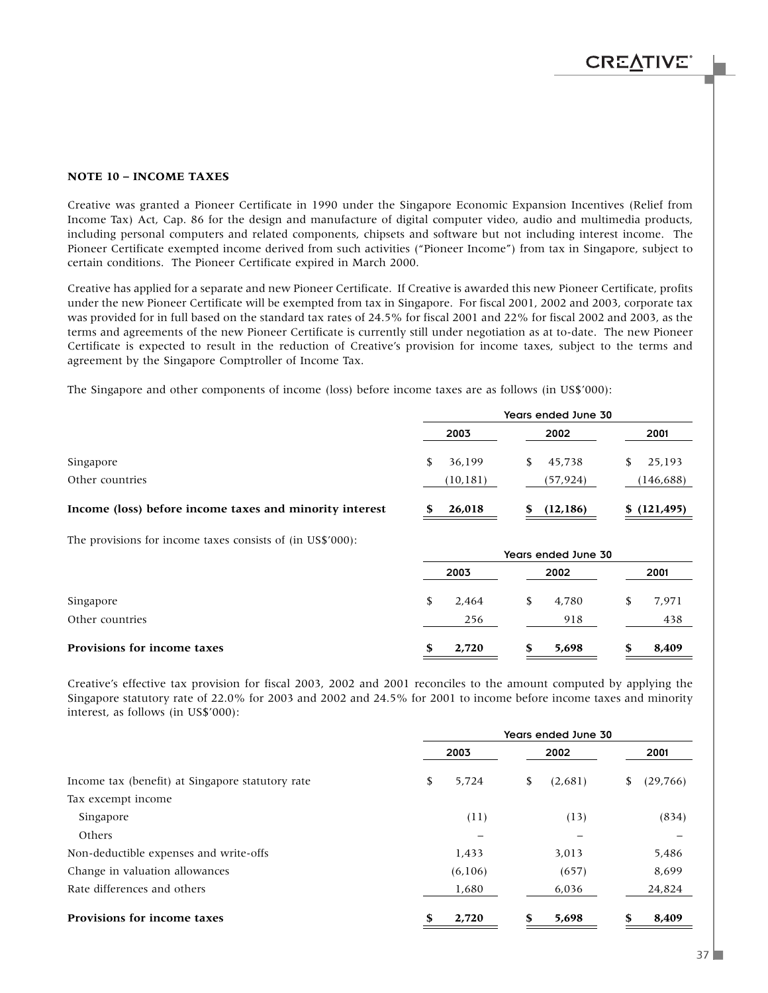#### **NOTE 10 – INCOME TAXES**

Creative was granted a Pioneer Certificate in 1990 under the Singapore Economic Expansion Incentives (Relief from Income Tax) Act, Cap. 86 for the design and manufacture of digital computer video, audio and multimedia products, including personal computers and related components, chipsets and software but not including interest income. The Pioneer Certificate exempted income derived from such activities ("Pioneer Income") from tax in Singapore, subject to certain conditions. The Pioneer Certificate expired in March 2000.

Creative has applied for a separate and new Pioneer Certificate. If Creative is awarded this new Pioneer Certificate, profits under the new Pioneer Certificate will be exempted from tax in Singapore. For fiscal 2001, 2002 and 2003, corporate tax was provided for in full based on the standard tax rates of 24.5% for fiscal 2001 and 22% for fiscal 2002 and 2003, as the terms and agreements of the new Pioneer Certificate is currently still under negotiation as at to-date. The new Pioneer Certificate is expected to result in the reduction of Creative's provision for income taxes, subject to the terms and agreement by the Singapore Comptroller of Income Tax.

The Singapore and other components of income (loss) before income taxes are as follows (in US\$'000):

|                                                         | Years ended June 30 |          |     |           |    |              |
|---------------------------------------------------------|---------------------|----------|-----|-----------|----|--------------|
|                                                         |                     | 2003     |     | 2002      |    | 2001         |
| Singapore                                               |                     | 36,199   | SS. | 45.738    | S. | 25,193       |
| Other countries                                         |                     | (10,181) |     | (57,924)  |    | (146,688)    |
| Income (loss) before income taxes and minority interest |                     | 26,018   |     | (12, 186) |    | \$(121, 495) |

The provisions for income taxes consists of (in US\$'000):

|                             | Years ended June 30 |       |    |       |  |       |  |
|-----------------------------|---------------------|-------|----|-------|--|-------|--|
|                             |                     | 2003  |    | 2002  |  | 2001  |  |
| Singapore                   |                     | 2,464 | S. | 4,780 |  | 7,971 |  |
| Other countries             |                     | 256   |    | 918   |  | 438   |  |
| Provisions for income taxes |                     | 2,720 |    | 5,698 |  | 8,409 |  |

Creative's effective tax provision for fiscal 2003, 2002 and 2001 reconciles to the amount computed by applying the Singapore statutory rate of 22.0% for 2003 and 2002 and 24.5% for 2001 to income before income taxes and minority interest, as follows (in US\$'000):

|                                                  | Years ended June 30 |         |    |         |    |           |
|--------------------------------------------------|---------------------|---------|----|---------|----|-----------|
|                                                  |                     | 2003    |    | 2002    |    | 2001      |
| Income tax (benefit) at Singapore statutory rate | \$                  | 5.724   | \$ | (2,681) | \$ | (29, 766) |
| Tax excempt income                               |                     |         |    |         |    |           |
| Singapore                                        |                     | (11)    |    | (13)    |    | (834)     |
| Others                                           |                     |         |    |         |    |           |
| Non-deductible expenses and write-offs           |                     | 1,433   |    | 3,013   |    | 5,486     |
| Change in valuation allowances                   |                     | (6,106) |    | (657)   |    | 8,699     |
| Rate differences and others                      |                     | 1,680   |    | 6,036   |    | 24,824    |
| <b>Provisions for income taxes</b>               | \$                  | 2,720   | \$ | 5,698   | S  | 8,409     |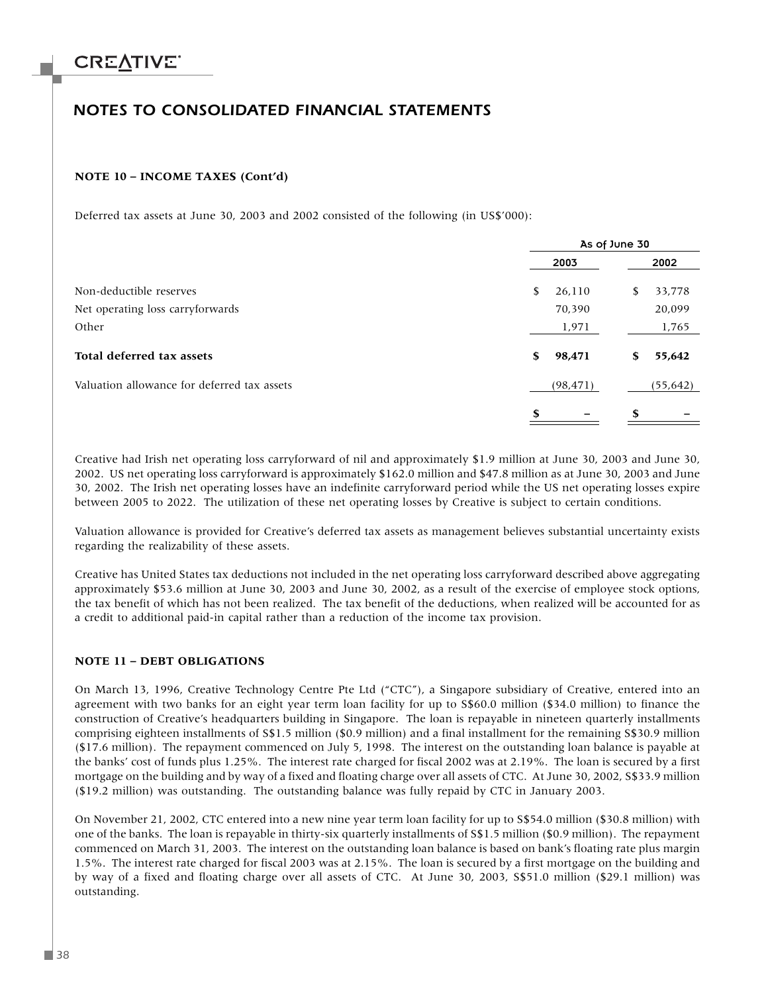### *NOTES TO CONSOLIDATED FINANCIAL STATEMENTS*

#### **NOTE 10 – INCOME TAXES (Cont'd)**

Deferred tax assets at June 30, 2003 and 2002 consisted of the following (in US\$'000):

|                                             | As of June 30 |           |    |           |  |
|---------------------------------------------|---------------|-----------|----|-----------|--|
|                                             |               | 2003      |    | 2002      |  |
| Non-deductible reserves                     | \$            | 26,110    | \$ | 33,778    |  |
| Net operating loss carryforwards            |               | 70,390    |    | 20,099    |  |
| Other                                       |               | 1,971     |    | 1,765     |  |
| Total deferred tax assets                   | \$            | 98,471    | \$ | 55,642    |  |
| Valuation allowance for deferred tax assets |               | (98, 471) |    | (55, 642) |  |
|                                             | S             |           | S  |           |  |

Creative had Irish net operating loss carryforward of nil and approximately \$1.9 million at June 30, 2003 and June 30, 2002. US net operating loss carryforward is approximately \$162.0 million and \$47.8 million as at June 30, 2003 and June 30, 2002. The Irish net operating losses have an indefinite carryforward period while the US net operating losses expire between 2005 to 2022. The utilization of these net operating losses by Creative is subject to certain conditions.

Valuation allowance is provided for Creative's deferred tax assets as management believes substantial uncertainty exists regarding the realizability of these assets.

Creative has United States tax deductions not included in the net operating loss carryforward described above aggregating approximately \$53.6 million at June 30, 2003 and June 30, 2002, as a result of the exercise of employee stock options, the tax benefit of which has not been realized. The tax benefit of the deductions, when realized will be accounted for as a credit to additional paid-in capital rather than a reduction of the income tax provision.

#### **NOTE 11 – DEBT OBLIGATIONS**

On March 13, 1996, Creative Technology Centre Pte Ltd ("CTC"), a Singapore subsidiary of Creative, entered into an agreement with two banks for an eight year term loan facility for up to S\$60.0 million (\$34.0 million) to finance the construction of Creative's headquarters building in Singapore. The loan is repayable in nineteen quarterly installments comprising eighteen installments of S\$1.5 million (\$0.9 million) and a final installment for the remaining S\$30.9 million (\$17.6 million). The repayment commenced on July 5, 1998. The interest on the outstanding loan balance is payable at the banks' cost of funds plus 1.25%. The interest rate charged for fiscal 2002 was at 2.19%. The loan is secured by a first mortgage on the building and by way of a fixed and floating charge over all assets of CTC. At June 30, 2002, S\$33.9 million (\$19.2 million) was outstanding. The outstanding balance was fully repaid by CTC in January 2003.

On November 21, 2002, CTC entered into a new nine year term loan facility for up to S\$54.0 million (\$30.8 million) with one of the banks. The loan is repayable in thirty-six quarterly installments of S\$1.5 million (\$0.9 million). The repayment commenced on March 31, 2003. The interest on the outstanding loan balance is based on bank's floating rate plus margin 1.5%. The interest rate charged for fiscal 2003 was at 2.15%. The loan is secured by a first mortgage on the building and by way of a fixed and floating charge over all assets of CTC. At June 30, 2003, S\$51.0 million (\$29.1 million) was outstanding.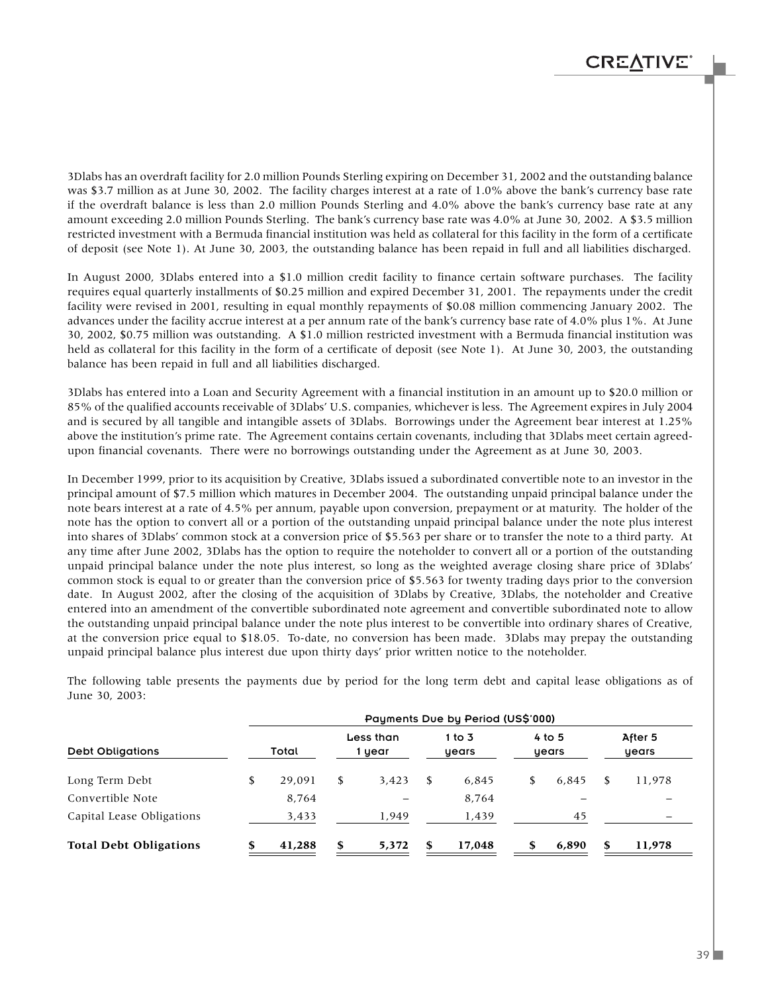3Dlabs has an overdraft facility for 2.0 million Pounds Sterling expiring on December 31, 2002 and the outstanding balance was \$3.7 million as at June 30, 2002. The facility charges interest at a rate of 1.0% above the bank's currency base rate if the overdraft balance is less than 2.0 million Pounds Sterling and 4.0% above the bank's currency base rate at any amount exceeding 2.0 million Pounds Sterling. The bank's currency base rate was 4.0% at June 30, 2002. A \$3.5 million restricted investment with a Bermuda financial institution was held as collateral for this facility in the form of a certificate of deposit (see Note 1). At June 30, 2003, the outstanding balance has been repaid in full and all liabilities discharged.

In August 2000, 3Dlabs entered into a \$1.0 million credit facility to finance certain software purchases. The facility requires equal quarterly installments of \$0.25 million and expired December 31, 2001. The repayments under the credit facility were revised in 2001, resulting in equal monthly repayments of \$0.08 million commencing January 2002. The advances under the facility accrue interest at a per annum rate of the bank's currency base rate of 4.0% plus 1%. At June 30, 2002, \$0.75 million was outstanding. A \$1.0 million restricted investment with a Bermuda financial institution was held as collateral for this facility in the form of a certificate of deposit (see Note 1). At June 30, 2003, the outstanding balance has been repaid in full and all liabilities discharged.

3Dlabs has entered into a Loan and Security Agreement with a financial institution in an amount up to \$20.0 million or 85% of the qualified accounts receivable of 3Dlabs' U.S. companies, whichever is less. The Agreement expires in July 2004 and is secured by all tangible and intangible assets of 3Dlabs. Borrowings under the Agreement bear interest at 1.25% above the institution's prime rate. The Agreement contains certain covenants, including that 3Dlabs meet certain agreedupon financial covenants. There were no borrowings outstanding under the Agreement as at June 30, 2003.

In December 1999, prior to its acquisition by Creative, 3Dlabs issued a subordinated convertible note to an investor in the principal amount of \$7.5 million which matures in December 2004. The outstanding unpaid principal balance under the note bears interest at a rate of 4.5% per annum, payable upon conversion, prepayment or at maturity. The holder of the note has the option to convert all or a portion of the outstanding unpaid principal balance under the note plus interest into shares of 3Dlabs' common stock at a conversion price of \$5.563 per share or to transfer the note to a third party. At any time after June 2002, 3Dlabs has the option to require the noteholder to convert all or a portion of the outstanding unpaid principal balance under the note plus interest, so long as the weighted average closing share price of 3Dlabs' common stock is equal to or greater than the conversion price of \$5.563 for twenty trading days prior to the conversion date. In August 2002, after the closing of the acquisition of 3Dlabs by Creative, 3Dlabs, the noteholder and Creative entered into an amendment of the convertible subordinated note agreement and convertible subordinated note to allow the outstanding unpaid principal balance under the note plus interest to be convertible into ordinary shares of Creative, at the conversion price equal to \$18.05. To-date, no conversion has been made. 3Dlabs may prepay the outstanding unpaid principal balance plus interest due upon thirty days' prior written notice to the noteholder.

The following table presents the payments due by period for the long term debt and capital lease obligations as of June 30, 2003:

|                               |              |                     |    | Payments Due by Period (US\$'000) |                   |    |                  |
|-------------------------------|--------------|---------------------|----|-----------------------------------|-------------------|----|------------------|
| <b>Debt Obligations</b>       | Total        | Less than<br>1 year |    | 1 to 3<br>years                   | $4$ to 5<br>years |    | After 5<br>years |
| Long Term Debt                | \$<br>29.091 | \$<br>3.423         | \$ | 6,845                             | 6.845             | \$ | 11.978           |
| Convertible Note              | 8,764        |                     |    | 8,764                             |                   |    |                  |
| Capital Lease Obligations     | 3,433        | 1,949               |    | 1,439                             | 45                |    |                  |
| <b>Total Debt Obligations</b> | 41,288       | \$<br>5,372         | s  | 17,048                            | 6,890             | S  | 11,978           |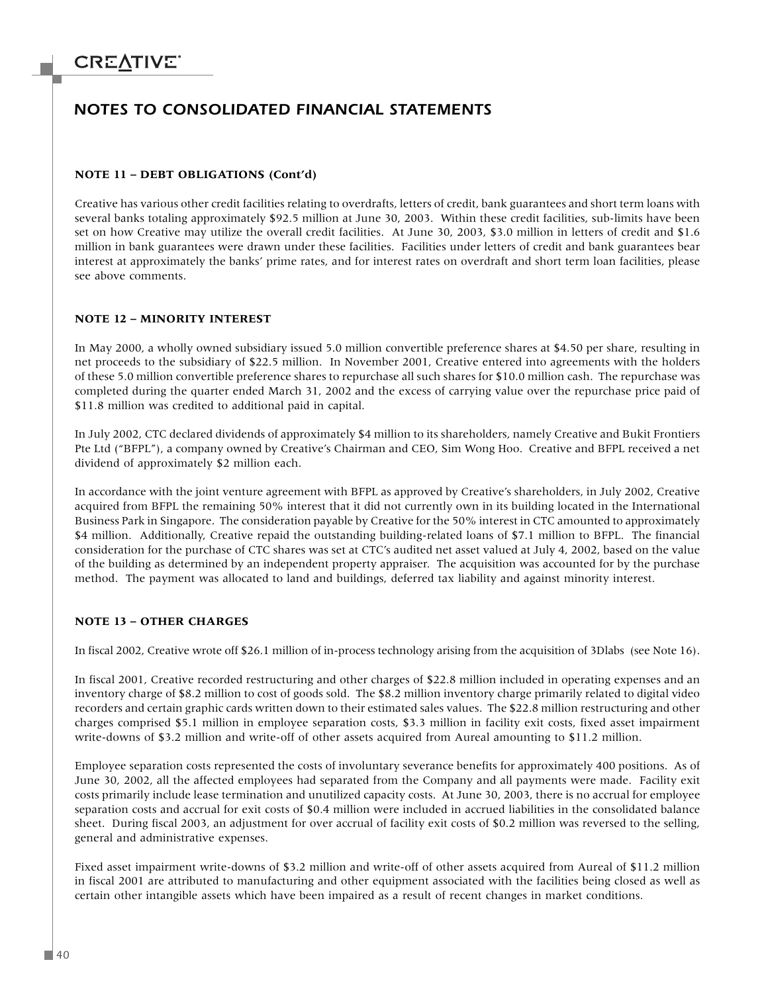### *NOTES TO CONSOLIDATED FINANCIAL STATEMENTS*

#### **NOTE 11 – DEBT OBLIGATIONS (Cont'd)**

Creative has various other credit facilities relating to overdrafts, letters of credit, bank guarantees and short term loans with several banks totaling approximately \$92.5 million at June 30, 2003. Within these credit facilities, sub-limits have been set on how Creative may utilize the overall credit facilities. At June 30, 2003, \$3.0 million in letters of credit and \$1.6 million in bank guarantees were drawn under these facilities. Facilities under letters of credit and bank guarantees bear interest at approximately the banks' prime rates, and for interest rates on overdraft and short term loan facilities, please see above comments.

#### **NOTE 12 – MINORITY INTEREST**

In May 2000, a wholly owned subsidiary issued 5.0 million convertible preference shares at \$4.50 per share, resulting in net proceeds to the subsidiary of \$22.5 million. In November 2001, Creative entered into agreements with the holders of these 5.0 million convertible preference shares to repurchase all such shares for \$10.0 million cash. The repurchase was completed during the quarter ended March 31, 2002 and the excess of carrying value over the repurchase price paid of \$11.8 million was credited to additional paid in capital.

In July 2002, CTC declared dividends of approximately \$4 million to its shareholders, namely Creative and Bukit Frontiers Pte Ltd ("BFPL"), a company owned by Creative's Chairman and CEO, Sim Wong Hoo. Creative and BFPL received a net dividend of approximately \$2 million each.

In accordance with the joint venture agreement with BFPL as approved by Creative's shareholders, in July 2002, Creative acquired from BFPL the remaining 50% interest that it did not currently own in its building located in the International Business Park in Singapore. The consideration payable by Creative for the 50% interest in CTC amounted to approximately \$4 million. Additionally, Creative repaid the outstanding building-related loans of \$7.1 million to BFPL. The financial consideration for the purchase of CTC shares was set at CTC's audited net asset valued at July 4, 2002, based on the value of the building as determined by an independent property appraiser. The acquisition was accounted for by the purchase method. The payment was allocated to land and buildings, deferred tax liability and against minority interest.

#### **NOTE 13 – OTHER CHARGES**

In fiscal 2002, Creative wrote off \$26.1 million of in-process technology arising from the acquisition of 3Dlabs (see Note 16).

In fiscal 2001, Creative recorded restructuring and other charges of \$22.8 million included in operating expenses and an inventory charge of \$8.2 million to cost of goods sold. The \$8.2 million inventory charge primarily related to digital video recorders and certain graphic cards written down to their estimated sales values. The \$22.8 million restructuring and other charges comprised \$5.1 million in employee separation costs, \$3.3 million in facility exit costs, fixed asset impairment write-downs of \$3.2 million and write-off of other assets acquired from Aureal amounting to \$11.2 million.

Employee separation costs represented the costs of involuntary severance benefits for approximately 400 positions. As of June 30, 2002, all the affected employees had separated from the Company and all payments were made. Facility exit costs primarily include lease termination and unutilized capacity costs. At June 30, 2003, there is no accrual for employee separation costs and accrual for exit costs of \$0.4 million were included in accrued liabilities in the consolidated balance sheet. During fiscal 2003, an adjustment for over accrual of facility exit costs of \$0.2 million was reversed to the selling, general and administrative expenses.

Fixed asset impairment write-downs of \$3.2 million and write-off of other assets acquired from Aureal of \$11.2 million in fiscal 2001 are attributed to manufacturing and other equipment associated with the facilities being closed as well as certain other intangible assets which have been impaired as a result of recent changes in market conditions.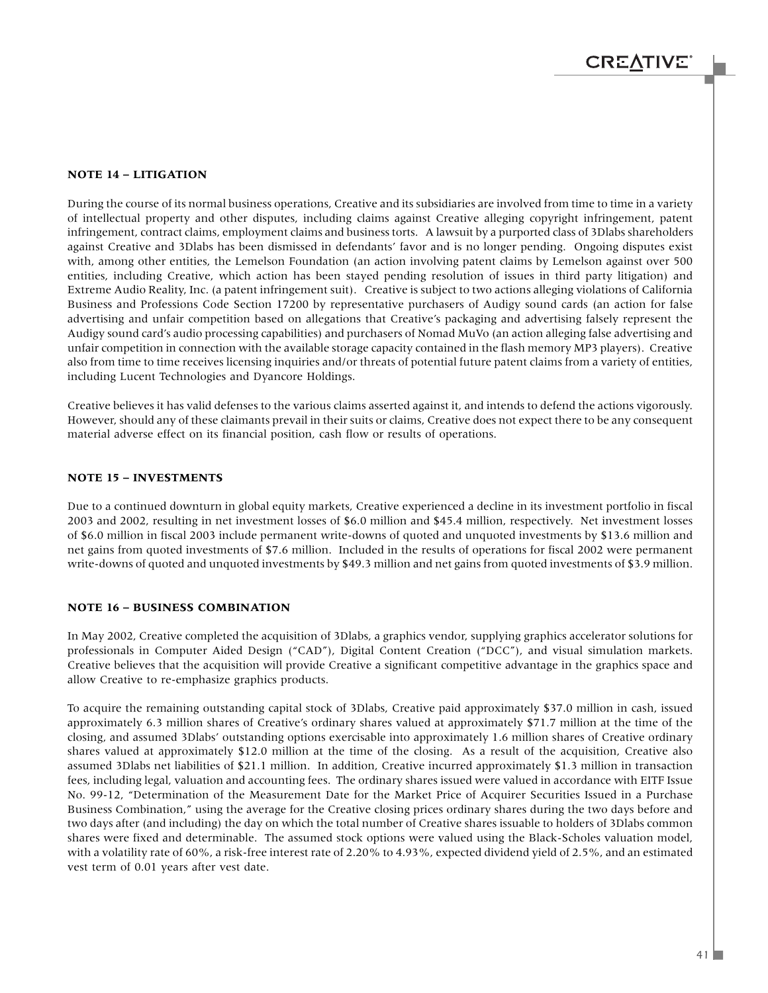#### **NOTE 14 – LITIGATION**

During the course of its normal business operations, Creative and its subsidiaries are involved from time to time in a variety of intellectual property and other disputes, including claims against Creative alleging copyright infringement, patent infringement, contract claims, employment claims and business torts. A lawsuit by a purported class of 3Dlabs shareholders against Creative and 3Dlabs has been dismissed in defendants' favor and is no longer pending. Ongoing disputes exist with, among other entities, the Lemelson Foundation (an action involving patent claims by Lemelson against over 500 entities, including Creative, which action has been stayed pending resolution of issues in third party litigation) and Extreme Audio Reality, Inc. (a patent infringement suit). Creative is subject to two actions alleging violations of California Business and Professions Code Section 17200 by representative purchasers of Audigy sound cards (an action for false advertising and unfair competition based on allegations that Creative's packaging and advertising falsely represent the Audigy sound card's audio processing capabilities) and purchasers of Nomad MuVo (an action alleging false advertising and unfair competition in connection with the available storage capacity contained in the flash memory MP3 players). Creative also from time to time receives licensing inquiries and/or threats of potential future patent claims from a variety of entities, including Lucent Technologies and Dyancore Holdings.

Creative believes it has valid defenses to the various claims asserted against it, and intends to defend the actions vigorously. However, should any of these claimants prevail in their suits or claims, Creative does not expect there to be any consequent material adverse effect on its financial position, cash flow or results of operations.

#### **NOTE 15 – INVESTMENTS**

Due to a continued downturn in global equity markets, Creative experienced a decline in its investment portfolio in fiscal 2003 and 2002, resulting in net investment losses of \$6.0 million and \$45.4 million, respectively. Net investment losses of \$6.0 million in fiscal 2003 include permanent write-downs of quoted and unquoted investments by \$13.6 million and net gains from quoted investments of \$7.6 million. Included in the results of operations for fiscal 2002 were permanent write-downs of quoted and unquoted investments by \$49.3 million and net gains from quoted investments of \$3.9 million.

#### **NOTE 16 – BUSINESS COMBINATION**

In May 2002, Creative completed the acquisition of 3Dlabs, a graphics vendor, supplying graphics accelerator solutions for professionals in Computer Aided Design ("CAD"), Digital Content Creation ("DCC"), and visual simulation markets. Creative believes that the acquisition will provide Creative a significant competitive advantage in the graphics space and allow Creative to re-emphasize graphics products.

To acquire the remaining outstanding capital stock of 3Dlabs, Creative paid approximately \$37.0 million in cash, issued approximately 6.3 million shares of Creative's ordinary shares valued at approximately \$71.7 million at the time of the closing, and assumed 3Dlabs' outstanding options exercisable into approximately 1.6 million shares of Creative ordinary shares valued at approximately \$12.0 million at the time of the closing. As a result of the acquisition, Creative also assumed 3Dlabs net liabilities of \$21.1 million. In addition, Creative incurred approximately \$1.3 million in transaction fees, including legal, valuation and accounting fees. The ordinary shares issued were valued in accordance with EITF Issue No. 99-12, "Determination of the Measurement Date for the Market Price of Acquirer Securities Issued in a Purchase Business Combination," using the average for the Creative closing prices ordinary shares during the two days before and two days after (and including) the day on which the total number of Creative shares issuable to holders of 3Dlabs common shares were fixed and determinable. The assumed stock options were valued using the Black-Scholes valuation model, with a volatility rate of 60%, a risk-free interest rate of 2.20% to 4.93%, expected dividend yield of 2.5%, and an estimated vest term of 0.01 years after vest date.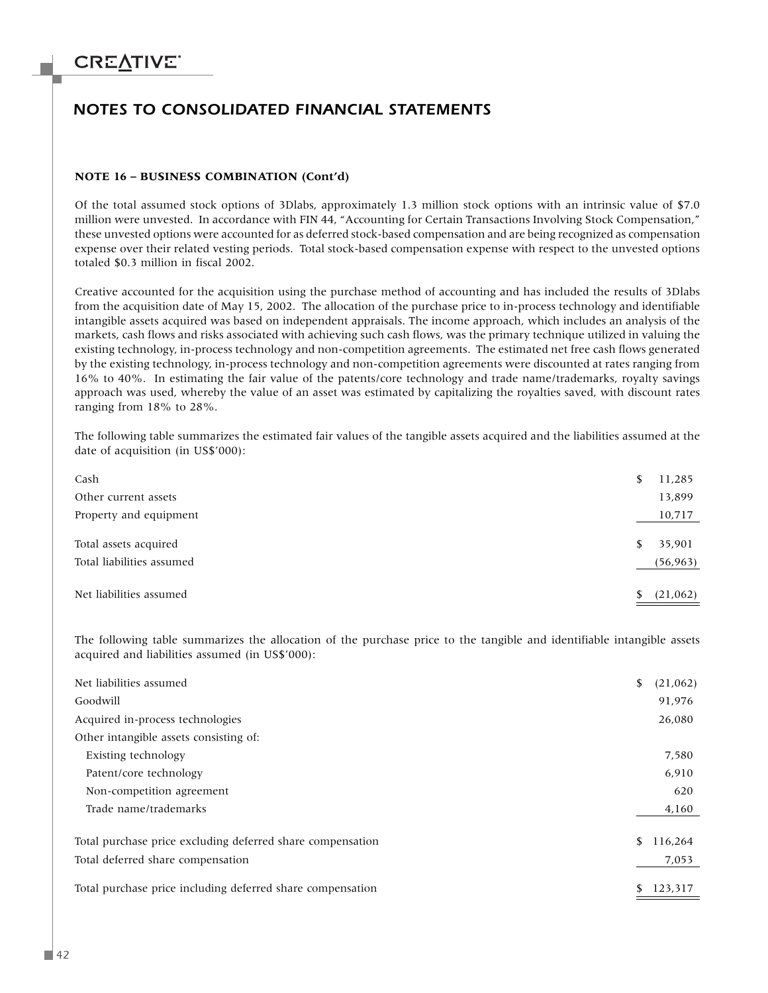### *NOTES TO CONSOLIDATED FINANCIAL STATEMENTS*

#### **NOTE 16 – BUSINESS COMBINATION (Cont'd)**

Of the total assumed stock options of 3Dlabs, approximately 1.3 million stock options with an intrinsic value of \$7.0 million were unvested. In accordance with FIN 44, "Accounting for Certain Transactions Involving Stock Compensation," these unvested options were accounted for as deferred stock-based compensation and are being recognized as compensation expense over their related vesting periods. Total stock-based compensation expense with respect to the unvested options totaled \$0.3 million in fiscal 2002.

Creative accounted for the acquisition using the purchase method of accounting and has included the results of 3Dlabs from the acquisition date of May 15, 2002. The allocation of the purchase price to in-process technology and identifiable intangible assets acquired was based on independent appraisals. The income approach, which includes an analysis of the markets, cash flows and risks associated with achieving such cash flows, was the primary technique utilized in valuing the existing technology, in-process technology and non-competition agreements. The estimated net free cash flows generated by the existing technology, in-process technology and non-competition agreements were discounted at rates ranging from 16% to 40%. In estimating the fair value of the patents/core technology and trade name/trademarks, royalty savings approach was used, whereby the value of an asset was estimated by capitalizing the royalties saved, with discount rates ranging from 18% to 28%.

The following table summarizes the estimated fair values of the tangible assets acquired and the liabilities assumed at the date of acquisition (in US\$'000):

| Cash                      |   | 11,285    |
|---------------------------|---|-----------|
| Other current assets      |   | 13,899    |
| Property and equipment    |   | 10,717    |
|                           |   |           |
| Total assets acquired     | S | 35,901    |
| Total liabilities assumed |   | (56, 963) |
|                           |   |           |
| Net liabilities assumed   |   | (21,062)  |

The following table summarizes the allocation of the purchase price to the tangible and identifiable intangible assets acquired and liabilities assumed (in US\$'000):

| Net liabilities assumed                                    | \$ | (21,062) |
|------------------------------------------------------------|----|----------|
| Goodwill                                                   |    | 91,976   |
| Acquired in-process technologies                           |    | 26,080   |
| Other intangible assets consisting of:                     |    |          |
| Existing technology                                        |    | 7,580    |
| Patent/core technology                                     |    | 6,910    |
| Non-competition agreement                                  |    | 620      |
| Trade name/trademarks                                      |    | 4,160    |
| Total purchase price excluding deferred share compensation | \$ | 116,264  |
| Total deferred share compensation                          |    | 7,053    |
| Total purchase price including deferred share compensation | S  | 123,317  |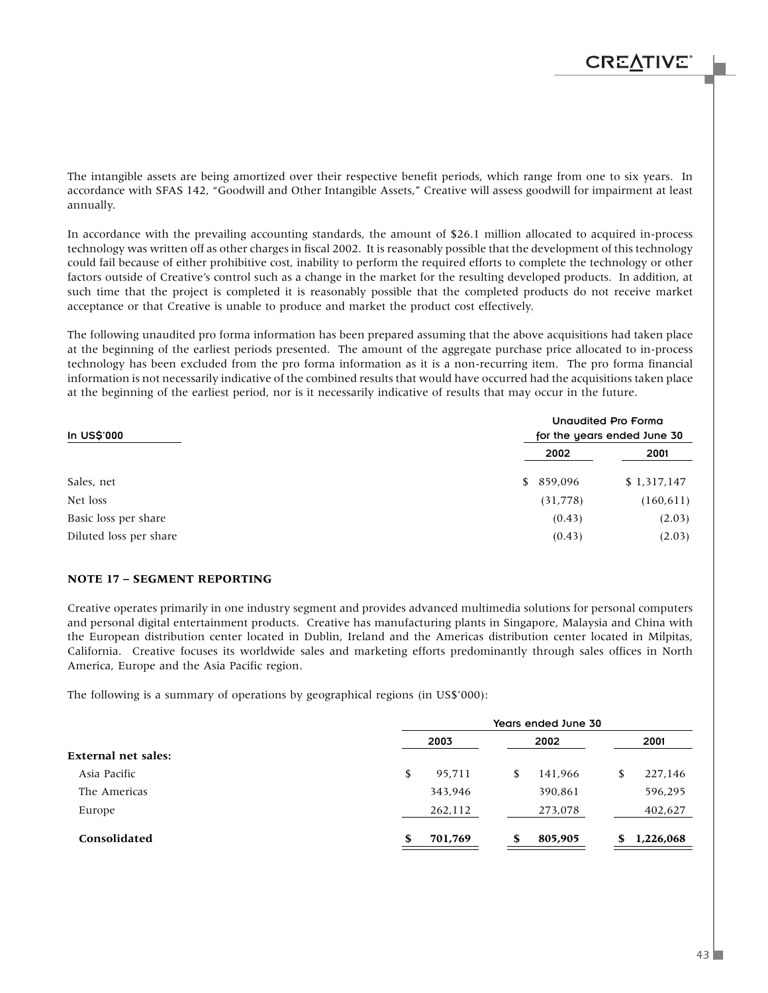The intangible assets are being amortized over their respective benefit periods, which range from one to six years. In accordance with SFAS 142, "Goodwill and Other Intangible Assets," Creative will assess goodwill for impairment at least annually.

In accordance with the prevailing accounting standards, the amount of \$26.1 million allocated to acquired in-process technology was written off as other charges in fiscal 2002. It is reasonably possible that the development of this technology could fail because of either prohibitive cost, inability to perform the required efforts to complete the technology or other factors outside of Creative's control such as a change in the market for the resulting developed products. In addition, at such time that the project is completed it is reasonably possible that the completed products do not receive market acceptance or that Creative is unable to produce and market the product cost effectively.

The following unaudited pro forma information has been prepared assuming that the above acquisitions had taken place at the beginning of the earliest periods presented. The amount of the aggregate purchase price allocated to in-process technology has been excluded from the pro forma information as it is a non-recurring item. The pro forma financial information is not necessarily indicative of the combined results that would have occurred had the acquisitions taken place at the beginning of the earliest period, nor is it necessarily indicative of results that may occur in the future.

| In US\$'000            | Unaudited Pro Forma<br>for the years ended June 30 |             |  |  |
|------------------------|----------------------------------------------------|-------------|--|--|
|                        | 2002                                               | 2001        |  |  |
| Sales, net             | \$859,096                                          | \$1,317,147 |  |  |
| Net loss               | (31, 778)                                          | (160, 611)  |  |  |
| Basic loss per share   | (0.43)                                             | (2.03)      |  |  |
| Diluted loss per share | (0.43)                                             | (2.03)      |  |  |

#### **NOTE 17 – SEGMENT REPORTING**

Creative operates primarily in one industry segment and provides advanced multimedia solutions for personal computers and personal digital entertainment products. Creative has manufacturing plants in Singapore, Malaysia and China with the European distribution center located in Dublin, Ireland and the Americas distribution center located in Milpitas, California. Creative focuses its worldwide sales and marketing efforts predominantly through sales offices in North America, Europe and the Asia Pacific region.

The following is a summary of operations by geographical regions (in US\$'000):

|                            |              | Years ended June 30 |               |  |  |  |  |
|----------------------------|--------------|---------------------|---------------|--|--|--|--|
|                            | 2003         | 2002                | 2001          |  |  |  |  |
| <b>External net sales:</b> |              |                     |               |  |  |  |  |
| Asia Pacific               | \$<br>95,711 | 141,966<br>S        | 227,146<br>\$ |  |  |  |  |
| The Americas               | 343,946      | 390,861             | 596,295       |  |  |  |  |
| Europe                     | 262,112      | 273,078             | 402,627       |  |  |  |  |
| Consolidated               | 701,769<br>S | 805,905<br>S        | 1,226,068     |  |  |  |  |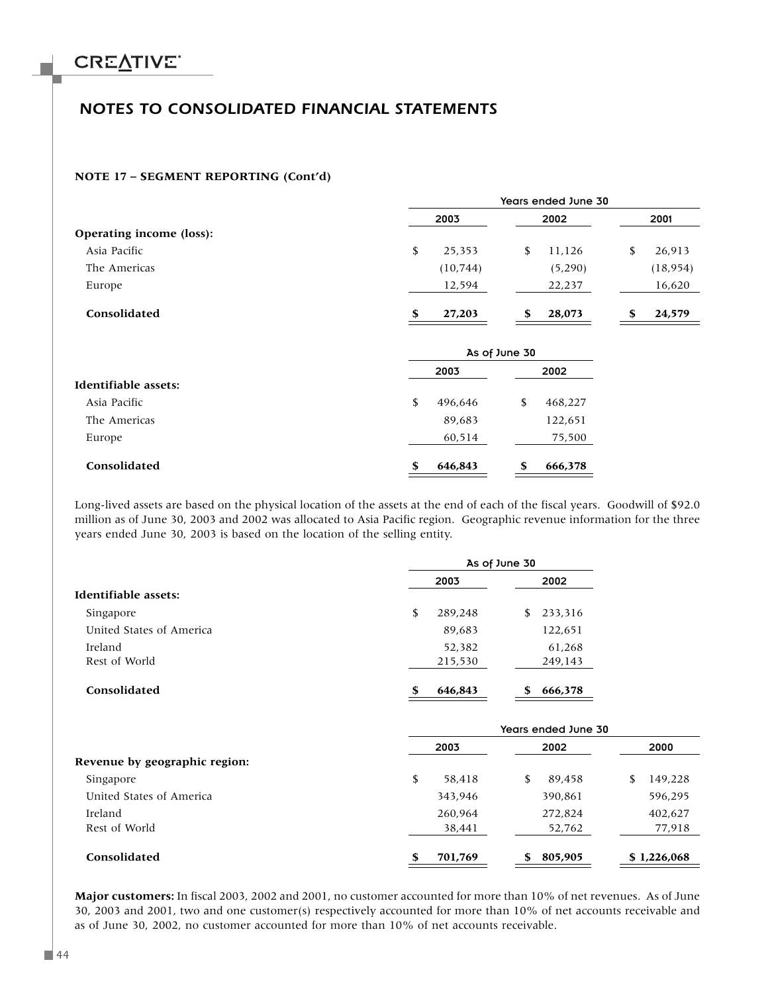### *NOTES TO CONSOLIDATED FINANCIAL STATEMENTS*

#### **NOTE 17 – SEGMENT REPORTING (Cont'd)**

|                          |               | Years ended June 30 |              |
|--------------------------|---------------|---------------------|--------------|
|                          | 2003          | 2002                | 2001         |
| Operating income (loss): |               |                     |              |
| Asia Pacific             | \$<br>25,353  | \$<br>11,126        | \$<br>26,913 |
| The Americas             | (10, 744)     | (5,290)             | (18, 954)    |
| Europe                   | 12,594        | 22,237              | 16,620       |
| Consolidated             | 27,203<br>\$  | 28,073<br>\$        | 24,579<br>\$ |
|                          |               | As of June 30       |              |
|                          | 2003          | 2002                |              |
| Identifiable assets:     |               |                     |              |
| Asia Pacific             | \$<br>496,646 | \$<br>468,227       |              |
| The Americas             | 89,683        | 122,651             |              |
| Europe                   | 60,514        | 75,500              |              |
| Consolidated             | 646,843<br>\$ | 666,378<br>\$       |              |

Long-lived assets are based on the physical location of the assets at the end of each of the fiscal years. Goodwill of \$92.0 million as of June 30, 2003 and 2002 was allocated to Asia Pacific region. Geographic revenue information for the three years ended June 30, 2003 is based on the location of the selling entity.

|                          | As of June 30 |    |         |  |
|--------------------------|---------------|----|---------|--|
|                          | 2003          |    | 2002    |  |
| Identifiable assets:     |               |    |         |  |
| Singapore                | \$<br>289,248 | \$ | 233,316 |  |
| United States of America | 89,683        |    | 122,651 |  |
| Ireland                  | 52,382        |    | 61,268  |  |
| Rest of World            | 215,530       |    | 249,143 |  |
| Consolidated             | \$<br>646,843 | \$ | 666,378 |  |

|                                            | Years ended June 30 |                   |                   |  |  |
|--------------------------------------------|---------------------|-------------------|-------------------|--|--|
|                                            | 2003                | 2002              | 2000              |  |  |
| Revenue by geographic region:<br>Singapore | \$<br>58.418        | \$<br>89.458      | 149,228<br>\$     |  |  |
| United States of America                   | 343.946             | 390,861           | 596,295           |  |  |
|                                            |                     |                   |                   |  |  |
| Ireland<br>Rest of World                   | 260.964<br>38,441   | 272,824<br>52,762 | 402,627<br>77,918 |  |  |
|                                            |                     |                   |                   |  |  |
| Consolidated                               | \$<br>701,769       | 805,905<br>S      | \$1,226,068       |  |  |

**Major customers:** In fiscal 2003, 2002 and 2001, no customer accounted for more than 10% of net revenues. As of June 30, 2003 and 2001, two and one customer(s) respectively accounted for more than 10% of net accounts receivable and as of June 30, 2002, no customer accounted for more than 10% of net accounts receivable.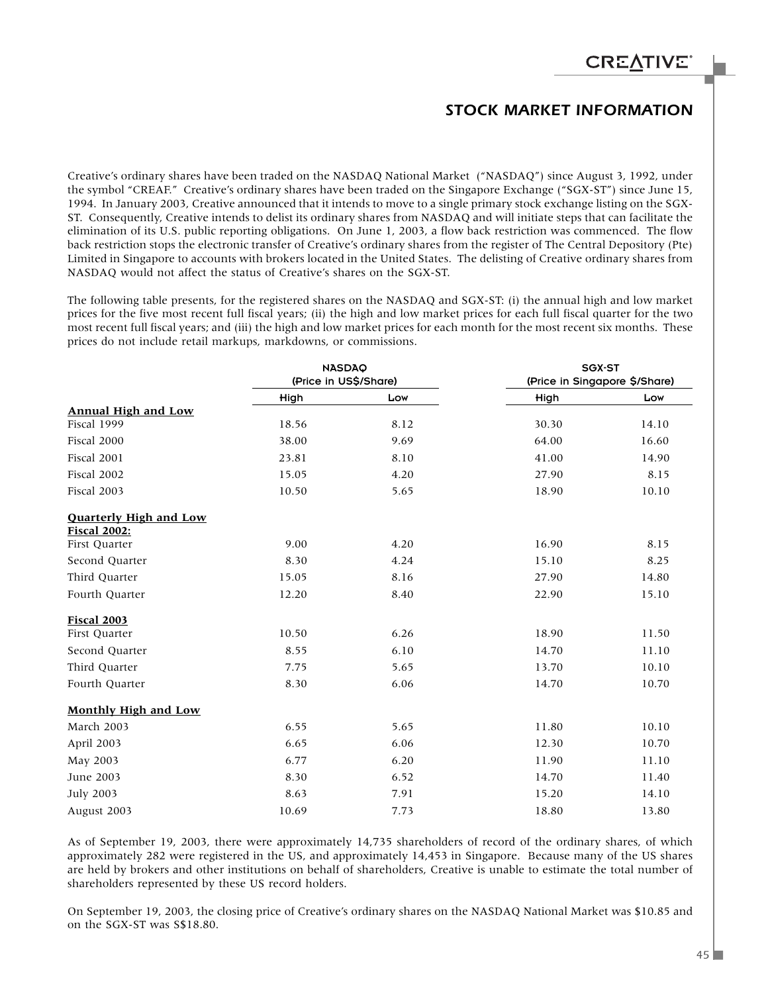### *STOCK MARKET INFORMATION*

Creative's ordinary shares have been traded on the NASDAQ National Market ("NASDAQ") since August 3, 1992, under the symbol "CREAF." Creative's ordinary shares have been traded on the Singapore Exchange ("SGX-ST") since June 15, 1994. In January 2003, Creative announced that it intends to move to a single primary stock exchange listing on the SGX-ST. Consequently, Creative intends to delist its ordinary shares from NASDAQ and will initiate steps that can facilitate the elimination of its U.S. public reporting obligations. On June 1, 2003, a flow back restriction was commenced. The flow back restriction stops the electronic transfer of Creative's ordinary shares from the register of The Central Depository (Pte) Limited in Singapore to accounts with brokers located in the United States. The delisting of Creative ordinary shares from NASDAQ would not affect the status of Creative's shares on the SGX-ST.

The following table presents, for the registered shares on the NASDAQ and SGX-ST: (i) the annual high and low market prices for the five most recent full fiscal years; (ii) the high and low market prices for each full fiscal quarter for the two most recent full fiscal years; and (iii) the high and low market prices for each month for the most recent six months. These prices do not include retail markups, markdowns, or commissions.

|                                                      | <b>NASDAQ</b><br>(Price in US\$/Share) |      | SGX-ST<br>(Price in Singapore \$/Share) |       |  |
|------------------------------------------------------|----------------------------------------|------|-----------------------------------------|-------|--|
|                                                      | High                                   | Low  | High                                    | Low   |  |
| <b>Annual High and Low</b>                           |                                        |      |                                         |       |  |
| Fiscal 1999                                          | 18.56                                  | 8.12 | 30.30                                   | 14.10 |  |
| Fiscal 2000                                          | 38.00                                  | 9.69 | 64.00                                   | 16.60 |  |
| Fiscal 2001                                          | 23.81                                  | 8.10 | 41.00                                   | 14.90 |  |
| Fiscal 2002                                          | 15.05                                  | 4.20 | 27.90                                   | 8.15  |  |
| Fiscal 2003                                          | 10.50                                  | 5.65 | 18.90                                   | 10.10 |  |
| <b>Quarterly High and Low</b><br><b>Fiscal 2002:</b> |                                        |      |                                         |       |  |
| First Quarter                                        | 9.00                                   | 4.20 | 16.90                                   | 8.15  |  |
| Second Quarter                                       | 8.30                                   | 4.24 | 15.10                                   | 8.25  |  |
| Third Quarter                                        | 15.05                                  | 8.16 | 27.90                                   | 14.80 |  |
| Fourth Quarter                                       | 12.20                                  | 8.40 | 22.90                                   | 15.10 |  |
| <b>Fiscal 2003</b>                                   |                                        |      |                                         |       |  |
| First Quarter                                        | 10.50                                  | 6.26 | 18.90                                   | 11.50 |  |
| Second Quarter                                       | 8.55                                   | 6.10 | 14.70                                   | 11.10 |  |
| Third Quarter                                        | 7.75                                   | 5.65 | 13.70                                   | 10.10 |  |
| Fourth Quarter                                       | 8.30                                   | 6.06 | 14.70                                   | 10.70 |  |
| Monthly High and Low                                 |                                        |      |                                         |       |  |
| March 2003                                           | 6.55                                   | 5.65 | 11.80                                   | 10.10 |  |
| April 2003                                           | 6.65                                   | 6.06 | 12.30                                   | 10.70 |  |
| May 2003                                             | 6.77                                   | 6.20 | 11.90                                   | 11.10 |  |
| June 2003                                            | 8.30                                   | 6.52 | 14.70                                   | 11.40 |  |
| <b>July 2003</b>                                     | 8.63                                   | 7.91 | 15.20                                   | 14.10 |  |
| August 2003                                          | 10.69                                  | 7.73 | 18.80                                   | 13.80 |  |

As of September 19, 2003, there were approximately 14,735 shareholders of record of the ordinary shares, of which approximately 282 were registered in the US, and approximately 14,453 in Singapore. Because many of the US shares are held by brokers and other institutions on behalf of shareholders, Creative is unable to estimate the total number of shareholders represented by these US record holders.

On September 19, 2003, the closing price of Creative's ordinary shares on the NASDAQ National Market was \$10.85 and on the SGX-ST was S\$18.80.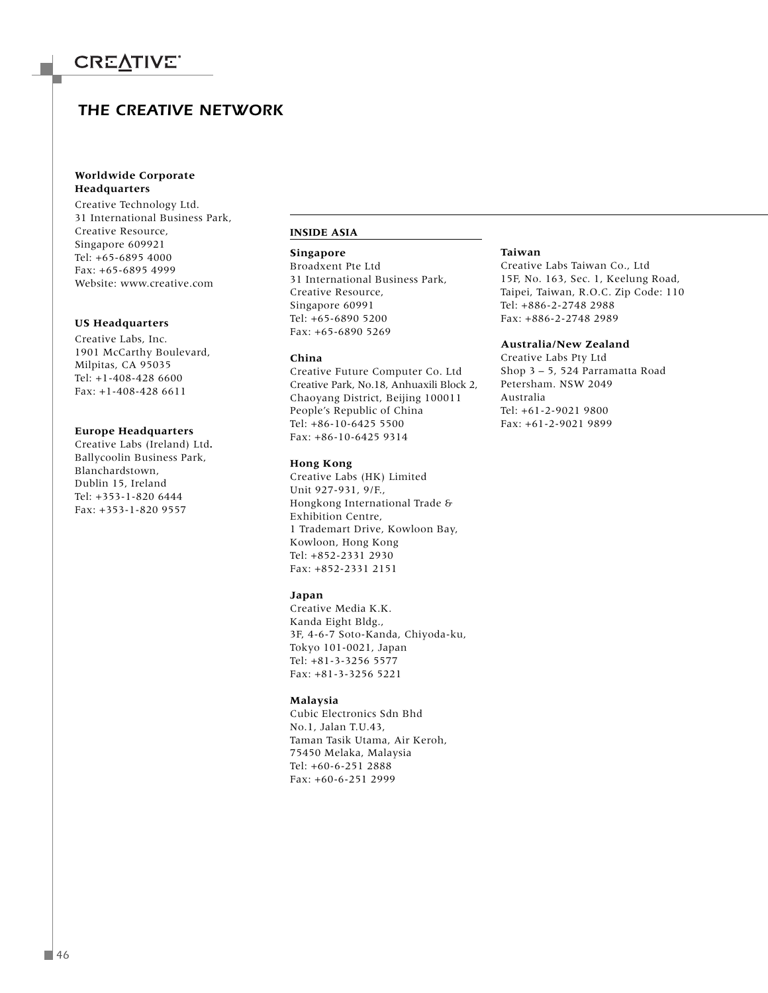### *THE CREATIVE NETWORK*

#### **Worldwide Corporate Headquarters**

Creative Technology Ltd. 31 International Business Park, Creative Resource, Singapore 609921 Tel: +65-6895 4000 Fax: +65-6895 4999 Website: www.creative.com

#### **US Headquarters**

Creative Labs, Inc. 1901 McCarthy Boulevard, Milpitas, CA 95035 Tel: +1-408-428 6600 Fax: +1-408-428 6611

#### **Europe Headquarters**

Creative Labs (Ireland) Ltd**.** Ballycoolin Business Park, Blanchardstown, Dublin 15, Ireland Tel: +353-1-820 6444 Fax: +353-1-820 9557

#### **INSIDE ASIA**

#### **Singapore**

Broadxent Pte Ltd 31 International Business Park, Creative Resource, Singapore 60991 Tel: +65-6890 5200 Fax: +65-6890 5269

#### **China**

Creative Future Computer Co. Ltd Creative Park, No.18, Anhuaxili Block 2, Chaoyang District, Beijing 100011 People's Republic of China Tel: +86-10-6425 5500 Fax: +86-10-6425 9314

#### **Hong Kong**

Creative Labs (HK) Limited Unit 927-931, 9/F., Hongkong International Trade & Exhibition Centre, 1 Trademart Drive, Kowloon Bay, Kowloon, Hong Kong Tel: +852-2331 2930 Fax: +852-2331 2151

#### **Japan**

Creative Media K.K. Kanda Eight Bldg., 3F, 4-6-7 Soto-Kanda, Chiyoda-ku, Tokyo 101-0021, Japan Tel: +81-3-3256 5577 Fax: +81-3-3256 5221

#### **Malaysia**

Cubic Electronics Sdn Bhd No.1, Jalan T.U.43, Taman Tasik Utama, Air Keroh, 75450 Melaka, Malaysia Tel: +60-6-251 2888 Fax: +60-6-251 2999

#### **Taiwan**

Creative Labs Taiwan Co., Ltd 15F, No. 163, Sec. 1, Keelung Road, Taipei, Taiwan, R.O.C. Zip Code: 110 Tel: +886-2-2748 2988 Fax: +886-2-2748 2989

#### **Australia/New Zealand**

Creative Labs Pty Ltd Shop 3 – 5, 524 Parramatta Road Petersham. NSW 2049 Australia Tel: +61-2-9021 9800 Fax: +61-2-9021 9899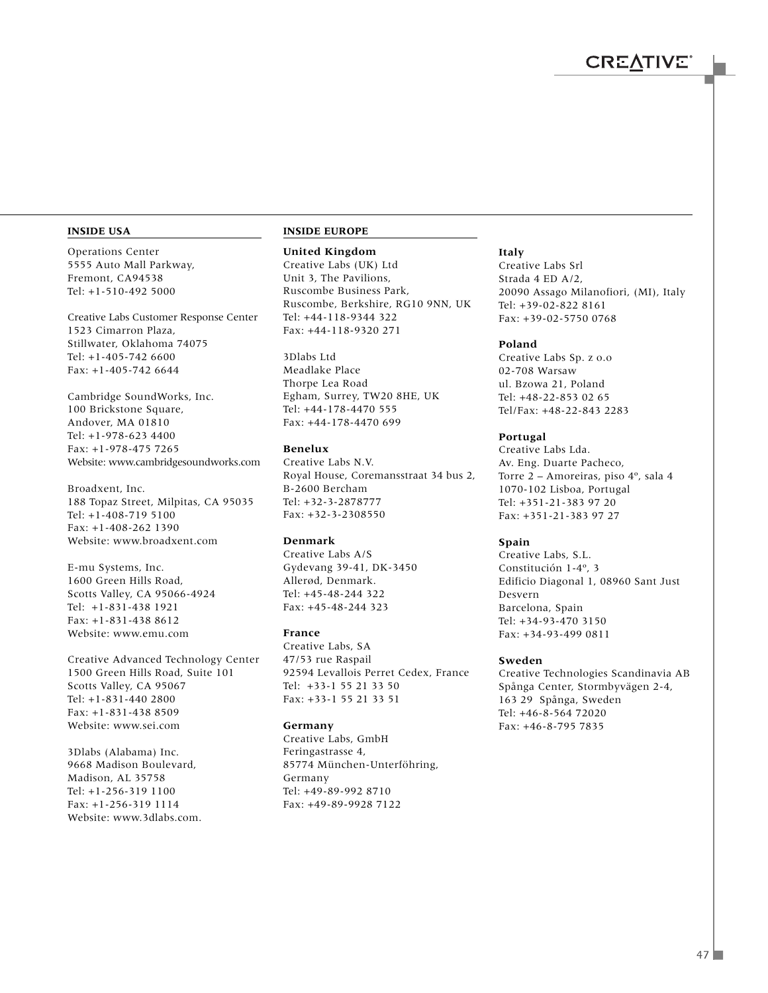#### **INSIDE USA**

Operations Center 5555 Auto Mall Parkway, Fremont, CA94538 Tel: +1-510-492 5000

Creative Labs Customer Response Center 1523 Cimarron Plaza, Stillwater, Oklahoma 74075 Tel: +1-405-742 6600 Fax: +1-405-742 6644

Cambridge SoundWorks, Inc. 100 Brickstone Square, Andover, MA 01810 Tel: +1-978-623 4400 Fax: +1-978-475 7265 Website: www.cambridgesoundworks.com

Broadxent, Inc. 188 Topaz Street, Milpitas, CA 95035 Tel: +1-408-719 5100 Fax: +1-408-262 1390 Website: www.broadxent.com

E-mu Systems, Inc. 1600 Green Hills Road, Scotts Valley, CA 95066-4924 Tel: +1-831-438 1921 Fax: +1-831-438 8612 Website: www.emu.com

Creative Advanced Technology Center 1500 Green Hills Road, Suite 101 Scotts Valley, CA 95067 Tel: +1-831-440 2800 Fax: +1-831-438 8509 Website: www.sei.com

3Dlabs (Alabama) Inc. 9668 Madison Boulevard, Madison, AL 35758 Tel: +1-256-319 1100 Fax: +1-256-319 1114 Website: www.3dlabs.com.

#### **INSIDE EUROPE**

**United Kingdom**

Creative Labs (UK) Ltd Unit 3, The Pavilions, Ruscombe Business Park, Ruscombe, Berkshire, RG10 9NN, UK Tel: +44-118-9344 322 Fax: +44-118-9320 271

3Dlabs Ltd Meadlake Place Thorpe Lea Road Egham, Surrey, TW20 8HE, UK Tel: +44-178-4470 555 Fax: +44-178-4470 699

#### **Benelux**

Creative Labs N.V. Royal House, Coremansstraat 34 bus 2, B-2600 Bercham Tel: +32-3-2878777 Fax: +32-3-2308550

#### **Denmark**

Creative Labs A/S Gydevang 39-41, DK-3450 Allerød, Denmark. Tel: +45-48-244 322 Fax: +45-48-244 323

#### **France**

Creative Labs, SA 47/53 rue Raspail 92594 Levallois Perret Cedex, France Tel: +33-1 55 21 33 50 Fax: +33-1 55 21 33 51

#### **Germany**

Creative Labs, GmbH Feringastrasse 4, 85774 München-Unterföhring, Germany Tel: +49-89-992 8710 Fax: +49-89-9928 7122

#### **Italy**

Creative Labs Srl Strada 4 ED A/2, 20090 Assago Milanofiori, (MI), Italy Tel: +39-02-822 8161 Fax: +39-02-5750 0768

#### **Poland**

Creative Labs Sp. z o.o 02-708 Warsaw ul. Bzowa 21, Poland Tel: +48-22-853 02 65 Tel/Fax: +48-22-843 2283

#### **Portugal**

Creative Labs Lda. Av. Eng. Duarte Pacheco, Torre 2 – Amoreiras, piso 4º, sala 4 1070-102 Lisboa, Portugal Tel: +351-21-383 97 20 Fax: +351-21-383 97 27

#### **Spain**

Creative Labs, S.L. Constitución 1-4º, 3 Edificio Diagonal 1, 08960 Sant Just Desvern Barcelona, Spain Tel: +34-93-470 3150 Fax: +34-93-499 0811

#### **Sweden**

Creative Technologies Scandinavia AB Spånga Center, Stormbyvägen 2-4, 163 29 Spånga, Sweden Tel: +46-8-564 72020 Fax: +46-8-795 7835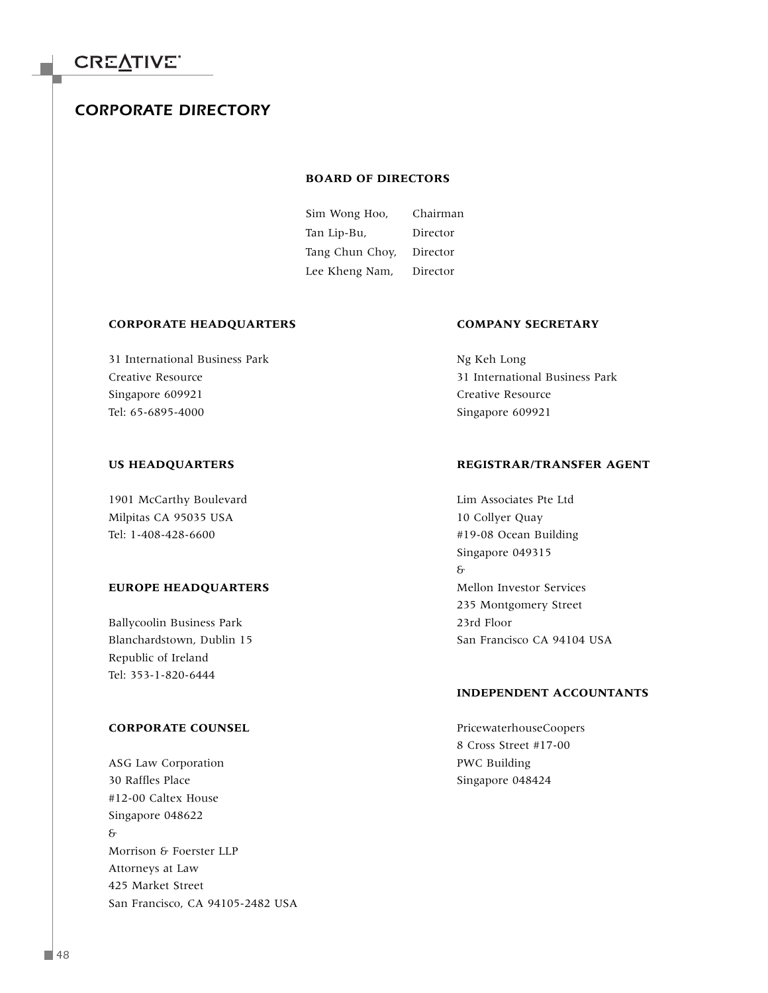### *CORPORATE DIRECTORY*

#### **BOARD OF DIRECTORS**

Sim Wong Hoo, Chairman Tan Lip-Bu, Director Tang Chun Choy, Director Lee Kheng Nam, Director

#### **CORPORATE HEADQUARTERS COMPANY SECRETARY**

31 International Business Park Ng Keh Long Singapore 609921 Creative Resource Tel: 65-6895-4000 Singapore 609921

1901 McCarthy Boulevard Lim Associates Pte Ltd Milpitas CA 95035 USA 10 Collyer Quay Tel: 1-408-428-6600 #19-08 Ocean Building

#### **EUROPE HEADQUARTERS** Mellon Investor Services

Ballycoolin Business Park 23rd Floor Republic of Ireland Tel: 353-1-820-6444

#### **CORPORATE COUNSEL** PricewaterhouseCoopers

ASG Law Corporation **PWC Building** 30 Raffles Place Singapore 048424 #12-00 Caltex House Singapore 048622 & Morrison & Foerster LLP Attorneys at Law 425 Market Street San Francisco, CA 94105-2482 USA

Creative Resource 31 International Business Park

#### US HEADQUARTERS **REGISTRAR/TRANSFER AGENT**

Singapore 049315 & 235 Montgomery Street Blanchardstown, Dublin 15 San Francisco CA 94104 USA

#### **INDEPENDENT ACCOUNTANTS**

8 Cross Street #17-00